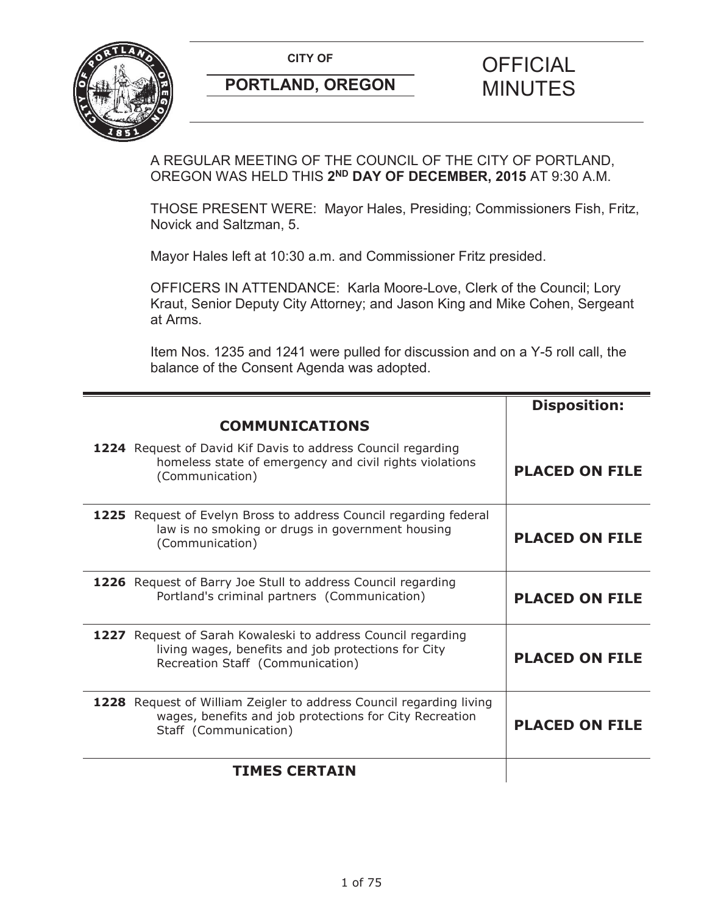

A REGULAR MEETING OF THE COUNCIL OF THE CITY OF PORTLAND, OREGON WAS HELD THIS **2ND DAY OF DECEMBER, 2015** AT 9:30 A.M.

THOSE PRESENT WERE: Mayor Hales, Presiding; Commissioners Fish, Fritz, Novick and Saltzman, 5.

Mayor Hales left at 10:30 a.m. and Commissioner Fritz presided.

OFFICERS IN ATTENDANCE: Karla Moore-Love, Clerk of the Council; Lory Kraut, Senior Deputy City Attorney; and Jason King and Mike Cohen, Sergeant at Arms.

Item Nos. 1235 and 1241 were pulled for discussion and on a Y-5 roll call, the balance of the Consent Agenda was adopted.

|                                                                                                                                                         | <b>Disposition:</b>   |
|---------------------------------------------------------------------------------------------------------------------------------------------------------|-----------------------|
| <b>COMMUNICATIONS</b>                                                                                                                                   |                       |
| 1224 Request of David Kif Davis to address Council regarding<br>homeless state of emergency and civil rights violations<br>(Communication)              | <b>PLACED ON FILE</b> |
| 1225 Request of Evelyn Bross to address Council regarding federal<br>law is no smoking or drugs in government housing<br>(Communication)                | <b>PLACED ON FILE</b> |
| 1226 Request of Barry Joe Stull to address Council regarding<br>Portland's criminal partners (Communication)                                            | <b>PLACED ON FILE</b> |
| 1227 Request of Sarah Kowaleski to address Council regarding<br>living wages, benefits and job protections for City<br>Recreation Staff (Communication) | <b>PLACED ON FILE</b> |
| 1228 Request of William Zeigler to address Council regarding living<br>wages, benefits and job protections for City Recreation<br>Staff (Communication) | <b>PLACED ON FILE</b> |
| <b>TIMES CERTAIN</b>                                                                                                                                    |                       |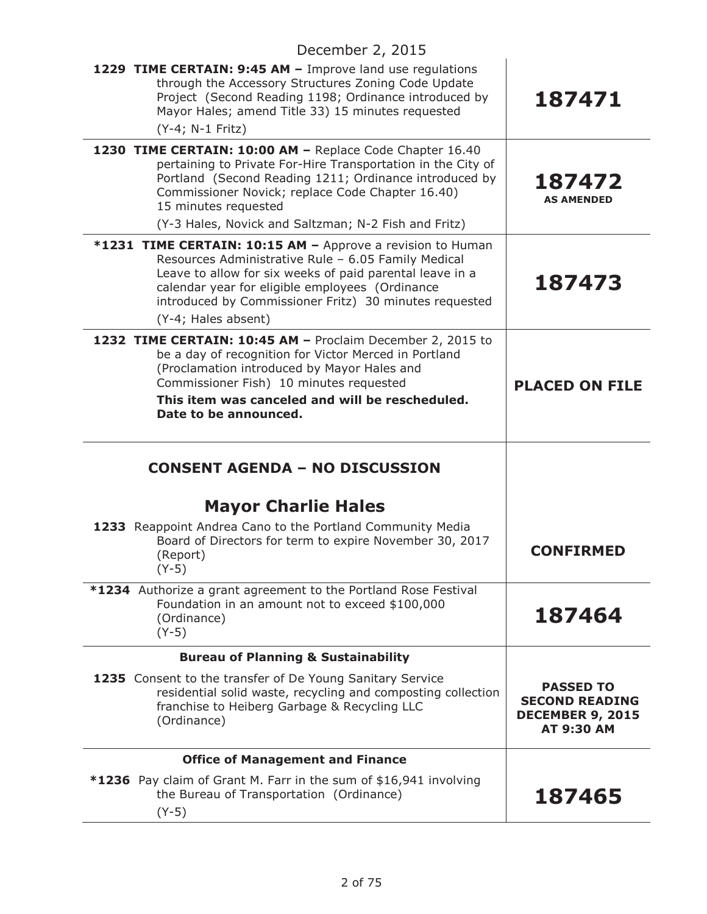| 1229 TIME CERTAIN: 9:45 AM - Improve land use regulations<br>through the Accessory Structures Zoning Code Update<br>Project (Second Reading 1198; Ordinance introduced by<br>Mayor Hales; amend Title 33) 15 minutes requested<br>(Y-4; N-1 Fritz)                                                                     | 187471                                                                             |
|------------------------------------------------------------------------------------------------------------------------------------------------------------------------------------------------------------------------------------------------------------------------------------------------------------------------|------------------------------------------------------------------------------------|
| 1230 TIME CERTAIN: 10:00 AM - Replace Code Chapter 16.40<br>pertaining to Private For-Hire Transportation in the City of<br>Portland (Second Reading 1211; Ordinance introduced by<br>Commissioner Novick; replace Code Chapter 16.40)<br>15 minutes requested<br>(Y-3 Hales, Novick and Saltzman; N-2 Fish and Fritz) | 187472<br><b>AS AMENDED</b>                                                        |
| *1231 TIME CERTAIN: 10:15 AM - Approve a revision to Human<br>Resources Administrative Rule - 6.05 Family Medical<br>Leave to allow for six weeks of paid parental leave in a<br>calendar year for eligible employees (Ordinance<br>introduced by Commissioner Fritz) 30 minutes requested<br>(Y-4; Hales absent)      | 187473                                                                             |
| 1232 TIME CERTAIN: 10:45 AM - Proclaim December 2, 2015 to<br>be a day of recognition for Victor Merced in Portland<br>(Proclamation introduced by Mayor Hales and<br>Commissioner Fish) 10 minutes requested<br>This item was canceled and will be rescheduled.<br>Date to be announced.                              | <b>PLACED ON FILE</b>                                                              |
|                                                                                                                                                                                                                                                                                                                        |                                                                                    |
| <b>CONSENT AGENDA - NO DISCUSSION</b>                                                                                                                                                                                                                                                                                  |                                                                                    |
| <b>Mayor Charlie Hales</b>                                                                                                                                                                                                                                                                                             |                                                                                    |
| 1233 Reappoint Andrea Cano to the Portland Community Media<br>Board of Directors for term to expire November 30, 2017<br>(Report)<br>$(Y-5)$                                                                                                                                                                           | <b>CONFIRMED</b>                                                                   |
| <b>*1234</b> Authorize a grant agreement to the Portland Rose Festival<br>Foundation in an amount not to exceed \$100,000<br>(Ordinance)<br>$(Y-5)$                                                                                                                                                                    | 187464                                                                             |
| <b>Bureau of Planning &amp; Sustainability</b>                                                                                                                                                                                                                                                                         |                                                                                    |
| 1235 Consent to the transfer of De Young Sanitary Service<br>residential solid waste, recycling and composting collection<br>franchise to Heiberg Garbage & Recycling LLC<br>(Ordinance)                                                                                                                               | <b>PASSED TO</b><br><b>SECOND READING</b><br><b>DECEMBER 9, 2015</b><br>AT 9:30 AM |
| <b>Office of Management and Finance</b>                                                                                                                                                                                                                                                                                |                                                                                    |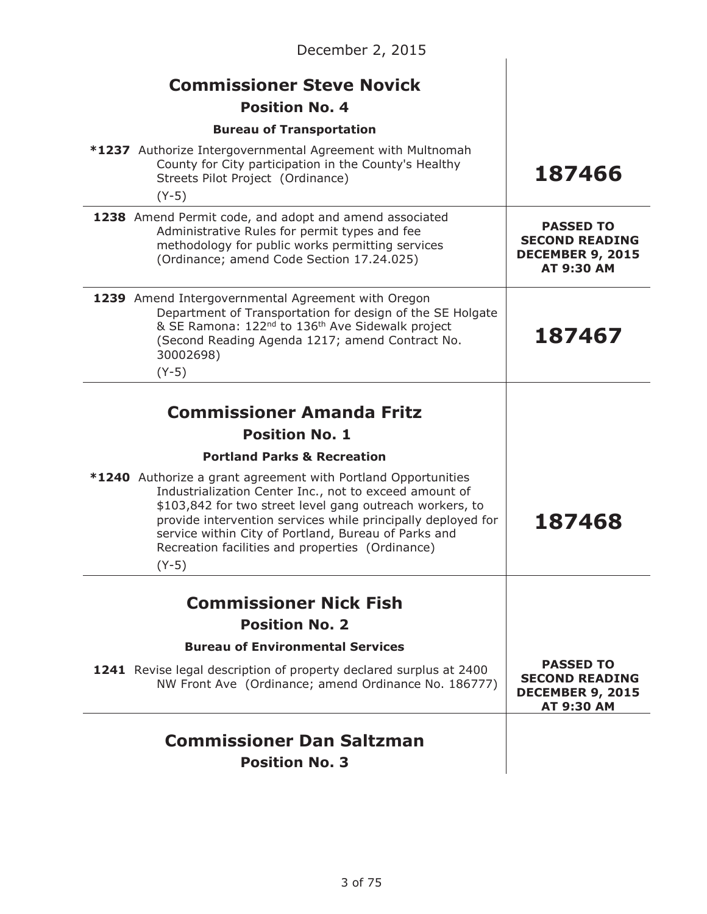| December 2, 2015                                                                                                                                                                                                                                                                                                                                                                  |                                                                                           |
|-----------------------------------------------------------------------------------------------------------------------------------------------------------------------------------------------------------------------------------------------------------------------------------------------------------------------------------------------------------------------------------|-------------------------------------------------------------------------------------------|
| <b>Commissioner Steve Novick</b><br><b>Position No. 4</b>                                                                                                                                                                                                                                                                                                                         |                                                                                           |
| <b>Bureau of Transportation</b>                                                                                                                                                                                                                                                                                                                                                   |                                                                                           |
| *1237 Authorize Intergovernmental Agreement with Multnomah<br>County for City participation in the County's Healthy<br>Streets Pilot Project (Ordinance)<br>$(Y-5)$                                                                                                                                                                                                               | 187466                                                                                    |
| 1238 Amend Permit code, and adopt and amend associated<br>Administrative Rules for permit types and fee<br>methodology for public works permitting services<br>(Ordinance; amend Code Section 17.24.025)                                                                                                                                                                          | <b>PASSED TO</b><br><b>SECOND READING</b><br><b>DECEMBER 9, 2015</b><br><b>AT 9:30 AM</b> |
| 1239 Amend Intergovernmental Agreement with Oregon<br>Department of Transportation for design of the SE Holgate<br>& SE Ramona: 122 <sup>nd</sup> to 136 <sup>th</sup> Ave Sidewalk project<br>(Second Reading Agenda 1217; amend Contract No.<br>30002698)<br>$(Y-5)$                                                                                                            | 187467                                                                                    |
| <b>Commissioner Amanda Fritz</b><br><b>Position No. 1</b>                                                                                                                                                                                                                                                                                                                         |                                                                                           |
| <b>Portland Parks &amp; Recreation</b>                                                                                                                                                                                                                                                                                                                                            |                                                                                           |
| <b>*1240</b> Authorize a grant agreement with Portland Opportunities<br>Industrialization Center Inc., not to exceed amount of<br>\$103,842 for two street level gang outreach workers, to<br>provide intervention services while principally deployed for<br>service within City of Portland, Bureau of Parks and<br>Recreation facilities and properties (Ordinance)<br>$(Y-5)$ | 187468                                                                                    |
|                                                                                                                                                                                                                                                                                                                                                                                   |                                                                                           |
| <b>Commissioner Nick Fish</b>                                                                                                                                                                                                                                                                                                                                                     |                                                                                           |
| <b>Position No. 2</b><br><b>Bureau of Environmental Services</b>                                                                                                                                                                                                                                                                                                                  |                                                                                           |
| 1241 Revise legal description of property declared surplus at 2400<br>NW Front Ave (Ordinance; amend Ordinance No. 186777)                                                                                                                                                                                                                                                        | <b>PASSED TO</b><br><b>SECOND READING</b><br><b>DECEMBER 9, 2015</b><br>AT 9:30 AM        |
| <b>Commissioner Dan Saltzman</b><br><b>Position No. 3</b>                                                                                                                                                                                                                                                                                                                         |                                                                                           |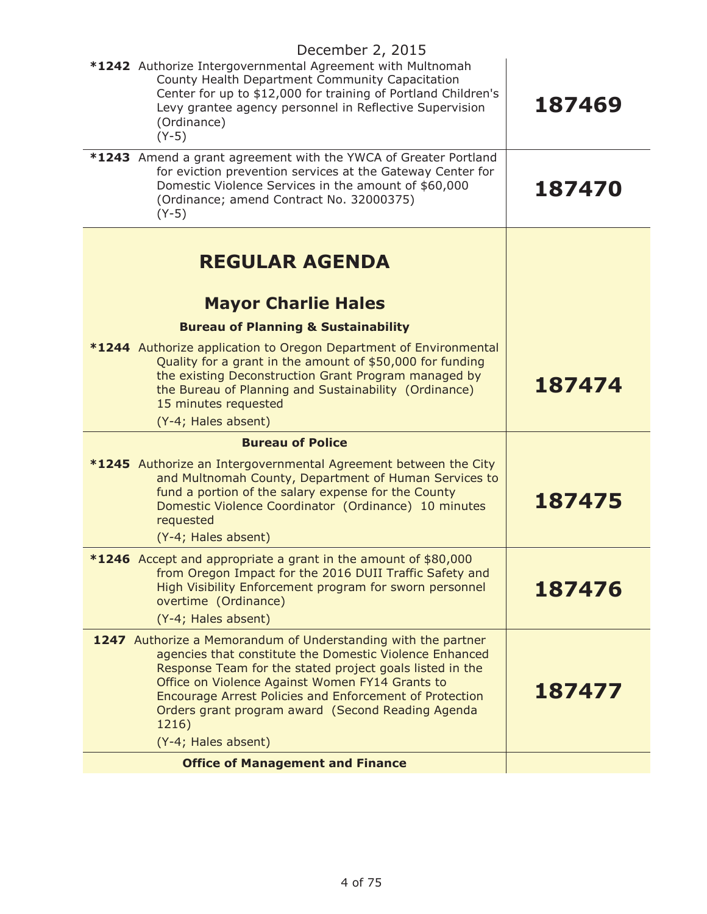| December 2, 2015                                                                                                                                                                                                                                                                                                                                                                        |        |
|-----------------------------------------------------------------------------------------------------------------------------------------------------------------------------------------------------------------------------------------------------------------------------------------------------------------------------------------------------------------------------------------|--------|
| *1242 Authorize Intergovernmental Agreement with Multnomah<br>County Health Department Community Capacitation<br>Center for up to \$12,000 for training of Portland Children's<br>Levy grantee agency personnel in Reflective Supervision<br>(Ordinance)<br>$(Y-5)$                                                                                                                     | 187469 |
| *1243 Amend a grant agreement with the YWCA of Greater Portland<br>for eviction prevention services at the Gateway Center for<br>Domestic Violence Services in the amount of \$60,000<br>(Ordinance; amend Contract No. 32000375)<br>$(Y-5)$                                                                                                                                            | 187470 |
| <b>REGULAR AGENDA</b><br><b>Mayor Charlie Hales</b>                                                                                                                                                                                                                                                                                                                                     |        |
| <b>Bureau of Planning &amp; Sustainability</b>                                                                                                                                                                                                                                                                                                                                          |        |
| <b>*1244</b> Authorize application to Oregon Department of Environmental<br>Quality for a grant in the amount of \$50,000 for funding<br>the existing Deconstruction Grant Program managed by<br>the Bureau of Planning and Sustainability (Ordinance)<br>15 minutes requested<br>(Y-4; Hales absent)                                                                                   | 187474 |
| <b>Bureau of Police</b>                                                                                                                                                                                                                                                                                                                                                                 |        |
| *1245 Authorize an Intergovernmental Agreement between the City<br>and Multnomah County, Department of Human Services to<br>fund a portion of the salary expense for the County<br>Domestic Violence Coordinator (Ordinance) 10 minutes<br>requested<br>(Y-4; Hales absent)                                                                                                             | 187475 |
| *1246 Accept and appropriate a grant in the amount of \$80,000<br>from Oregon Impact for the 2016 DUII Traffic Safety and<br>High Visibility Enforcement program for sworn personnel<br>overtime (Ordinance)<br>(Y-4; Hales absent)                                                                                                                                                     | 187476 |
| 1247 Authorize a Memorandum of Understanding with the partner<br>agencies that constitute the Domestic Violence Enhanced<br>Response Team for the stated project goals listed in the<br>Office on Violence Against Women FY14 Grants to<br>Encourage Arrest Policies and Enforcement of Protection<br>Orders grant program award (Second Reading Agenda<br>1216)<br>(Y-4; Hales absent) | 187477 |
| <b>Office of Management and Finance</b>                                                                                                                                                                                                                                                                                                                                                 |        |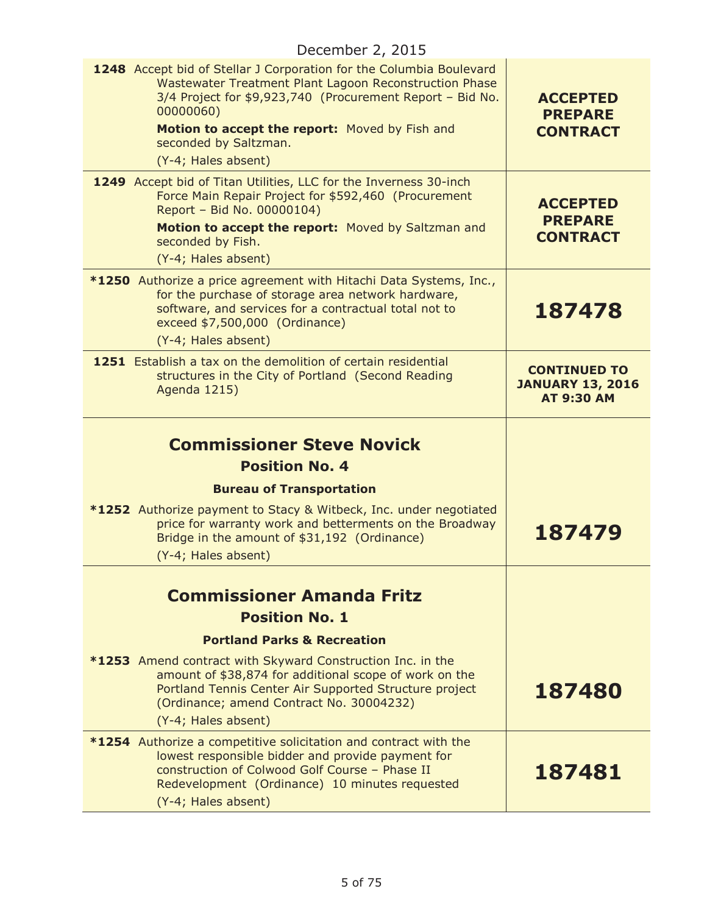| 1248 Accept bid of Stellar J Corporation for the Columbia Boulevard<br>Wastewater Treatment Plant Lagoon Reconstruction Phase<br>3/4 Project for \$9,923,740 (Procurement Report - Bid No.<br>00000060)<br>Motion to accept the report: Moved by Fish and<br>seconded by Saltzman.<br>(Y-4; Hales absent) | <b>ACCEPTED</b><br><b>PREPARE</b><br><b>CONTRACT</b>                |
|-----------------------------------------------------------------------------------------------------------------------------------------------------------------------------------------------------------------------------------------------------------------------------------------------------------|---------------------------------------------------------------------|
| 1249 Accept bid of Titan Utilities, LLC for the Inverness 30-inch<br>Force Main Repair Project for \$592,460 (Procurement<br>Report - Bid No. 00000104)<br>Motion to accept the report: Moved by Saltzman and<br>seconded by Fish.<br>(Y-4; Hales absent)                                                 | <b>ACCEPTED</b><br><b>PREPARE</b><br><b>CONTRACT</b>                |
| *1250 Authorize a price agreement with Hitachi Data Systems, Inc.,<br>for the purchase of storage area network hardware,<br>software, and services for a contractual total not to<br>exceed \$7,500,000 (Ordinance)<br>(Y-4; Hales absent)                                                                | 187478                                                              |
| 1251 Establish a tax on the demolition of certain residential<br>structures in the City of Portland (Second Reading<br>Agenda 1215)                                                                                                                                                                       | <b>CONTINUED TO</b><br><b>JANUARY 13, 2016</b><br><b>AT 9:30 AM</b> |
| <b>Commissioner Steve Novick</b><br><b>Position No. 4</b>                                                                                                                                                                                                                                                 |                                                                     |
| <b>Bureau of Transportation</b><br>*1252 Authorize payment to Stacy & Witbeck, Inc. under negotiated<br>price for warranty work and betterments on the Broadway<br>Bridge in the amount of \$31,192 (Ordinance)<br>(Y-4; Hales absent)                                                                    | 187479                                                              |
| <b>Commissioner Amanda Fritz</b><br><b>Position No. 1</b>                                                                                                                                                                                                                                                 |                                                                     |
| <b>Portland Parks &amp; Recreation</b><br>*1253 Amend contract with Skyward Construction Inc. in the<br>amount of \$38,874 for additional scope of work on the<br>Portland Tennis Center Air Supported Structure project<br>(Ordinance; amend Contract No. 30004232)<br>(Y-4; Hales absent)               | 187480                                                              |
| *1254 Authorize a competitive solicitation and contract with the<br>lowest responsible bidder and provide payment for<br>construction of Colwood Golf Course - Phase II<br>Redevelopment (Ordinance) 10 minutes requested<br>(Y-4; Hales absent)                                                          | 187481                                                              |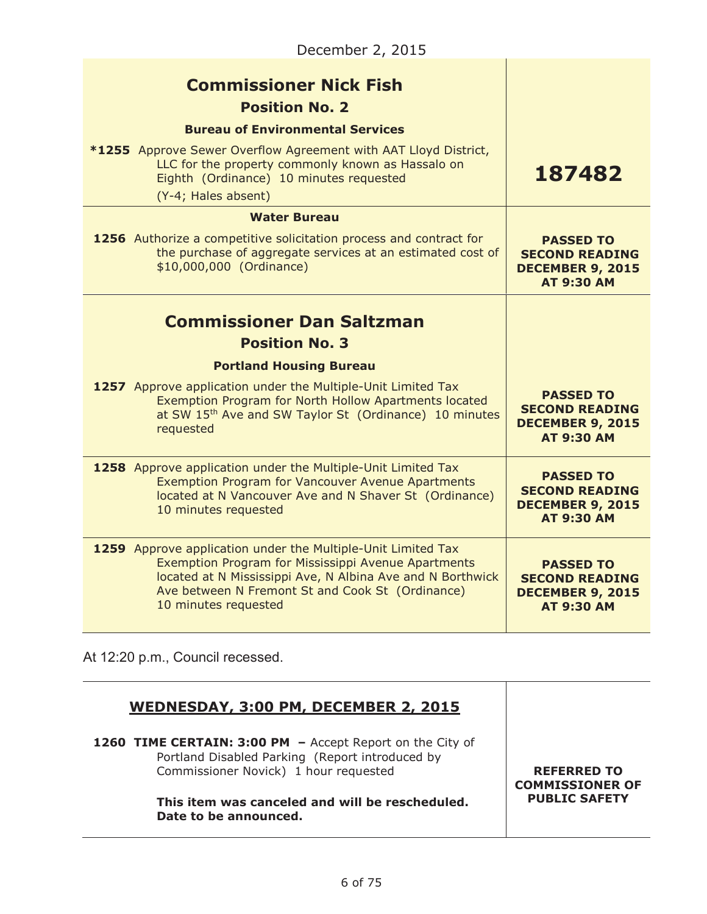| <b>Commissioner Nick Fish</b><br><b>Position No. 2</b>                                                                                                                                                                                                        |                                                                                           |
|---------------------------------------------------------------------------------------------------------------------------------------------------------------------------------------------------------------------------------------------------------------|-------------------------------------------------------------------------------------------|
| <b>Bureau of Environmental Services</b>                                                                                                                                                                                                                       |                                                                                           |
| <b>*1255</b> Approve Sewer Overflow Agreement with AAT Lloyd District,<br>LLC for the property commonly known as Hassalo on<br>Eighth (Ordinance) 10 minutes requested<br>(Y-4; Hales absent)                                                                 | 187482                                                                                    |
| <b>Water Bureau</b>                                                                                                                                                                                                                                           |                                                                                           |
| 1256 Authorize a competitive solicitation process and contract for<br>the purchase of aggregate services at an estimated cost of<br>\$10,000,000 (Ordinance)                                                                                                  | <b>PASSED TO</b><br><b>SECOND READING</b><br><b>DECEMBER 9, 2015</b><br><b>AT 9:30 AM</b> |
| <b>Commissioner Dan Saltzman</b><br><b>Position No. 3</b>                                                                                                                                                                                                     |                                                                                           |
| <b>Portland Housing Bureau</b>                                                                                                                                                                                                                                |                                                                                           |
| <b>1257</b> Approve application under the Multiple-Unit Limited Tax<br>Exemption Program for North Hollow Apartments located<br>at SW 15th Ave and SW Taylor St (Ordinance) 10 minutes<br>requested                                                           | <b>PASSED TO</b><br><b>SECOND READING</b><br><b>DECEMBER 9, 2015</b><br><b>AT 9:30 AM</b> |
| 1258 Approve application under the Multiple-Unit Limited Tax<br><b>Exemption Program for Vancouver Avenue Apartments</b><br>located at N Vancouver Ave and N Shaver St (Ordinance)<br>10 minutes requested                                                    | <b>PASSED TO</b><br><b>SECOND READING</b><br><b>DECEMBER 9, 2015</b><br><b>AT 9:30 AM</b> |
| 1259 Approve application under the Multiple-Unit Limited Tax<br>Exemption Program for Mississippi Avenue Apartments<br>located at N Mississippi Ave, N Albina Ave and N Borthwick<br>Ave between N Fremont St and Cook St (Ordinance)<br>10 minutes requested | <b>PASSED TO</b><br><b>SECOND READING</b><br><b>DECEMBER 9, 2015</b><br><b>AT 9:30 AM</b> |

At 12:20 p.m., Council recessed.

# **WEDNESDAY, 3:00 PM, DECEMBER 2, 2015**

**1260 TIME CERTAIN: 3:00 PM –** Accept Report on the City of Portland Disabled Parking (Report introduced by Commissioner Novick) 1 hour requested

#### **This item was canceled and will be rescheduled. Date to be announced.**

#### **REFERRED TO COMMISSIONER OF PUBLIC SAFETY**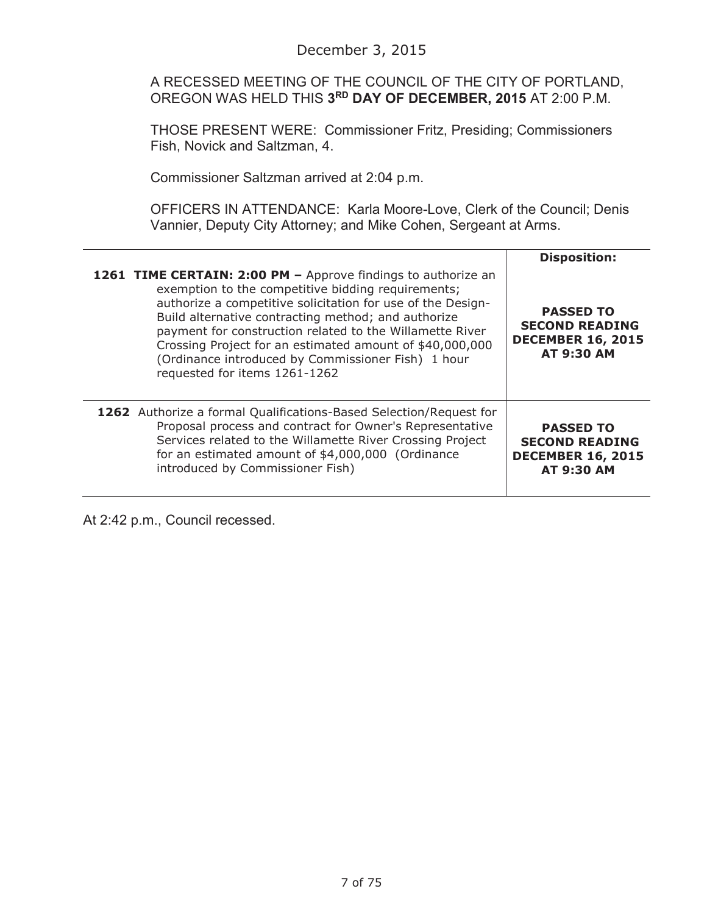A RECESSED MEETING OF THE COUNCIL OF THE CITY OF PORTLAND, OREGON WAS HELD THIS **3RD DAY OF DECEMBER, 2015** AT 2:00 P.M.

THOSE PRESENT WERE: Commissioner Fritz, Presiding; Commissioners Fish, Novick and Saltzman, 4.

Commissioner Saltzman arrived at 2:04 p.m.

OFFICERS IN ATTENDANCE: Karla Moore-Love, Clerk of the Council; Denis Vannier, Deputy City Attorney; and Mike Cohen, Sergeant at Arms.

|                                                                                                                                                                                                                                                                                                                                                                                                                                                          | <b>Disposition:</b>                                                                        |
|----------------------------------------------------------------------------------------------------------------------------------------------------------------------------------------------------------------------------------------------------------------------------------------------------------------------------------------------------------------------------------------------------------------------------------------------------------|--------------------------------------------------------------------------------------------|
| 1261 TIME CERTAIN: 2:00 PM - Approve findings to authorize an<br>exemption to the competitive bidding requirements;<br>authorize a competitive solicitation for use of the Design-<br>Build alternative contracting method; and authorize<br>payment for construction related to the Willamette River<br>Crossing Project for an estimated amount of \$40,000,000<br>(Ordinance introduced by Commissioner Fish) 1 hour<br>requested for items 1261-1262 | <b>PASSED TO</b><br><b>SECOND READING</b><br><b>DECEMBER 16, 2015</b><br><b>AT 9:30 AM</b> |
| <b>1262</b> Authorize a formal Qualifications-Based Selection/Request for<br>Proposal process and contract for Owner's Representative<br>Services related to the Willamette River Crossing Project<br>for an estimated amount of \$4,000,000 (Ordinance<br>introduced by Commissioner Fish)                                                                                                                                                              | <b>PASSED TO</b><br><b>SECOND READING</b><br><b>DECEMBER 16, 2015</b><br><b>AT 9:30 AM</b> |

At 2:42 p.m., Council recessed.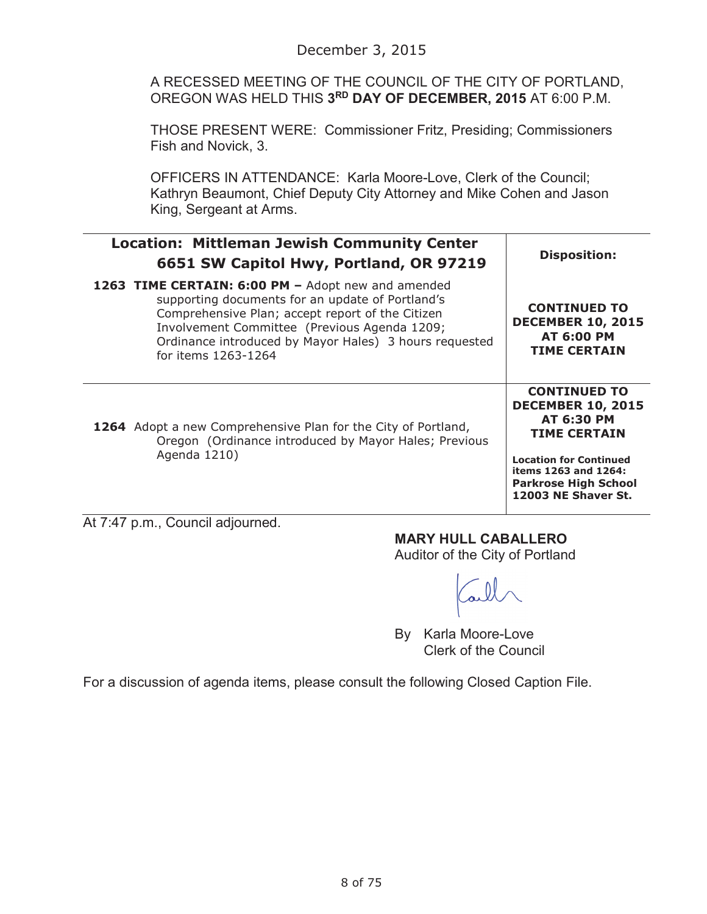A RECESSED MEETING OF THE COUNCIL OF THE CITY OF PORTLAND, OREGON WAS HELD THIS **3RD DAY OF DECEMBER, 2015** AT 6:00 P.M.

THOSE PRESENT WERE: Commissioner Fritz, Presiding; Commissioners Fish and Novick, 3.

OFFICERS IN ATTENDANCE: Karla Moore-Love, Clerk of the Council; Kathryn Beaumont, Chief Deputy City Attorney and Mike Cohen and Jason King, Sergeant at Arms.

| <b>Location: Mittleman Jewish Community Center</b><br>6651 SW Capitol Hwy, Portland, OR 97219                                                                                                                                                                                               | <b>Disposition:</b>                                                                                                                                                                                        |
|---------------------------------------------------------------------------------------------------------------------------------------------------------------------------------------------------------------------------------------------------------------------------------------------|------------------------------------------------------------------------------------------------------------------------------------------------------------------------------------------------------------|
| 1263 TIME CERTAIN: 6:00 PM - Adopt new and amended<br>supporting documents for an update of Portland's<br>Comprehensive Plan; accept report of the Citizen<br>Involvement Committee (Previous Agenda 1209;<br>Ordinance introduced by Mayor Hales) 3 hours requested<br>for items 1263-1264 | <b>CONTINUED TO</b><br><b>DECEMBER 10, 2015</b><br><b>AT 6:00 PM</b><br><b>TIME CERTAIN</b>                                                                                                                |
| 1264 Adopt a new Comprehensive Plan for the City of Portland,<br>Oregon (Ordinance introduced by Mayor Hales; Previous<br>Agenda 1210)                                                                                                                                                      | <b>CONTINUED TO</b><br><b>DECEMBER 10, 2015</b><br><b>AT 6:30 PM</b><br><b>TIME CERTAIN</b><br><b>Location for Continued</b><br>items 1263 and 1264:<br><b>Parkrose High School</b><br>12003 NE Shaver St. |
| $1 + 7.17 \times m$ Council odiourned                                                                                                                                                                                                                                                       |                                                                                                                                                                                                            |

At 7:47 p.m., Council adjourned.

# **MARY HULL CABALLERO**

Auditor of the City of Portland

By Karla Moore-Love Clerk of the Council

For a discussion of agenda items, please consult the following Closed Caption File.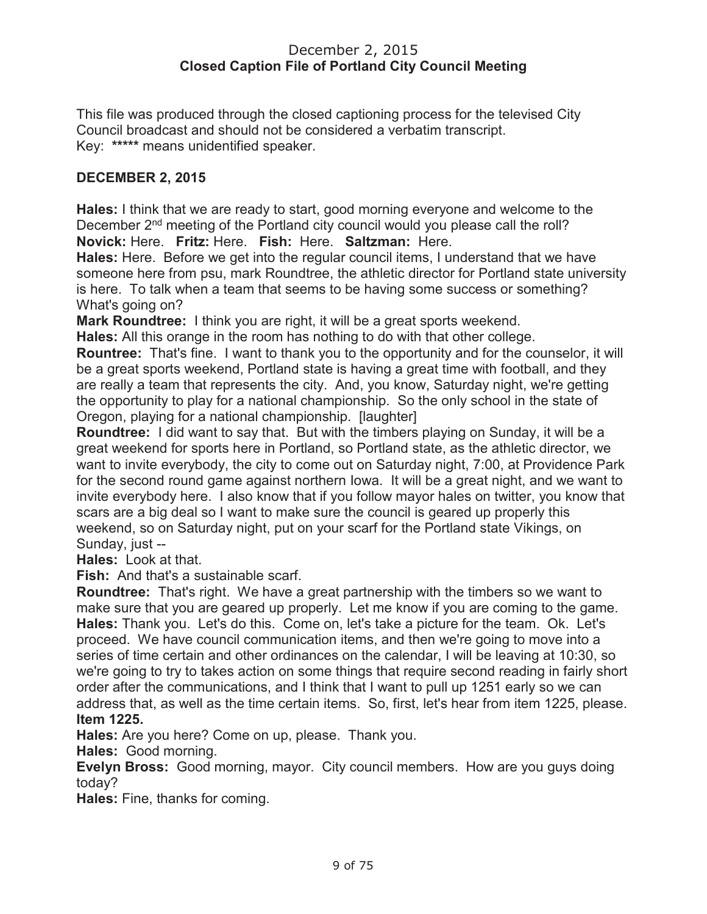#### December 2, 2015 **Closed Caption File of Portland City Council Meeting**

This file was produced through the closed captioning process for the televised City Council broadcast and should not be considered a verbatim transcript. Key: **\*\*\*\*\*** means unidentified speaker.

## **DECEMBER 2, 2015**

**Hales:** I think that we are ready to start, good morning everyone and welcome to the December 2<sup>nd</sup> meeting of the Portland city council would you please call the roll? **Novick:** Here. **Fritz:** Here. **Fish:** Here. **Saltzman:** Here.

**Hales:** Here. Before we get into the regular council items, I understand that we have someone here from psu, mark Roundtree, the athletic director for Portland state university is here. To talk when a team that seems to be having some success or something? What's going on?

**Mark Roundtree:** I think you are right, it will be a great sports weekend.

**Hales:** All this orange in the room has nothing to do with that other college.

**Rountree:** That's fine. I want to thank you to the opportunity and for the counselor, it will be a great sports weekend, Portland state is having a great time with football, and they are really a team that represents the city. And, you know, Saturday night, we're getting the opportunity to play for a national championship. So the only school in the state of Oregon, playing for a national championship. [laughter]

**Roundtree:** I did want to say that. But with the timbers playing on Sunday, it will be a great weekend for sports here in Portland, so Portland state, as the athletic director, we want to invite everybody, the city to come out on Saturday night, 7:00, at Providence Park for the second round game against northern Iowa. It will be a great night, and we want to invite everybody here. I also know that if you follow mayor hales on twitter, you know that scars are a big deal so I want to make sure the council is geared up properly this weekend, so on Saturday night, put on your scarf for the Portland state Vikings, on Sunday, just --

**Hales:** Look at that.

**Fish:** And that's a sustainable scarf.

**Roundtree:** That's right. We have a great partnership with the timbers so we want to make sure that you are geared up properly. Let me know if you are coming to the game. **Hales:** Thank you. Let's do this. Come on, let's take a picture for the team. Ok. Let's proceed. We have council communication items, and then we're going to move into a series of time certain and other ordinances on the calendar, I will be leaving at 10:30, so we're going to try to takes action on some things that require second reading in fairly short order after the communications, and I think that I want to pull up 1251 early so we can address that, as well as the time certain items. So, first, let's hear from item 1225, please. **Item 1225.**

**Hales:** Are you here? Come on up, please. Thank you.

**Hales:** Good morning.

**Evelyn Bross:** Good morning, mayor. City council members. How are you guys doing today?

**Hales:** Fine, thanks for coming.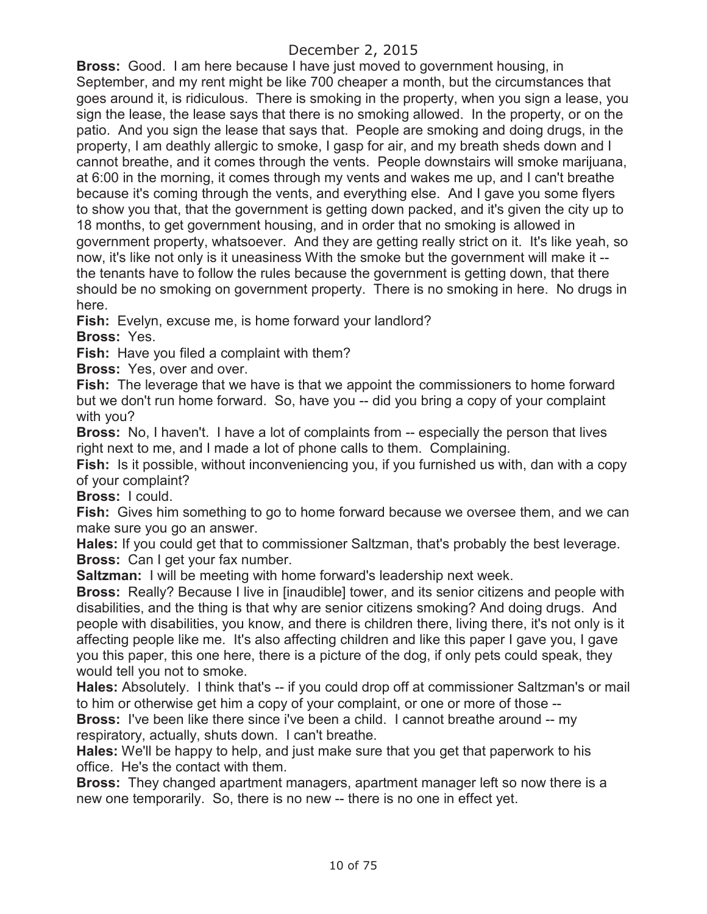**Bross:** Good. I am here because I have just moved to government housing, in September, and my rent might be like 700 cheaper a month, but the circumstances that goes around it, is ridiculous. There is smoking in the property, when you sign a lease, you sign the lease, the lease says that there is no smoking allowed. In the property, or on the patio. And you sign the lease that says that. People are smoking and doing drugs, in the property, I am deathly allergic to smoke, I gasp for air, and my breath sheds down and I cannot breathe, and it comes through the vents. People downstairs will smoke marijuana, at 6:00 in the morning, it comes through my vents and wakes me up, and I can't breathe because it's coming through the vents, and everything else. And I gave you some flyers to show you that, that the government is getting down packed, and it's given the city up to 18 months, to get government housing, and in order that no smoking is allowed in government property, whatsoever. And they are getting really strict on it. It's like yeah, so now, it's like not only is it uneasiness With the smoke but the government will make it - the tenants have to follow the rules because the government is getting down, that there should be no smoking on government property. There is no smoking in here. No drugs in here.

**Fish:** Evelyn, excuse me, is home forward your landlord?

**Bross:** Yes.

**Fish:** Have you filed a complaint with them?

**Bross:** Yes, over and over.

**Fish:** The leverage that we have is that we appoint the commissioners to home forward but we don't run home forward. So, have you -- did you bring a copy of your complaint with you?

**Bross:** No, I haven't. I have a lot of complaints from -- especially the person that lives right next to me, and I made a lot of phone calls to them. Complaining.

**Fish:** Is it possible, without inconveniencing you, if you furnished us with, dan with a copy of your complaint?

**Bross:** I could.

**Fish:** Gives him something to go to home forward because we oversee them, and we can make sure you go an answer.

**Hales:** If you could get that to commissioner Saltzman, that's probably the best leverage. **Bross:** Can I get your fax number.

**Saltzman:** I will be meeting with home forward's leadership next week.

**Bross:** Really? Because I live in [inaudible] tower, and its senior citizens and people with disabilities, and the thing is that why are senior citizens smoking? And doing drugs. And people with disabilities, you know, and there is children there, living there, it's not only is it affecting people like me. It's also affecting children and like this paper I gave you, I gave you this paper, this one here, there is a picture of the dog, if only pets could speak, they would tell you not to smoke.

**Hales:** Absolutely. I think that's -- if you could drop off at commissioner Saltzman's or mail to him or otherwise get him a copy of your complaint, or one or more of those --

**Bross:** I've been like there since i've been a child. I cannot breathe around -- my respiratory, actually, shuts down. I can't breathe.

**Hales:** We'll be happy to help, and just make sure that you get that paperwork to his office. He's the contact with them.

**Bross:** They changed apartment managers, apartment manager left so now there is a new one temporarily. So, there is no new -- there is no one in effect yet.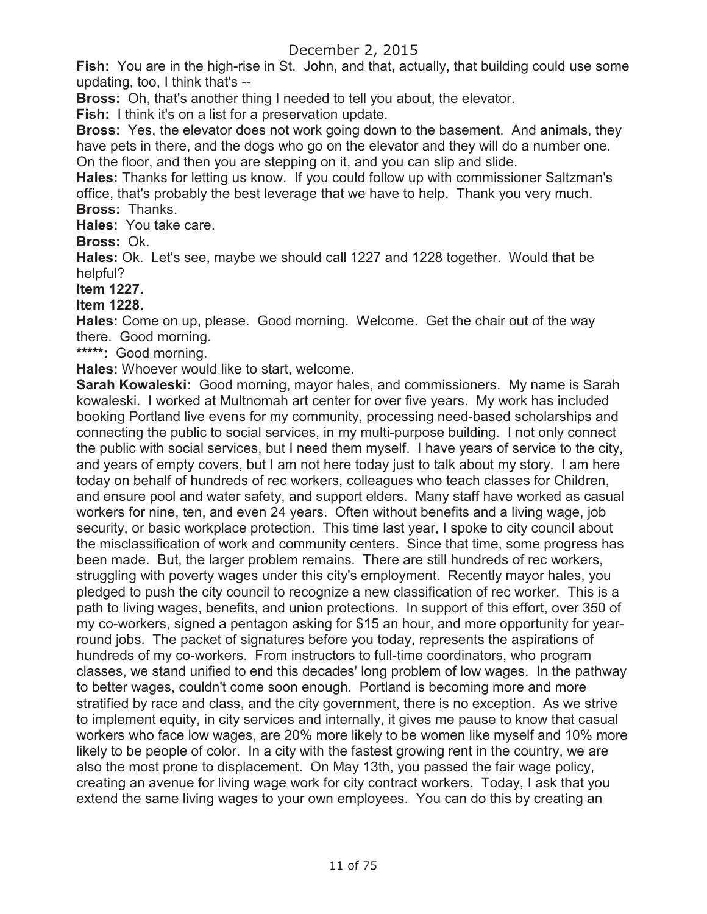**Fish:** You are in the high-rise in St. John, and that, actually, that building could use some updating, too, I think that's --

**Bross:** Oh, that's another thing I needed to tell you about, the elevator.

**Fish:** I think it's on a list for a preservation update.

**Bross:** Yes, the elevator does not work going down to the basement. And animals, they have pets in there, and the dogs who go on the elevator and they will do a number one. On the floor, and then you are stepping on it, and you can slip and slide.

**Hales:** Thanks for letting us know. If you could follow up with commissioner Saltzman's office, that's probably the best leverage that we have to help. Thank you very much. **Bross:** Thanks.

**Hales:** You take care.

**Bross:** Ok.

**Hales:** Ok. Let's see, maybe we should call 1227 and 1228 together. Would that be helpful?

**Item 1227.**

**Item 1228.** 

**Hales:** Come on up, please. Good morning. Welcome. Get the chair out of the way there. Good morning.

**\*\*\*\*\*:** Good morning.

**Hales:** Whoever would like to start, welcome.

**Sarah Kowaleski:** Good morning, mayor hales, and commissioners. My name is Sarah kowaleski. I worked at Multnomah art center for over five years. My work has included booking Portland live evens for my community, processing need-based scholarships and connecting the public to social services, in my multi-purpose building. I not only connect the public with social services, but I need them myself. I have years of service to the city, and years of empty covers, but I am not here today just to talk about my story. I am here today on behalf of hundreds of rec workers, colleagues who teach classes for Children, and ensure pool and water safety, and support elders. Many staff have worked as casual workers for nine, ten, and even 24 years. Often without benefits and a living wage, job security, or basic workplace protection. This time last year, I spoke to city council about the misclassification of work and community centers. Since that time, some progress has been made. But, the larger problem remains. There are still hundreds of rec workers, struggling with poverty wages under this city's employment. Recently mayor hales, you pledged to push the city council to recognize a new classification of rec worker. This is a path to living wages, benefits, and union protections. In support of this effort, over 350 of my co-workers, signed a pentagon asking for \$15 an hour, and more opportunity for yearround jobs. The packet of signatures before you today, represents the aspirations of hundreds of my co-workers. From instructors to full-time coordinators, who program classes, we stand unified to end this decades' long problem of low wages. In the pathway to better wages, couldn't come soon enough. Portland is becoming more and more stratified by race and class, and the city government, there is no exception. As we strive to implement equity, in city services and internally, it gives me pause to know that casual workers who face low wages, are 20% more likely to be women like myself and 10% more likely to be people of color. In a city with the fastest growing rent in the country, we are also the most prone to displacement. On May 13th, you passed the fair wage policy, creating an avenue for living wage work for city contract workers. Today, I ask that you extend the same living wages to your own employees. You can do this by creating an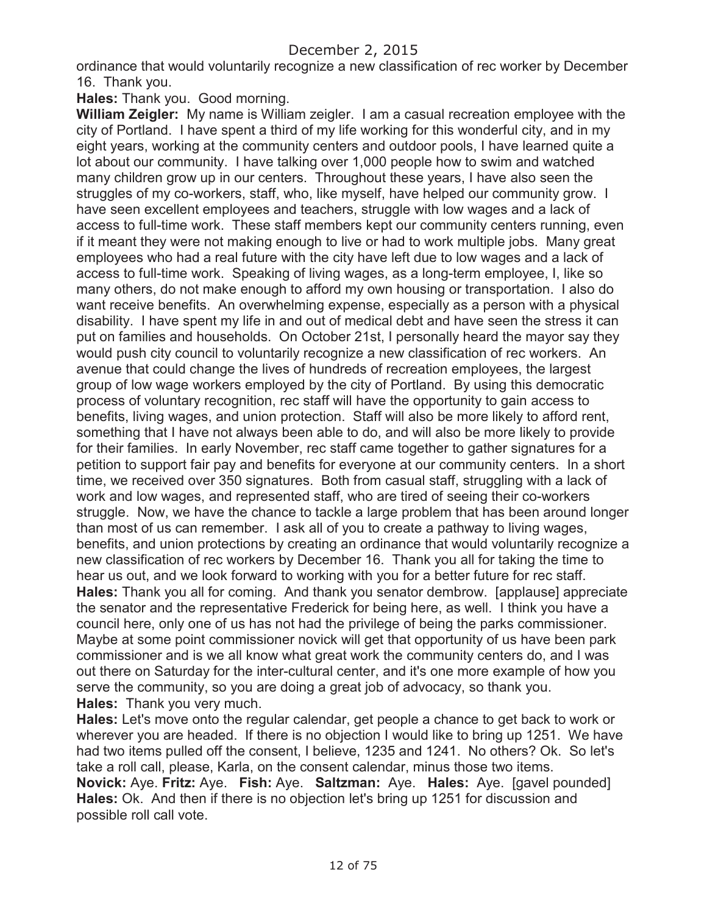ordinance that would voluntarily recognize a new classification of rec worker by December 16. Thank you.

**Hales:** Thank you. Good morning.

**William Zeigler:** My name is William zeigler. I am a casual recreation employee with the city of Portland. I have spent a third of my life working for this wonderful city, and in my eight years, working at the community centers and outdoor pools, I have learned quite a lot about our community. I have talking over 1,000 people how to swim and watched many children grow up in our centers. Throughout these years, I have also seen the struggles of my co-workers, staff, who, like myself, have helped our community grow. I have seen excellent employees and teachers, struggle with low wages and a lack of access to full-time work. These staff members kept our community centers running, even if it meant they were not making enough to live or had to work multiple jobs. Many great employees who had a real future with the city have left due to low wages and a lack of access to full-time work. Speaking of living wages, as a long-term employee, I, like so many others, do not make enough to afford my own housing or transportation. I also do want receive benefits. An overwhelming expense, especially as a person with a physical disability. I have spent my life in and out of medical debt and have seen the stress it can put on families and households. On October 21st, I personally heard the mayor say they would push city council to voluntarily recognize a new classification of rec workers. An avenue that could change the lives of hundreds of recreation employees, the largest group of low wage workers employed by the city of Portland. By using this democratic process of voluntary recognition, rec staff will have the opportunity to gain access to benefits, living wages, and union protection. Staff will also be more likely to afford rent, something that I have not always been able to do, and will also be more likely to provide for their families. In early November, rec staff came together to gather signatures for a petition to support fair pay and benefits for everyone at our community centers. In a short time, we received over 350 signatures. Both from casual staff, struggling with a lack of work and low wages, and represented staff, who are tired of seeing their co-workers struggle. Now, we have the chance to tackle a large problem that has been around longer than most of us can remember. I ask all of you to create a pathway to living wages, benefits, and union protections by creating an ordinance that would voluntarily recognize a new classification of rec workers by December 16. Thank you all for taking the time to hear us out, and we look forward to working with you for a better future for rec staff. **Hales:** Thank you all for coming. And thank you senator dembrow. [applause] appreciate the senator and the representative Frederick for being here, as well. I think you have a council here, only one of us has not had the privilege of being the parks commissioner. Maybe at some point commissioner novick will get that opportunity of us have been park commissioner and is we all know what great work the community centers do, and I was out there on Saturday for the inter-cultural center, and it's one more example of how you serve the community, so you are doing a great job of advocacy, so thank you. **Hales:** Thank you very much.

**Hales:** Let's move onto the regular calendar, get people a chance to get back to work or wherever you are headed. If there is no objection I would like to bring up 1251. We have had two items pulled off the consent, I believe, 1235 and 1241. No others? Ok. So let's take a roll call, please, Karla, on the consent calendar, minus those two items. **Novick:** Aye. **Fritz:** Aye. **Fish:** Aye. **Saltzman:** Aye. **Hales:** Aye. [gavel pounded] **Hales:** Ok. And then if there is no objection let's bring up 1251 for discussion and possible roll call vote.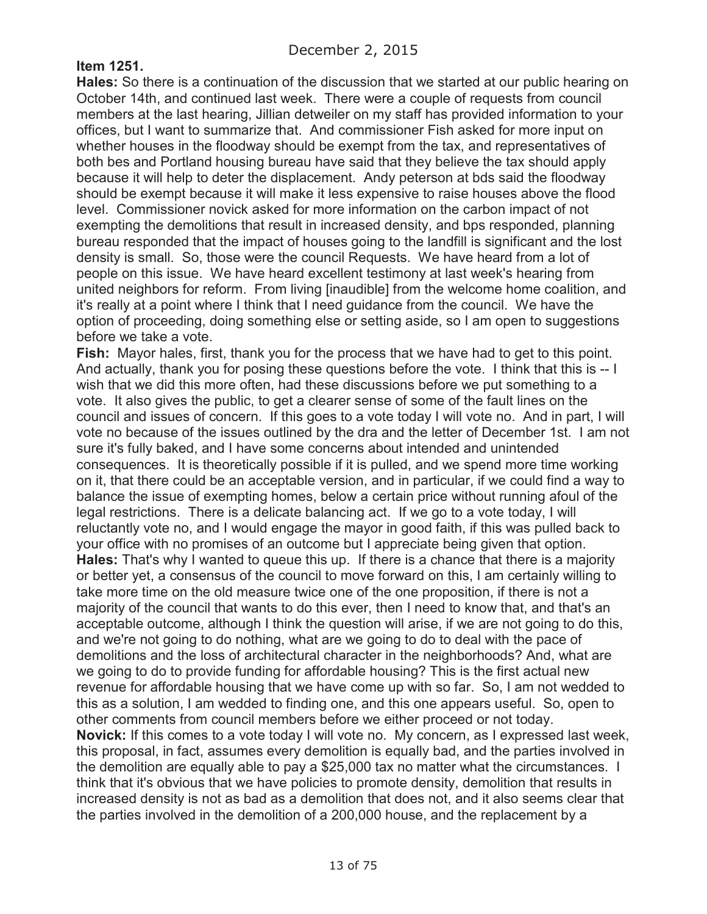### **Item 1251.**

**Hales:** So there is a continuation of the discussion that we started at our public hearing on October 14th, and continued last week. There were a couple of requests from council members at the last hearing, Jillian detweiler on my staff has provided information to your offices, but I want to summarize that. And commissioner Fish asked for more input on whether houses in the floodway should be exempt from the tax, and representatives of both bes and Portland housing bureau have said that they believe the tax should apply because it will help to deter the displacement. Andy peterson at bds said the floodway should be exempt because it will make it less expensive to raise houses above the flood level. Commissioner novick asked for more information on the carbon impact of not exempting the demolitions that result in increased density, and bps responded, planning bureau responded that the impact of houses going to the landfill is significant and the lost density is small. So, those were the council Requests. We have heard from a lot of people on this issue. We have heard excellent testimony at last week's hearing from united neighbors for reform. From living [inaudible] from the welcome home coalition, and it's really at a point where I think that I need guidance from the council. We have the option of proceeding, doing something else or setting aside, so I am open to suggestions before we take a vote.

**Fish:** Mayor hales, first, thank you for the process that we have had to get to this point. And actually, thank you for posing these questions before the vote. I think that this is -- I wish that we did this more often, had these discussions before we put something to a vote. It also gives the public, to get a clearer sense of some of the fault lines on the council and issues of concern. If this goes to a vote today I will vote no. And in part, I will vote no because of the issues outlined by the dra and the letter of December 1st. I am not sure it's fully baked, and I have some concerns about intended and unintended consequences. It is theoretically possible if it is pulled, and we spend more time working on it, that there could be an acceptable version, and in particular, if we could find a way to balance the issue of exempting homes, below a certain price without running afoul of the legal restrictions. There is a delicate balancing act. If we go to a vote today, I will reluctantly vote no, and I would engage the mayor in good faith, if this was pulled back to your office with no promises of an outcome but I appreciate being given that option. **Hales:** That's why I wanted to queue this up. If there is a chance that there is a majority or better yet, a consensus of the council to move forward on this, I am certainly willing to take more time on the old measure twice one of the one proposition, if there is not a majority of the council that wants to do this ever, then I need to know that, and that's an acceptable outcome, although I think the question will arise, if we are not going to do this, and we're not going to do nothing, what are we going to do to deal with the pace of demolitions and the loss of architectural character in the neighborhoods? And, what are we going to do to provide funding for affordable housing? This is the first actual new revenue for affordable housing that we have come up with so far. So, I am not wedded to this as a solution, I am wedded to finding one, and this one appears useful. So, open to other comments from council members before we either proceed or not today. **Novick:** If this comes to a vote today I will vote no. My concern, as I expressed last week, this proposal, in fact, assumes every demolition is equally bad, and the parties involved in the demolition are equally able to pay a \$25,000 tax no matter what the circumstances. I think that it's obvious that we have policies to promote density, demolition that results in increased density is not as bad as a demolition that does not, and it also seems clear that the parties involved in the demolition of a 200,000 house, and the replacement by a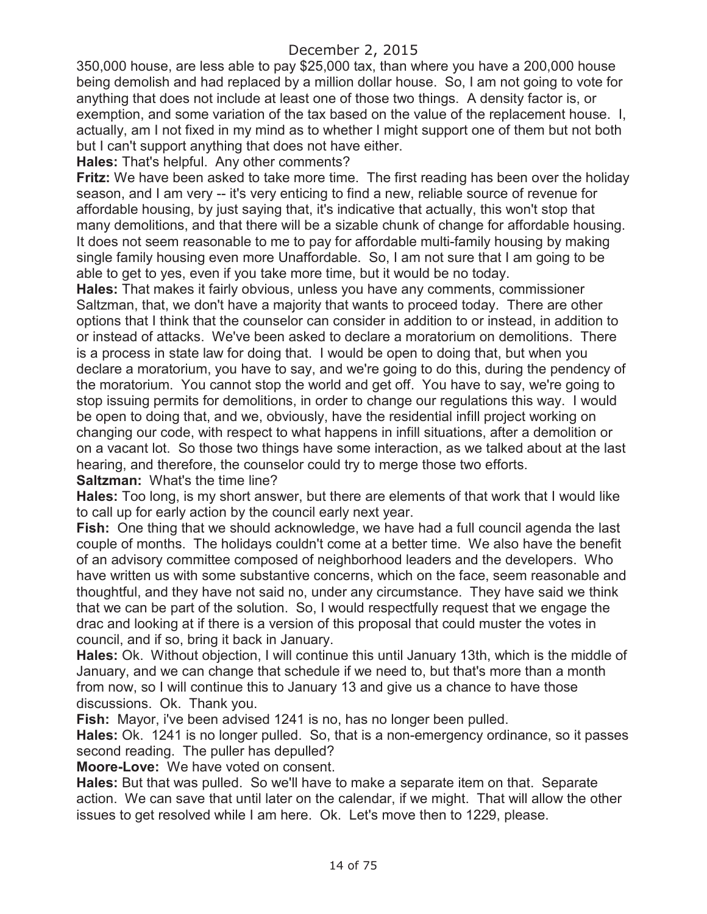350,000 house, are less able to pay \$25,000 tax, than where you have a 200,000 house being demolish and had replaced by a million dollar house. So, I am not going to vote for anything that does not include at least one of those two things. A density factor is, or exemption, and some variation of the tax based on the value of the replacement house. I, actually, am I not fixed in my mind as to whether I might support one of them but not both but I can't support anything that does not have either.

**Hales:** That's helpful. Any other comments?

**Fritz:** We have been asked to take more time. The first reading has been over the holiday season, and I am very -- it's very enticing to find a new, reliable source of revenue for affordable housing, by just saying that, it's indicative that actually, this won't stop that many demolitions, and that there will be a sizable chunk of change for affordable housing. It does not seem reasonable to me to pay for affordable multi-family housing by making single family housing even more Unaffordable. So, I am not sure that I am going to be able to get to yes, even if you take more time, but it would be no today.

**Hales:** That makes it fairly obvious, unless you have any comments, commissioner Saltzman, that, we don't have a majority that wants to proceed today. There are other options that I think that the counselor can consider in addition to or instead, in addition to or instead of attacks. We've been asked to declare a moratorium on demolitions. There is a process in state law for doing that. I would be open to doing that, but when you declare a moratorium, you have to say, and we're going to do this, during the pendency of the moratorium. You cannot stop the world and get off. You have to say, we're going to stop issuing permits for demolitions, in order to change our regulations this way. I would be open to doing that, and we, obviously, have the residential infill project working on changing our code, with respect to what happens in infill situations, after a demolition or on a vacant lot. So those two things have some interaction, as we talked about at the last hearing, and therefore, the counselor could try to merge those two efforts.

**Saltzman:** What's the time line?

**Hales:** Too long, is my short answer, but there are elements of that work that I would like to call up for early action by the council early next year.

**Fish:** One thing that we should acknowledge, we have had a full council agenda the last couple of months. The holidays couldn't come at a better time. We also have the benefit of an advisory committee composed of neighborhood leaders and the developers. Who have written us with some substantive concerns, which on the face, seem reasonable and thoughtful, and they have not said no, under any circumstance. They have said we think that we can be part of the solution. So, I would respectfully request that we engage the drac and looking at if there is a version of this proposal that could muster the votes in council, and if so, bring it back in January.

**Hales:** Ok. Without objection, I will continue this until January 13th, which is the middle of January, and we can change that schedule if we need to, but that's more than a month from now, so I will continue this to January 13 and give us a chance to have those discussions. Ok. Thank you.

**Fish:** Mayor, i've been advised 1241 is no, has no longer been pulled.

**Hales:** Ok. 1241 is no longer pulled. So, that is a non-emergency ordinance, so it passes second reading. The puller has depulled?

**Moore-Love:** We have voted on consent.

**Hales:** But that was pulled. So we'll have to make a separate item on that. Separate action. We can save that until later on the calendar, if we might. That will allow the other issues to get resolved while I am here. Ok. Let's move then to 1229, please.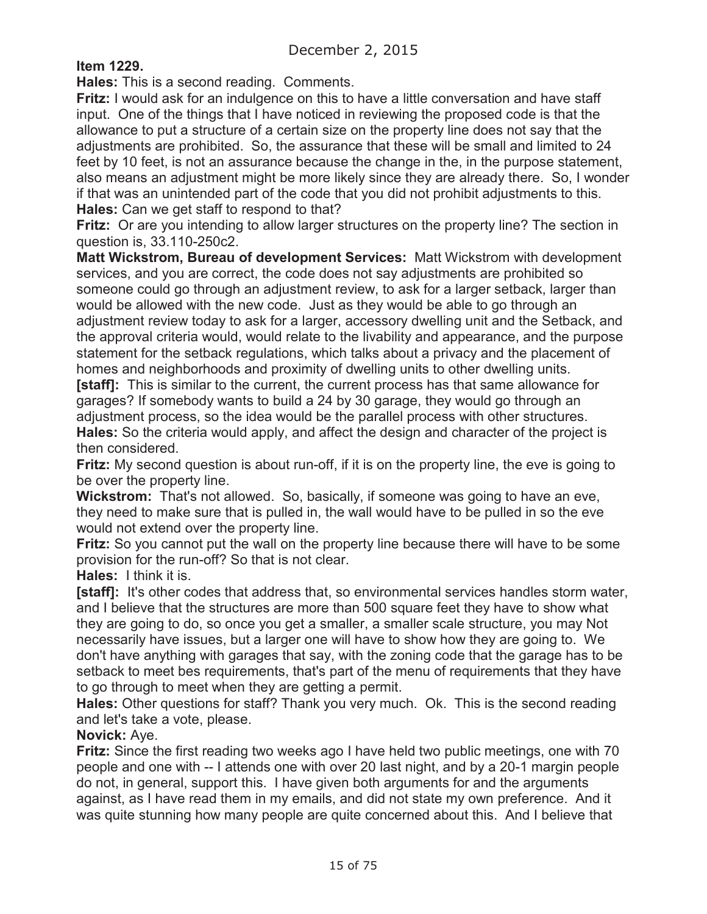# **Item 1229.**

**Hales:** This is a second reading. Comments.

**Fritz:** I would ask for an indulgence on this to have a little conversation and have staff input. One of the things that I have noticed in reviewing the proposed code is that the allowance to put a structure of a certain size on the property line does not say that the adjustments are prohibited. So, the assurance that these will be small and limited to 24 feet by 10 feet, is not an assurance because the change in the, in the purpose statement, also means an adjustment might be more likely since they are already there. So, I wonder if that was an unintended part of the code that you did not prohibit adjustments to this. **Hales:** Can we get staff to respond to that?

**Fritz:** Or are you intending to allow larger structures on the property line? The section in question is, 33.110-250c2.

**Matt Wickstrom, Bureau of development Services:** Matt Wickstrom with development services, and you are correct, the code does not say adjustments are prohibited so someone could go through an adjustment review, to ask for a larger setback, larger than would be allowed with the new code. Just as they would be able to go through an adjustment review today to ask for a larger, accessory dwelling unit and the Setback, and the approval criteria would, would relate to the livability and appearance, and the purpose statement for the setback regulations, which talks about a privacy and the placement of homes and neighborhoods and proximity of dwelling units to other dwelling units.

**[staff]:** This is similar to the current, the current process has that same allowance for garages? If somebody wants to build a 24 by 30 garage, they would go through an adjustment process, so the idea would be the parallel process with other structures. **Hales:** So the criteria would apply, and affect the design and character of the project is then considered.

**Fritz:** My second question is about run-off, if it is on the property line, the eve is going to be over the property line.

**Wickstrom:** That's not allowed. So, basically, if someone was going to have an eve, they need to make sure that is pulled in, the wall would have to be pulled in so the eve would not extend over the property line.

**Fritz:** So you cannot put the wall on the property line because there will have to be some provision for the run-off? So that is not clear.

**Hales:** I think it is.

**[staff]:** It's other codes that address that, so environmental services handles storm water, and I believe that the structures are more than 500 square feet they have to show what they are going to do, so once you get a smaller, a smaller scale structure, you may Not necessarily have issues, but a larger one will have to show how they are going to. We don't have anything with garages that say, with the zoning code that the garage has to be setback to meet bes requirements, that's part of the menu of requirements that they have to go through to meet when they are getting a permit.

**Hales:** Other questions for staff? Thank you very much. Ok. This is the second reading and let's take a vote, please.

**Novick:** Aye.

**Fritz:** Since the first reading two weeks ago I have held two public meetings, one with 70 people and one with -- I attends one with over 20 last night, and by a 20-1 margin people do not, in general, support this. I have given both arguments for and the arguments against, as I have read them in my emails, and did not state my own preference. And it was quite stunning how many people are quite concerned about this. And I believe that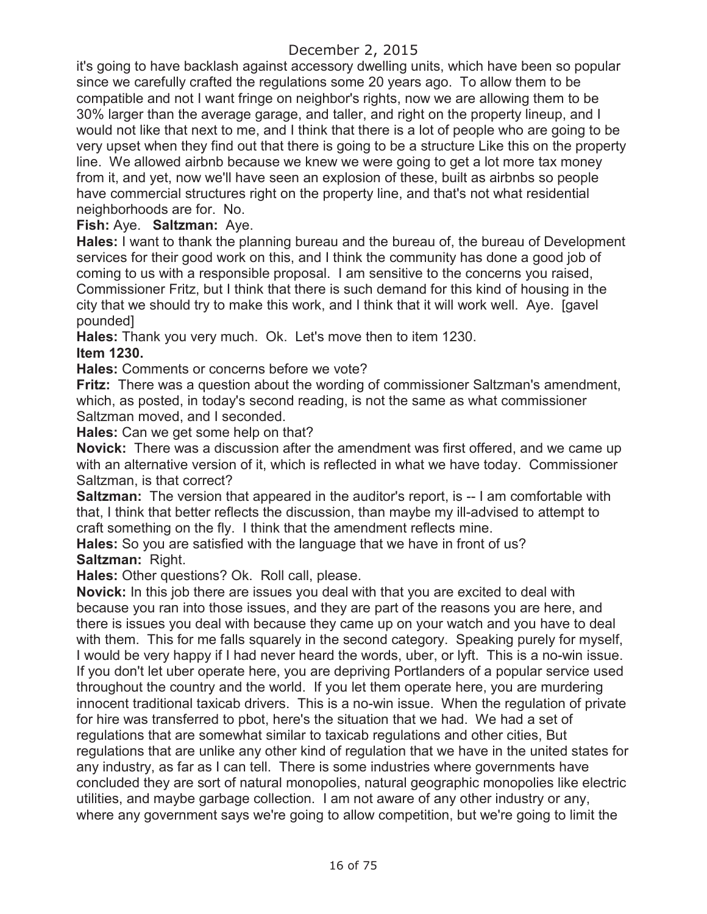it's going to have backlash against accessory dwelling units, which have been so popular since we carefully crafted the regulations some 20 years ago. To allow them to be compatible and not I want fringe on neighbor's rights, now we are allowing them to be 30% larger than the average garage, and taller, and right on the property lineup, and I would not like that next to me, and I think that there is a lot of people who are going to be very upset when they find out that there is going to be a structure Like this on the property line. We allowed airbnb because we knew we were going to get a lot more tax money from it, and yet, now we'll have seen an explosion of these, built as airbnbs so people have commercial structures right on the property line, and that's not what residential neighborhoods are for. No.

**Fish:** Aye. **Saltzman:** Aye.

**Hales:** I want to thank the planning bureau and the bureau of, the bureau of Development services for their good work on this, and I think the community has done a good job of coming to us with a responsible proposal. I am sensitive to the concerns you raised, Commissioner Fritz, but I think that there is such demand for this kind of housing in the city that we should try to make this work, and I think that it will work well. Aye. [gavel pounded]

**Hales:** Thank you very much. Ok. Let's move then to item 1230. **Item 1230.**

**Hales:** Comments or concerns before we vote?

**Fritz:** There was a question about the wording of commissioner Saltzman's amendment, which, as posted, in today's second reading, is not the same as what commissioner Saltzman moved, and I seconded.

**Hales:** Can we get some help on that?

**Novick:** There was a discussion after the amendment was first offered, and we came up with an alternative version of it, which is reflected in what we have today. Commissioner Saltzman, is that correct?

**Saltzman:** The version that appeared in the auditor's report, is -- I am comfortable with that, I think that better reflects the discussion, than maybe my ill-advised to attempt to craft something on the fly. I think that the amendment reflects mine.

**Hales:** So you are satisfied with the language that we have in front of us? **Saltzman:** Right.

**Hales:** Other questions? Ok. Roll call, please.

**Novick:** In this job there are issues you deal with that you are excited to deal with because you ran into those issues, and they are part of the reasons you are here, and there is issues you deal with because they came up on your watch and you have to deal with them. This for me falls squarely in the second category. Speaking purely for myself, I would be very happy if I had never heard the words, uber, or lyft. This is a no-win issue. If you don't let uber operate here, you are depriving Portlanders of a popular service used throughout the country and the world. If you let them operate here, you are murdering innocent traditional taxicab drivers. This is a no-win issue. When the regulation of private for hire was transferred to pbot, here's the situation that we had. We had a set of regulations that are somewhat similar to taxicab regulations and other cities, But regulations that are unlike any other kind of regulation that we have in the united states for any industry, as far as I can tell. There is some industries where governments have concluded they are sort of natural monopolies, natural geographic monopolies like electric utilities, and maybe garbage collection. I am not aware of any other industry or any, where any government says we're going to allow competition, but we're going to limit the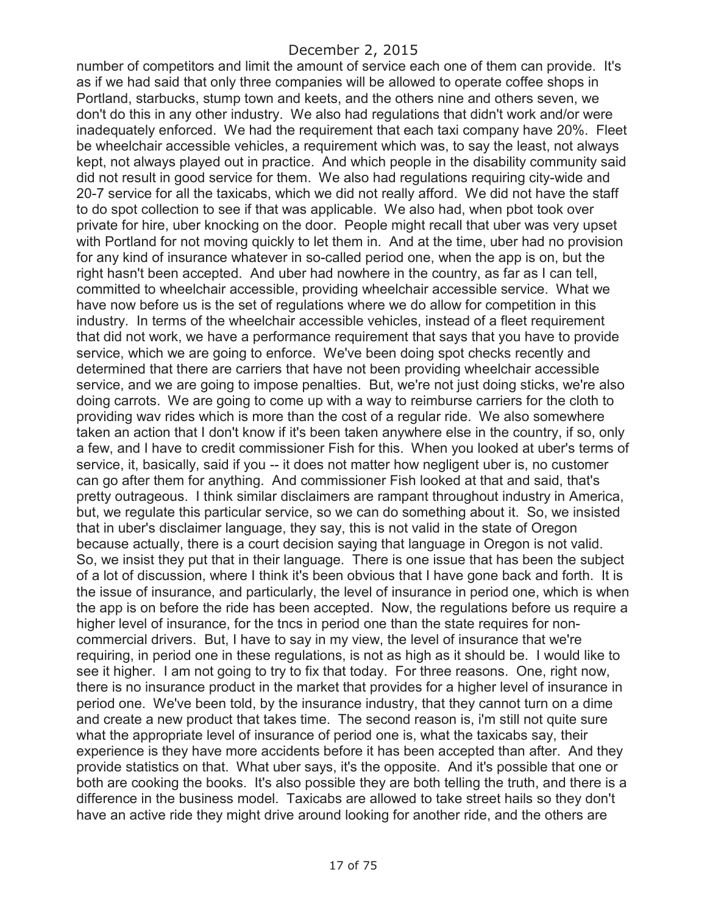number of competitors and limit the amount of service each one of them can provide. It's as if we had said that only three companies will be allowed to operate coffee shops in Portland, starbucks, stump town and keets, and the others nine and others seven, we don't do this in any other industry. We also had regulations that didn't work and/or were inadequately enforced. We had the requirement that each taxi company have 20%. Fleet be wheelchair accessible vehicles, a requirement which was, to say the least, not always kept, not always played out in practice. And which people in the disability community said did not result in good service for them. We also had regulations requiring city-wide and 20-7 service for all the taxicabs, which we did not really afford. We did not have the staff to do spot collection to see if that was applicable. We also had, when pbot took over private for hire, uber knocking on the door. People might recall that uber was very upset with Portland for not moving quickly to let them in. And at the time, uber had no provision for any kind of insurance whatever in so-called period one, when the app is on, but the right hasn't been accepted. And uber had nowhere in the country, as far as I can tell, committed to wheelchair accessible, providing wheelchair accessible service. What we have now before us is the set of regulations where we do allow for competition in this industry. In terms of the wheelchair accessible vehicles, instead of a fleet requirement that did not work, we have a performance requirement that says that you have to provide service, which we are going to enforce. We've been doing spot checks recently and determined that there are carriers that have not been providing wheelchair accessible service, and we are going to impose penalties. But, we're not just doing sticks, we're also doing carrots. We are going to come up with a way to reimburse carriers for the cloth to providing wav rides which is more than the cost of a regular ride. We also somewhere taken an action that I don't know if it's been taken anywhere else in the country, if so, only a few, and I have to credit commissioner Fish for this. When you looked at uber's terms of service, it, basically, said if you -- it does not matter how negligent uber is, no customer can go after them for anything. And commissioner Fish looked at that and said, that's pretty outrageous. I think similar disclaimers are rampant throughout industry in America, but, we regulate this particular service, so we can do something about it. So, we insisted that in uber's disclaimer language, they say, this is not valid in the state of Oregon because actually, there is a court decision saying that language in Oregon is not valid. So, we insist they put that in their language. There is one issue that has been the subject of a lot of discussion, where I think it's been obvious that I have gone back and forth. It is the issue of insurance, and particularly, the level of insurance in period one, which is when the app is on before the ride has been accepted. Now, the regulations before us require a higher level of insurance, for the tncs in period one than the state requires for noncommercial drivers. But, I have to say in my view, the level of insurance that we're requiring, in period one in these regulations, is not as high as it should be. I would like to see it higher. I am not going to try to fix that today. For three reasons. One, right now, there is no insurance product in the market that provides for a higher level of insurance in period one. We've been told, by the insurance industry, that they cannot turn on a dime and create a new product that takes time. The second reason is, i'm still not quite sure what the appropriate level of insurance of period one is, what the taxicabs say, their experience is they have more accidents before it has been accepted than after. And they provide statistics on that. What uber says, it's the opposite. And it's possible that one or both are cooking the books. It's also possible they are both telling the truth, and there is a difference in the business model. Taxicabs are allowed to take street hails so they don't have an active ride they might drive around looking for another ride, and the others are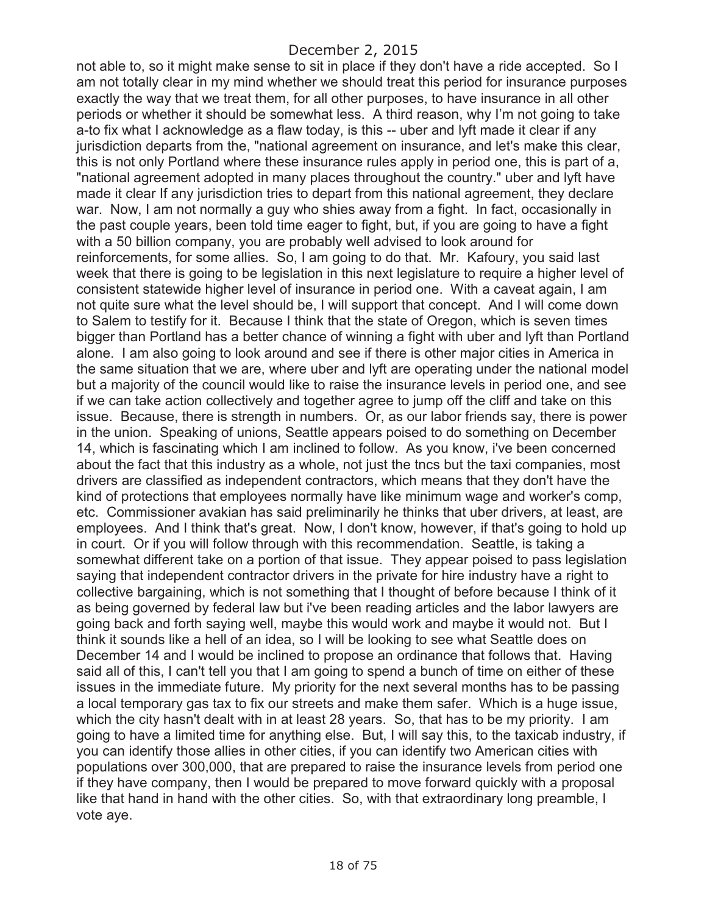not able to, so it might make sense to sit in place if they don't have a ride accepted. So I am not totally clear in my mind whether we should treat this period for insurance purposes exactly the way that we treat them, for all other purposes, to have insurance in all other periods or whether it should be somewhat less. A third reason, why I'm not going to take a-to fix what I acknowledge as a flaw today, is this -- uber and lyft made it clear if any jurisdiction departs from the, "national agreement on insurance, and let's make this clear, this is not only Portland where these insurance rules apply in period one, this is part of a, "national agreement adopted in many places throughout the country." uber and lyft have made it clear If any jurisdiction tries to depart from this national agreement, they declare war. Now, I am not normally a guy who shies away from a fight. In fact, occasionally in the past couple years, been told time eager to fight, but, if you are going to have a fight with a 50 billion company, you are probably well advised to look around for reinforcements, for some allies. So, I am going to do that. Mr. Kafoury, you said last week that there is going to be legislation in this next legislature to require a higher level of consistent statewide higher level of insurance in period one. With a caveat again, I am not quite sure what the level should be, I will support that concept. And I will come down to Salem to testify for it. Because I think that the state of Oregon, which is seven times bigger than Portland has a better chance of winning a fight with uber and lyft than Portland alone. I am also going to look around and see if there is other major cities in America in the same situation that we are, where uber and lyft are operating under the national model but a majority of the council would like to raise the insurance levels in period one, and see if we can take action collectively and together agree to jump off the cliff and take on this issue. Because, there is strength in numbers. Or, as our labor friends say, there is power in the union. Speaking of unions, Seattle appears poised to do something on December 14, which is fascinating which I am inclined to follow. As you know, i've been concerned about the fact that this industry as a whole, not just the tncs but the taxi companies, most drivers are classified as independent contractors, which means that they don't have the kind of protections that employees normally have like minimum wage and worker's comp, etc. Commissioner avakian has said preliminarily he thinks that uber drivers, at least, are employees. And I think that's great. Now, I don't know, however, if that's going to hold up in court. Or if you will follow through with this recommendation. Seattle, is taking a somewhat different take on a portion of that issue. They appear poised to pass legislation saying that independent contractor drivers in the private for hire industry have a right to collective bargaining, which is not something that I thought of before because I think of it as being governed by federal law but i've been reading articles and the labor lawyers are going back and forth saying well, maybe this would work and maybe it would not. But I think it sounds like a hell of an idea, so I will be looking to see what Seattle does on December 14 and I would be inclined to propose an ordinance that follows that. Having said all of this, I can't tell you that I am going to spend a bunch of time on either of these issues in the immediate future. My priority for the next several months has to be passing a local temporary gas tax to fix our streets and make them safer. Which is a huge issue, which the city hasn't dealt with in at least 28 years. So, that has to be my priority. I am going to have a limited time for anything else. But, I will say this, to the taxicab industry, if you can identify those allies in other cities, if you can identify two American cities with populations over 300,000, that are prepared to raise the insurance levels from period one if they have company, then I would be prepared to move forward quickly with a proposal like that hand in hand with the other cities. So, with that extraordinary long preamble, I vote aye.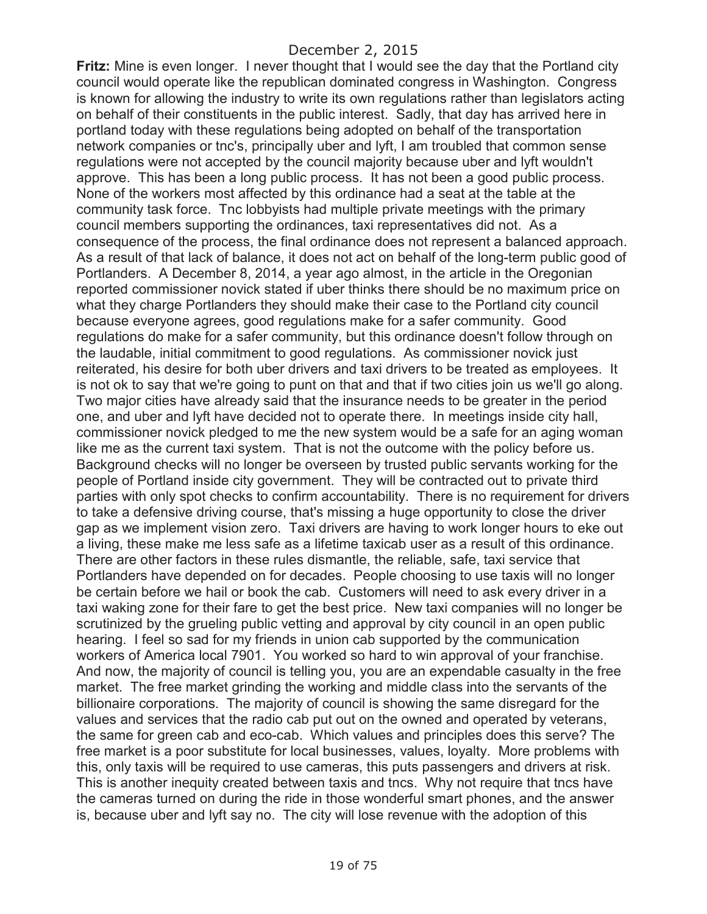**Fritz:** Mine is even longer. I never thought that I would see the day that the Portland city council would operate like the republican dominated congress in Washington. Congress is known for allowing the industry to write its own regulations rather than legislators acting on behalf of their constituents in the public interest. Sadly, that day has arrived here in portland today with these regulations being adopted on behalf of the transportation network companies or tnc's, principally uber and lyft, I am troubled that common sense regulations were not accepted by the council majority because uber and lyft wouldn't approve. This has been a long public process. It has not been a good public process. None of the workers most affected by this ordinance had a seat at the table at the community task force. Tnc lobbyists had multiple private meetings with the primary council members supporting the ordinances, taxi representatives did not. As a consequence of the process, the final ordinance does not represent a balanced approach. As a result of that lack of balance, it does not act on behalf of the long-term public good of Portlanders. A December 8, 2014, a year ago almost, in the article in the Oregonian reported commissioner novick stated if uber thinks there should be no maximum price on what they charge Portlanders they should make their case to the Portland city council because everyone agrees, good regulations make for a safer community. Good regulations do make for a safer community, but this ordinance doesn't follow through on the laudable, initial commitment to good regulations. As commissioner novick just reiterated, his desire for both uber drivers and taxi drivers to be treated as employees. It is not ok to say that we're going to punt on that and that if two cities join us we'll go along. Two major cities have already said that the insurance needs to be greater in the period one, and uber and lyft have decided not to operate there. In meetings inside city hall, commissioner novick pledged to me the new system would be a safe for an aging woman like me as the current taxi system. That is not the outcome with the policy before us. Background checks will no longer be overseen by trusted public servants working for the people of Portland inside city government. They will be contracted out to private third parties with only spot checks to confirm accountability. There is no requirement for drivers to take a defensive driving course, that's missing a huge opportunity to close the driver gap as we implement vision zero. Taxi drivers are having to work longer hours to eke out a living, these make me less safe as a lifetime taxicab user as a result of this ordinance. There are other factors in these rules dismantle, the reliable, safe, taxi service that Portlanders have depended on for decades. People choosing to use taxis will no longer be certain before we hail or book the cab. Customers will need to ask every driver in a taxi waking zone for their fare to get the best price. New taxi companies will no longer be scrutinized by the grueling public vetting and approval by city council in an open public hearing. I feel so sad for my friends in union cab supported by the communication workers of America local 7901. You worked so hard to win approval of your franchise. And now, the majority of council is telling you, you are an expendable casualty in the free market. The free market grinding the working and middle class into the servants of the billionaire corporations. The majority of council is showing the same disregard for the values and services that the radio cab put out on the owned and operated by veterans, the same for green cab and eco-cab. Which values and principles does this serve? The free market is a poor substitute for local businesses, values, loyalty. More problems with this, only taxis will be required to use cameras, this puts passengers and drivers at risk. This is another inequity created between taxis and tncs. Why not require that tncs have the cameras turned on during the ride in those wonderful smart phones, and the answer is, because uber and lyft say no. The city will lose revenue with the adoption of this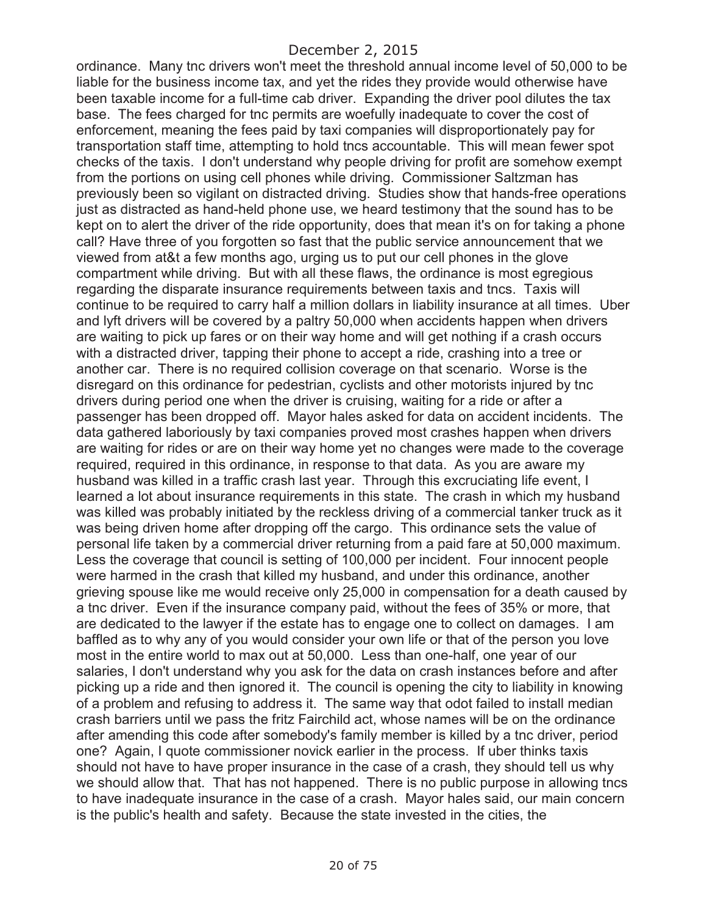ordinance. Many tnc drivers won't meet the threshold annual income level of 50,000 to be liable for the business income tax, and yet the rides they provide would otherwise have been taxable income for a full-time cab driver. Expanding the driver pool dilutes the tax base. The fees charged for tnc permits are woefully inadequate to cover the cost of enforcement, meaning the fees paid by taxi companies will disproportionately pay for transportation staff time, attempting to hold tncs accountable. This will mean fewer spot checks of the taxis. I don't understand why people driving for profit are somehow exempt from the portions on using cell phones while driving. Commissioner Saltzman has previously been so vigilant on distracted driving. Studies show that hands-free operations just as distracted as hand-held phone use, we heard testimony that the sound has to be kept on to alert the driver of the ride opportunity, does that mean it's on for taking a phone call? Have three of you forgotten so fast that the public service announcement that we viewed from at&t a few months ago, urging us to put our cell phones in the glove compartment while driving. But with all these flaws, the ordinance is most egregious regarding the disparate insurance requirements between taxis and tncs. Taxis will continue to be required to carry half a million dollars in liability insurance at all times. Uber and lyft drivers will be covered by a paltry 50,000 when accidents happen when drivers are waiting to pick up fares or on their way home and will get nothing if a crash occurs with a distracted driver, tapping their phone to accept a ride, crashing into a tree or another car. There is no required collision coverage on that scenario. Worse is the disregard on this ordinance for pedestrian, cyclists and other motorists injured by tnc drivers during period one when the driver is cruising, waiting for a ride or after a passenger has been dropped off. Mayor hales asked for data on accident incidents. The data gathered laboriously by taxi companies proved most crashes happen when drivers are waiting for rides or are on their way home yet no changes were made to the coverage required, required in this ordinance, in response to that data. As you are aware my husband was killed in a traffic crash last year. Through this excruciating life event, I learned a lot about insurance requirements in this state. The crash in which my husband was killed was probably initiated by the reckless driving of a commercial tanker truck as it was being driven home after dropping off the cargo. This ordinance sets the value of personal life taken by a commercial driver returning from a paid fare at 50,000 maximum. Less the coverage that council is setting of 100,000 per incident. Four innocent people were harmed in the crash that killed my husband, and under this ordinance, another grieving spouse like me would receive only 25,000 in compensation for a death caused by a tnc driver. Even if the insurance company paid, without the fees of 35% or more, that are dedicated to the lawyer if the estate has to engage one to collect on damages. I am baffled as to why any of you would consider your own life or that of the person you love most in the entire world to max out at 50,000. Less than one-half, one year of our salaries, I don't understand why you ask for the data on crash instances before and after picking up a ride and then ignored it. The council is opening the city to liability in knowing of a problem and refusing to address it. The same way that odot failed to install median crash barriers until we pass the fritz Fairchild act, whose names will be on the ordinance after amending this code after somebody's family member is killed by a tnc driver, period one? Again, I quote commissioner novick earlier in the process. If uber thinks taxis should not have to have proper insurance in the case of a crash, they should tell us why we should allow that. That has not happened. There is no public purpose in allowing tncs to have inadequate insurance in the case of a crash. Mayor hales said, our main concern is the public's health and safety. Because the state invested in the cities, the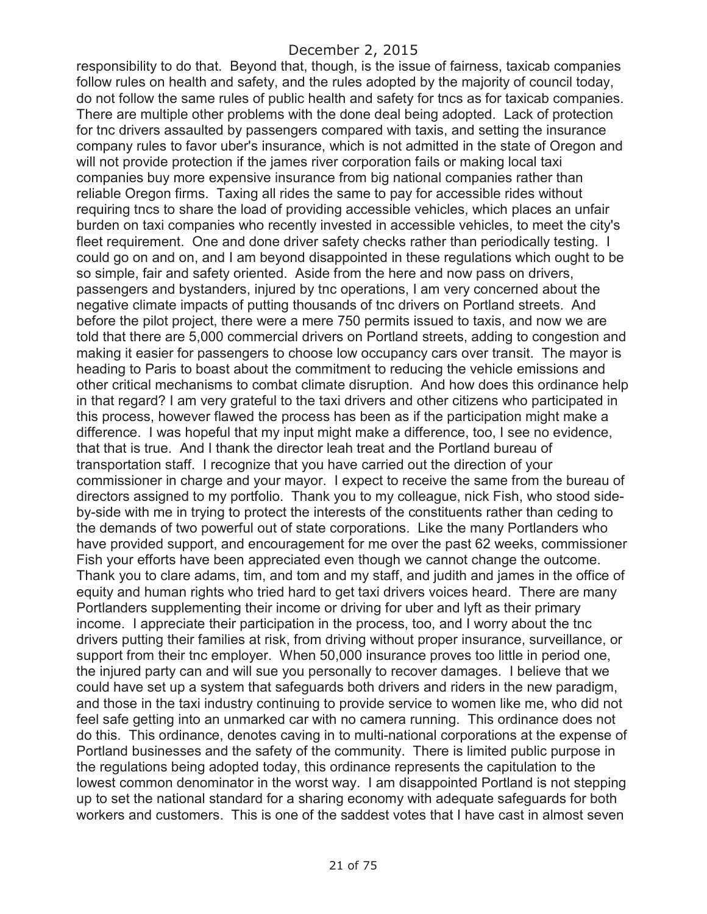responsibility to do that. Beyond that, though, is the issue of fairness, taxicab companies follow rules on health and safety, and the rules adopted by the majority of council today, do not follow the same rules of public health and safety for tncs as for taxicab companies. There are multiple other problems with the done deal being adopted. Lack of protection for tnc drivers assaulted by passengers compared with taxis, and setting the insurance company rules to favor uber's insurance, which is not admitted in the state of Oregon and will not provide protection if the james river corporation fails or making local taxi companies buy more expensive insurance from big national companies rather than reliable Oregon firms. Taxing all rides the same to pay for accessible rides without requiring tncs to share the load of providing accessible vehicles, which places an unfair burden on taxi companies who recently invested in accessible vehicles, to meet the city's fleet requirement. One and done driver safety checks rather than periodically testing. I could go on and on, and I am beyond disappointed in these regulations which ought to be so simple, fair and safety oriented. Aside from the here and now pass on drivers, passengers and bystanders, injured by tnc operations, I am very concerned about the negative climate impacts of putting thousands of tnc drivers on Portland streets. And before the pilot project, there were a mere 750 permits issued to taxis, and now we are told that there are 5,000 commercial drivers on Portland streets, adding to congestion and making it easier for passengers to choose low occupancy cars over transit. The mayor is heading to Paris to boast about the commitment to reducing the vehicle emissions and other critical mechanisms to combat climate disruption. And how does this ordinance help in that regard? I am very grateful to the taxi drivers and other citizens who participated in this process, however flawed the process has been as if the participation might make a difference. I was hopeful that my input might make a difference, too, I see no evidence, that that is true. And I thank the director leah treat and the Portland bureau of transportation staff. I recognize that you have carried out the direction of your commissioner in charge and your mayor. I expect to receive the same from the bureau of directors assigned to my portfolio. Thank you to my colleague, nick Fish, who stood sideby-side with me in trying to protect the interests of the constituents rather than ceding to the demands of two powerful out of state corporations. Like the many Portlanders who have provided support, and encouragement for me over the past 62 weeks, commissioner Fish your efforts have been appreciated even though we cannot change the outcome. Thank you to clare adams, tim, and tom and my staff, and judith and james in the office of equity and human rights who tried hard to get taxi drivers voices heard. There are many Portlanders supplementing their income or driving for uber and lyft as their primary income. I appreciate their participation in the process, too, and I worry about the tnc drivers putting their families at risk, from driving without proper insurance, surveillance, or support from their tnc employer. When 50,000 insurance proves too little in period one, the injured party can and will sue you personally to recover damages. I believe that we could have set up a system that safeguards both drivers and riders in the new paradigm, and those in the taxi industry continuing to provide service to women like me, who did not feel safe getting into an unmarked car with no camera running. This ordinance does not do this. This ordinance, denotes caving in to multi-national corporations at the expense of Portland businesses and the safety of the community. There is limited public purpose in the regulations being adopted today, this ordinance represents the capitulation to the lowest common denominator in the worst way. I am disappointed Portland is not stepping up to set the national standard for a sharing economy with adequate safeguards for both workers and customers. This is one of the saddest votes that I have cast in almost seven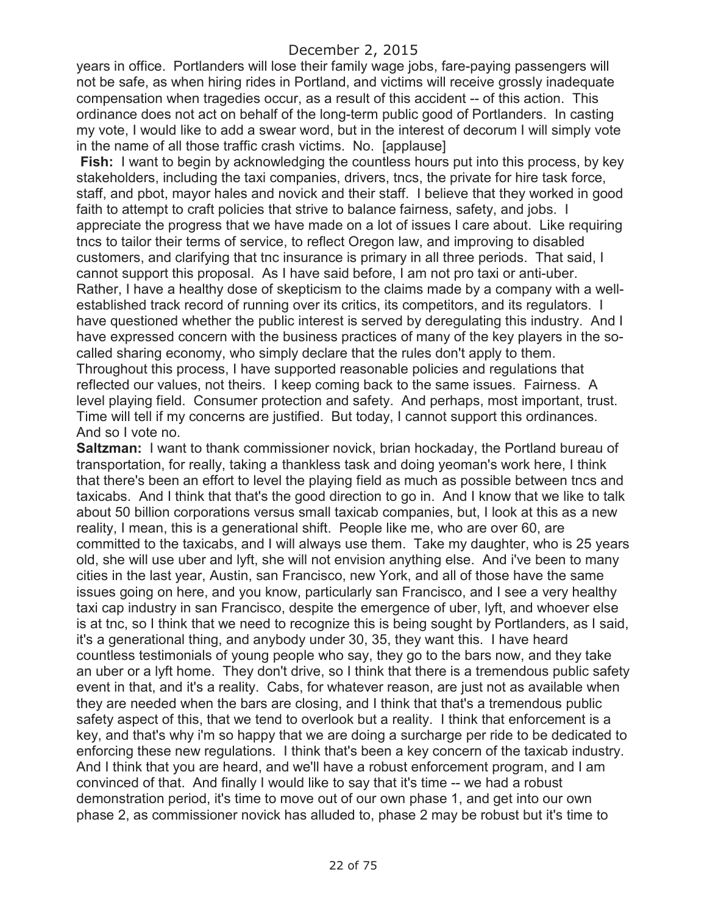years in office. Portlanders will lose their family wage jobs, fare-paying passengers will not be safe, as when hiring rides in Portland, and victims will receive grossly inadequate compensation when tragedies occur, as a result of this accident -- of this action. This ordinance does not act on behalf of the long-term public good of Portlanders. In casting my vote, I would like to add a swear word, but in the interest of decorum I will simply vote in the name of all those traffic crash victims. No. [applause]

**Fish:** I want to begin by acknowledging the countless hours put into this process, by key stakeholders, including the taxi companies, drivers, tncs, the private for hire task force, staff, and pbot, mayor hales and novick and their staff. I believe that they worked in good faith to attempt to craft policies that strive to balance fairness, safety, and jobs. I appreciate the progress that we have made on a lot of issues I care about. Like requiring tncs to tailor their terms of service, to reflect Oregon law, and improving to disabled customers, and clarifying that tnc insurance is primary in all three periods. That said, I cannot support this proposal. As I have said before, I am not pro taxi or anti-uber. Rather, I have a healthy dose of skepticism to the claims made by a company with a wellestablished track record of running over its critics, its competitors, and its regulators. I have questioned whether the public interest is served by deregulating this industry. And I have expressed concern with the business practices of many of the key players in the socalled sharing economy, who simply declare that the rules don't apply to them. Throughout this process, I have supported reasonable policies and regulations that reflected our values, not theirs. I keep coming back to the same issues. Fairness. A level playing field. Consumer protection and safety. And perhaps, most important, trust. Time will tell if my concerns are justified. But today, I cannot support this ordinances. And so I vote no.

**Saltzman:** I want to thank commissioner novick, brian hockaday, the Portland bureau of transportation, for really, taking a thankless task and doing yeoman's work here, I think that there's been an effort to level the playing field as much as possible between tncs and taxicabs. And I think that that's the good direction to go in. And I know that we like to talk about 50 billion corporations versus small taxicab companies, but, I look at this as a new reality, I mean, this is a generational shift. People like me, who are over 60, are committed to the taxicabs, and I will always use them. Take my daughter, who is 25 years old, she will use uber and lyft, she will not envision anything else. And i've been to many cities in the last year, Austin, san Francisco, new York, and all of those have the same issues going on here, and you know, particularly san Francisco, and I see a very healthy taxi cap industry in san Francisco, despite the emergence of uber, lyft, and whoever else is at tnc, so I think that we need to recognize this is being sought by Portlanders, as I said, it's a generational thing, and anybody under 30, 35, they want this. I have heard countless testimonials of young people who say, they go to the bars now, and they take an uber or a lyft home. They don't drive, so I think that there is a tremendous public safety event in that, and it's a reality. Cabs, for whatever reason, are just not as available when they are needed when the bars are closing, and I think that that's a tremendous public safety aspect of this, that we tend to overlook but a reality. I think that enforcement is a key, and that's why i'm so happy that we are doing a surcharge per ride to be dedicated to enforcing these new regulations. I think that's been a key concern of the taxicab industry. And I think that you are heard, and we'll have a robust enforcement program, and I am convinced of that. And finally I would like to say that it's time -- we had a robust demonstration period, it's time to move out of our own phase 1, and get into our own phase 2, as commissioner novick has alluded to, phase 2 may be robust but it's time to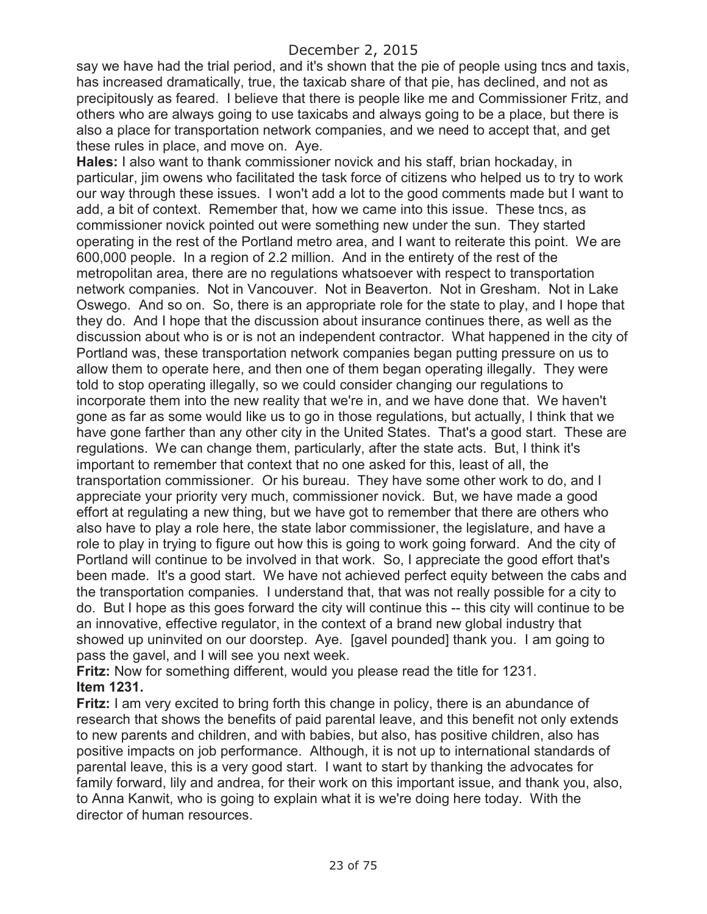say we have had the trial period, and it's shown that the pie of people using tncs and taxis, has increased dramatically, true, the taxicab share of that pie, has declined, and not as precipitously as feared. I believe that there is people like me and Commissioner Fritz, and others who are always going to use taxicabs and always going to be a place, but there is also a place for transportation network companies, and we need to accept that, and get these rules in place, and move on. Aye.

**Hales:** I also want to thank commissioner novick and his staff, brian hockaday, in particular, jim owens who facilitated the task force of citizens who helped us to try to work our way through these issues. I won't add a lot to the good comments made but I want to add, a bit of context. Remember that, how we came into this issue. These tncs, as commissioner novick pointed out were something new under the sun. They started operating in the rest of the Portland metro area, and I want to reiterate this point. We are 600,000 people. In a region of 2.2 million. And in the entirety of the rest of the metropolitan area, there are no regulations whatsoever with respect to transportation network companies. Not in Vancouver. Not in Beaverton. Not in Gresham. Not in Lake Oswego. And so on. So, there is an appropriate role for the state to play, and I hope that they do. And I hope that the discussion about insurance continues there, as well as the discussion about who is or is not an independent contractor. What happened in the city of Portland was, these transportation network companies began putting pressure on us to allow them to operate here, and then one of them began operating illegally. They were told to stop operating illegally, so we could consider changing our regulations to incorporate them into the new reality that we're in, and we have done that. We haven't gone as far as some would like us to go in those regulations, but actually, I think that we have gone farther than any other city in the United States. That's a good start. These are regulations. We can change them, particularly, after the state acts. But, I think it's important to remember that context that no one asked for this, least of all, the transportation commissioner. Or his bureau. They have some other work to do, and I appreciate your priority very much, commissioner novick. But, we have made a good effort at regulating a new thing, but we have got to remember that there are others who also have to play a role here, the state labor commissioner, the legislature, and have a role to play in trying to figure out how this is going to work going forward. And the city of Portland will continue to be involved in that work. So, I appreciate the good effort that's been made. It's a good start. We have not achieved perfect equity between the cabs and the transportation companies. I understand that, that was not really possible for a city to do. But I hope as this goes forward the city will continue this -- this city will continue to be an innovative, effective regulator, in the context of a brand new global industry that showed up uninvited on our doorstep. Aye. [gavel pounded] thank you. I am going to pass the gavel, and I will see you next week.

**Fritz:** Now for something different, would you please read the title for 1231. **Item 1231.**

**Fritz:** I am very excited to bring forth this change in policy, there is an abundance of research that shows the benefits of paid parental leave, and this benefit not only extends to new parents and children, and with babies, but also, has positive children, also has positive impacts on job performance. Although, it is not up to international standards of parental leave, this is a very good start. I want to start by thanking the advocates for family forward, lily and andrea, for their work on this important issue, and thank you, also, to Anna Kanwit, who is going to explain what it is we're doing here today. With the director of human resources.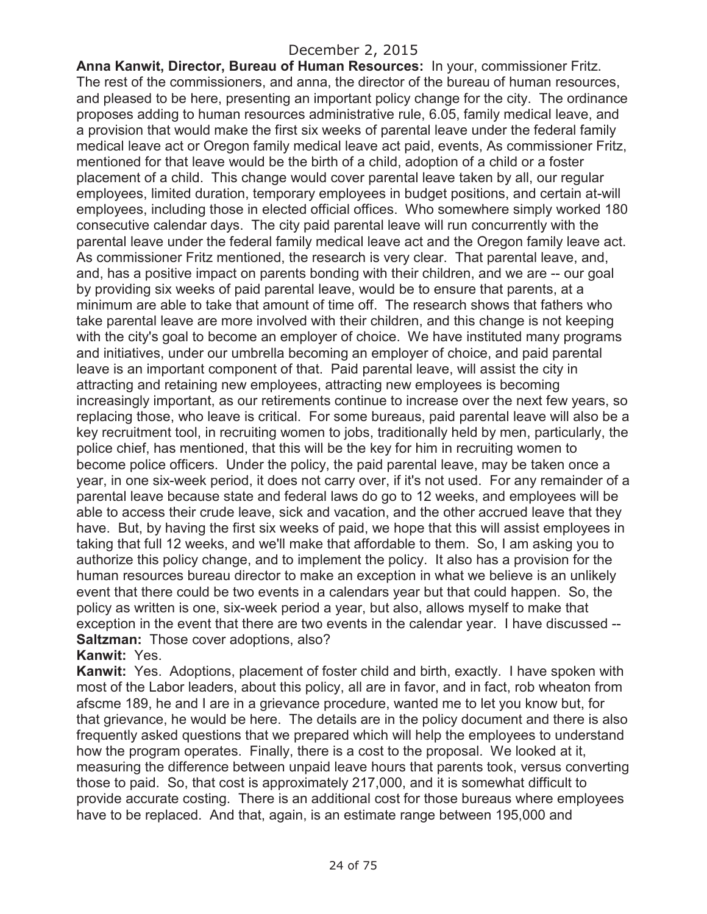**Anna Kanwit, Director, Bureau of Human Resources:** In your, commissioner Fritz. The rest of the commissioners, and anna, the director of the bureau of human resources, and pleased to be here, presenting an important policy change for the city. The ordinance proposes adding to human resources administrative rule, 6.05, family medical leave, and a provision that would make the first six weeks of parental leave under the federal family medical leave act or Oregon family medical leave act paid, events, As commissioner Fritz, mentioned for that leave would be the birth of a child, adoption of a child or a foster placement of a child. This change would cover parental leave taken by all, our regular employees, limited duration, temporary employees in budget positions, and certain at-will employees, including those in elected official offices. Who somewhere simply worked 180 consecutive calendar days. The city paid parental leave will run concurrently with the parental leave under the federal family medical leave act and the Oregon family leave act. As commissioner Fritz mentioned, the research is very clear. That parental leave, and, and, has a positive impact on parents bonding with their children, and we are -- our goal by providing six weeks of paid parental leave, would be to ensure that parents, at a minimum are able to take that amount of time off. The research shows that fathers who take parental leave are more involved with their children, and this change is not keeping with the city's goal to become an employer of choice. We have instituted many programs and initiatives, under our umbrella becoming an employer of choice, and paid parental leave is an important component of that. Paid parental leave, will assist the city in attracting and retaining new employees, attracting new employees is becoming increasingly important, as our retirements continue to increase over the next few years, so replacing those, who leave is critical. For some bureaus, paid parental leave will also be a key recruitment tool, in recruiting women to jobs, traditionally held by men, particularly, the police chief, has mentioned, that this will be the key for him in recruiting women to become police officers. Under the policy, the paid parental leave, may be taken once a year, in one six-week period, it does not carry over, if it's not used. For any remainder of a parental leave because state and federal laws do go to 12 weeks, and employees will be able to access their crude leave, sick and vacation, and the other accrued leave that they have. But, by having the first six weeks of paid, we hope that this will assist employees in taking that full 12 weeks, and we'll make that affordable to them. So, I am asking you to authorize this policy change, and to implement the policy. It also has a provision for the human resources bureau director to make an exception in what we believe is an unlikely event that there could be two events in a calendars year but that could happen. So, the policy as written is one, six-week period a year, but also, allows myself to make that exception in the event that there are two events in the calendar year. I have discussed -- **Saltzman:** Those cover adoptions, also?

#### **Kanwit:** Yes.

**Kanwit:** Yes. Adoptions, placement of foster child and birth, exactly. I have spoken with most of the Labor leaders, about this policy, all are in favor, and in fact, rob wheaton from afscme 189, he and I are in a grievance procedure, wanted me to let you know but, for that grievance, he would be here. The details are in the policy document and there is also frequently asked questions that we prepared which will help the employees to understand how the program operates. Finally, there is a cost to the proposal. We looked at it, measuring the difference between unpaid leave hours that parents took, versus converting those to paid. So, that cost is approximately 217,000, and it is somewhat difficult to provide accurate costing. There is an additional cost for those bureaus where employees have to be replaced. And that, again, is an estimate range between 195,000 and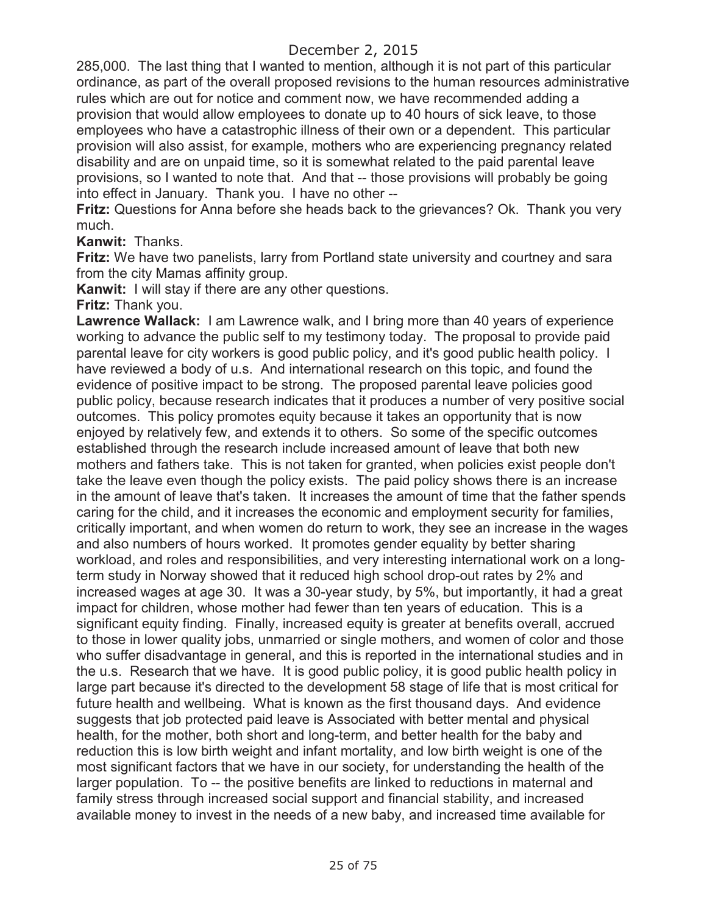285,000. The last thing that I wanted to mention, although it is not part of this particular ordinance, as part of the overall proposed revisions to the human resources administrative rules which are out for notice and comment now, we have recommended adding a provision that would allow employees to donate up to 40 hours of sick leave, to those employees who have a catastrophic illness of their own or a dependent. This particular provision will also assist, for example, mothers who are experiencing pregnancy related disability and are on unpaid time, so it is somewhat related to the paid parental leave provisions, so I wanted to note that. And that -- those provisions will probably be going into effect in January. Thank you. I have no other --

**Fritz:** Questions for Anna before she heads back to the grievances? Ok. Thank you very much.

**Kanwit:** Thanks.

**Fritz:** We have two panelists, larry from Portland state university and courtney and sara from the city Mamas affinity group.

**Kanwit:** I will stay if there are any other questions.

**Fritz:** Thank you.

**Lawrence Wallack:** I am Lawrence walk, and I bring more than 40 years of experience working to advance the public self to my testimony today. The proposal to provide paid parental leave for city workers is good public policy, and it's good public health policy. I have reviewed a body of u.s. And international research on this topic, and found the evidence of positive impact to be strong. The proposed parental leave policies good public policy, because research indicates that it produces a number of very positive social outcomes. This policy promotes equity because it takes an opportunity that is now enjoyed by relatively few, and extends it to others. So some of the specific outcomes established through the research include increased amount of leave that both new mothers and fathers take. This is not taken for granted, when policies exist people don't take the leave even though the policy exists. The paid policy shows there is an increase in the amount of leave that's taken. It increases the amount of time that the father spends caring for the child, and it increases the economic and employment security for families, critically important, and when women do return to work, they see an increase in the wages and also numbers of hours worked. It promotes gender equality by better sharing workload, and roles and responsibilities, and very interesting international work on a longterm study in Norway showed that it reduced high school drop-out rates by 2% and increased wages at age 30. It was a 30-year study, by 5%, but importantly, it had a great impact for children, whose mother had fewer than ten years of education. This is a significant equity finding. Finally, increased equity is greater at benefits overall, accrued to those in lower quality jobs, unmarried or single mothers, and women of color and those who suffer disadvantage in general, and this is reported in the international studies and in the u.s. Research that we have. It is good public policy, it is good public health policy in large part because it's directed to the development 58 stage of life that is most critical for future health and wellbeing. What is known as the first thousand days. And evidence suggests that job protected paid leave is Associated with better mental and physical health, for the mother, both short and long-term, and better health for the baby and reduction this is low birth weight and infant mortality, and low birth weight is one of the most significant factors that we have in our society, for understanding the health of the larger population. To -- the positive benefits are linked to reductions in maternal and family stress through increased social support and financial stability, and increased available money to invest in the needs of a new baby, and increased time available for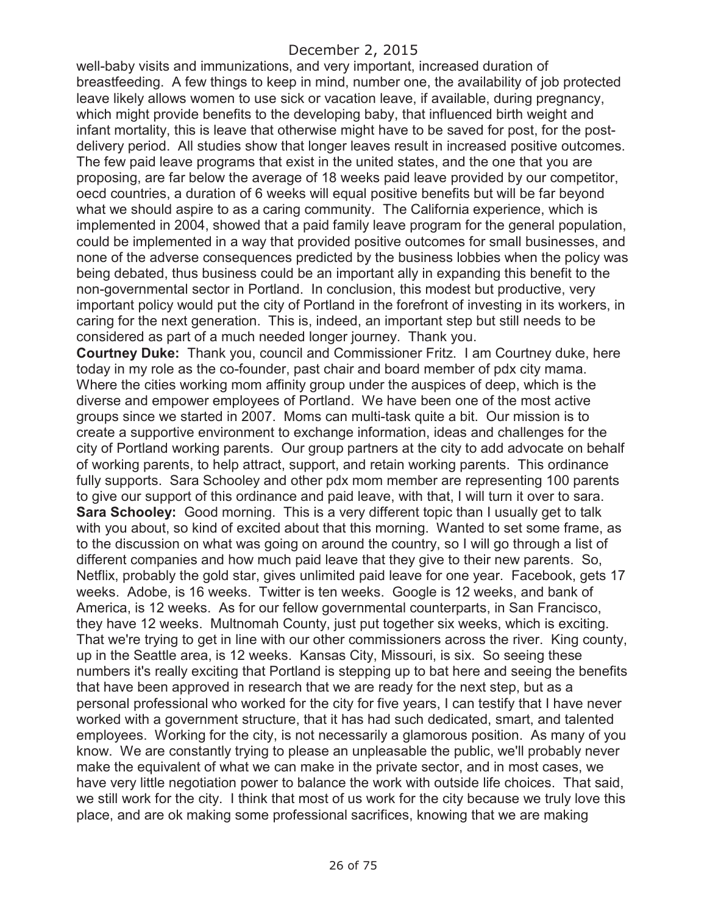well-baby visits and immunizations, and very important, increased duration of breastfeeding. A few things to keep in mind, number one, the availability of job protected leave likely allows women to use sick or vacation leave, if available, during pregnancy, which might provide benefits to the developing baby, that influenced birth weight and infant mortality, this is leave that otherwise might have to be saved for post, for the postdelivery period. All studies show that longer leaves result in increased positive outcomes. The few paid leave programs that exist in the united states, and the one that you are proposing, are far below the average of 18 weeks paid leave provided by our competitor, oecd countries, a duration of 6 weeks will equal positive benefits but will be far beyond what we should aspire to as a caring community. The California experience, which is implemented in 2004, showed that a paid family leave program for the general population, could be implemented in a way that provided positive outcomes for small businesses, and none of the adverse consequences predicted by the business lobbies when the policy was being debated, thus business could be an important ally in expanding this benefit to the non-governmental sector in Portland. In conclusion, this modest but productive, very important policy would put the city of Portland in the forefront of investing in its workers, in caring for the next generation. This is, indeed, an important step but still needs to be considered as part of a much needed longer journey. Thank you.

**Courtney Duke:** Thank you, council and Commissioner Fritz. I am Courtney duke, here today in my role as the co-founder, past chair and board member of pdx city mama. Where the cities working mom affinity group under the auspices of deep, which is the diverse and empower employees of Portland. We have been one of the most active groups since we started in 2007. Moms can multi-task quite a bit. Our mission is to create a supportive environment to exchange information, ideas and challenges for the city of Portland working parents. Our group partners at the city to add advocate on behalf of working parents, to help attract, support, and retain working parents. This ordinance fully supports. Sara Schooley and other pdx mom member are representing 100 parents to give our support of this ordinance and paid leave, with that, I will turn it over to sara. **Sara Schooley:** Good morning. This is a very different topic than I usually get to talk with you about, so kind of excited about that this morning. Wanted to set some frame, as to the discussion on what was going on around the country, so I will go through a list of different companies and how much paid leave that they give to their new parents. So, Netflix, probably the gold star, gives unlimited paid leave for one year. Facebook, gets 17 weeks. Adobe, is 16 weeks. Twitter is ten weeks. Google is 12 weeks, and bank of America, is 12 weeks. As for our fellow governmental counterparts, in San Francisco, they have 12 weeks. Multnomah County, just put together six weeks, which is exciting. That we're trying to get in line with our other commissioners across the river. King county, up in the Seattle area, is 12 weeks. Kansas City, Missouri, is six. So seeing these numbers it's really exciting that Portland is stepping up to bat here and seeing the benefits that have been approved in research that we are ready for the next step, but as a personal professional who worked for the city for five years, I can testify that I have never worked with a government structure, that it has had such dedicated, smart, and talented employees. Working for the city, is not necessarily a glamorous position. As many of you know. We are constantly trying to please an unpleasable the public, we'll probably never make the equivalent of what we can make in the private sector, and in most cases, we have very little negotiation power to balance the work with outside life choices. That said, we still work for the city. I think that most of us work for the city because we truly love this place, and are ok making some professional sacrifices, knowing that we are making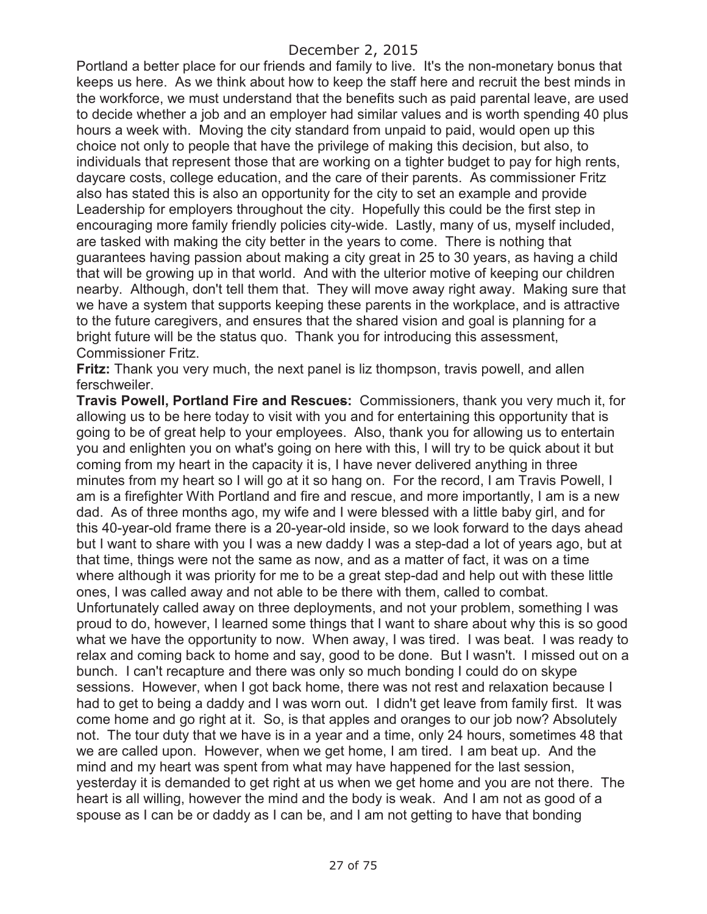Portland a better place for our friends and family to live. It's the non-monetary bonus that keeps us here. As we think about how to keep the staff here and recruit the best minds in the workforce, we must understand that the benefits such as paid parental leave, are used to decide whether a job and an employer had similar values and is worth spending 40 plus hours a week with. Moving the city standard from unpaid to paid, would open up this choice not only to people that have the privilege of making this decision, but also, to individuals that represent those that are working on a tighter budget to pay for high rents, daycare costs, college education, and the care of their parents. As commissioner Fritz also has stated this is also an opportunity for the city to set an example and provide Leadership for employers throughout the city. Hopefully this could be the first step in encouraging more family friendly policies city-wide. Lastly, many of us, myself included, are tasked with making the city better in the years to come. There is nothing that guarantees having passion about making a city great in 25 to 30 years, as having a child that will be growing up in that world. And with the ulterior motive of keeping our children nearby. Although, don't tell them that. They will move away right away. Making sure that we have a system that supports keeping these parents in the workplace, and is attractive to the future caregivers, and ensures that the shared vision and goal is planning for a bright future will be the status quo. Thank you for introducing this assessment, Commissioner Fritz.

**Fritz:** Thank you very much, the next panel is liz thompson, travis powell, and allen ferschweiler.

**Travis Powell, Portland Fire and Rescues:** Commissioners, thank you very much it, for allowing us to be here today to visit with you and for entertaining this opportunity that is going to be of great help to your employees. Also, thank you for allowing us to entertain you and enlighten you on what's going on here with this, I will try to be quick about it but coming from my heart in the capacity it is, I have never delivered anything in three minutes from my heart so I will go at it so hang on. For the record, I am Travis Powell, I am is a firefighter With Portland and fire and rescue, and more importantly, I am is a new dad. As of three months ago, my wife and I were blessed with a little baby girl, and for this 40-year-old frame there is a 20-year-old inside, so we look forward to the days ahead but I want to share with you I was a new daddy I was a step-dad a lot of years ago, but at that time, things were not the same as now, and as a matter of fact, it was on a time where although it was priority for me to be a great step-dad and help out with these little ones, I was called away and not able to be there with them, called to combat. Unfortunately called away on three deployments, and not your problem, something I was proud to do, however, I learned some things that I want to share about why this is so good what we have the opportunity to now. When away, I was tired. I was beat. I was ready to relax and coming back to home and say, good to be done. But I wasn't. I missed out on a bunch. I can't recapture and there was only so much bonding I could do on skype sessions. However, when I got back home, there was not rest and relaxation because I had to get to being a daddy and I was worn out. I didn't get leave from family first. It was come home and go right at it. So, is that apples and oranges to our job now? Absolutely not. The tour duty that we have is in a year and a time, only 24 hours, sometimes 48 that we are called upon. However, when we get home, I am tired. I am beat up. And the mind and my heart was spent from what may have happened for the last session, yesterday it is demanded to get right at us when we get home and you are not there. The heart is all willing, however the mind and the body is weak. And I am not as good of a spouse as I can be or daddy as I can be, and I am not getting to have that bonding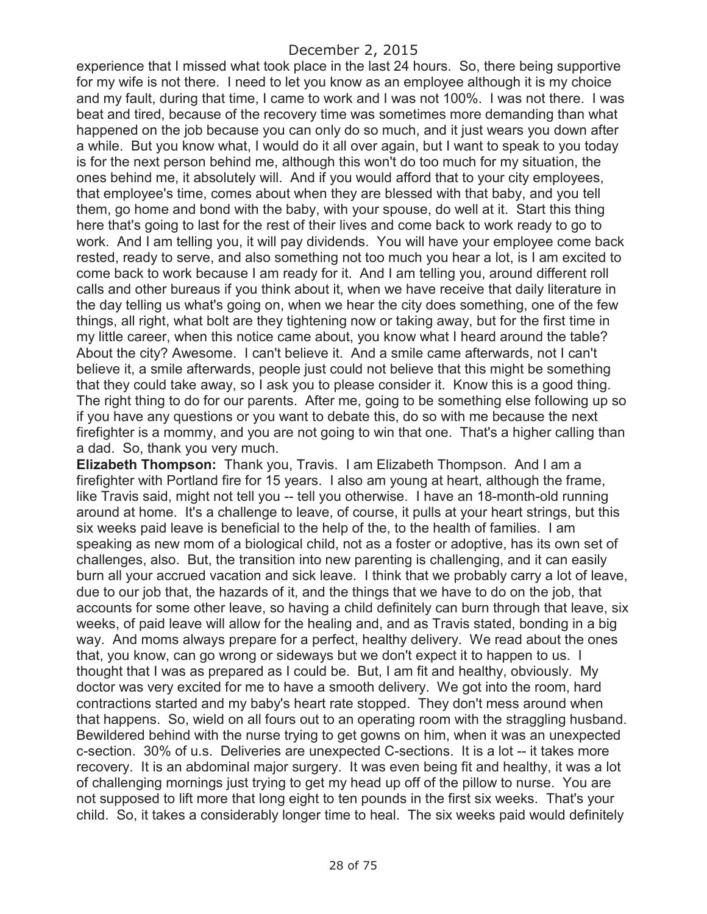experience that I missed what took place in the last 24 hours. So, there being supportive for my wife is not there. I need to let you know as an employee although it is my choice and my fault, during that time, I came to work and I was not 100%. I was not there. I was beat and tired, because of the recovery time was sometimes more demanding than what happened on the job because you can only do so much, and it just wears you down after a while. But you know what, I would do it all over again, but I want to speak to you today is for the next person behind me, although this won't do too much for my situation, the ones behind me, it absolutely will. And if you would afford that to your city employees, that employee's time, comes about when they are blessed with that baby, and you tell them, go home and bond with the baby, with your spouse, do well at it. Start this thing here that's going to last for the rest of their lives and come back to work ready to go to work. And I am telling you, it will pay dividends. You will have your employee come back rested, ready to serve, and also something not too much you hear a lot, is I am excited to come back to work because I am ready for it. And I am telling you, around different roll calls and other bureaus if you think about it, when we have receive that daily literature in the day telling us what's going on, when we hear the city does something, one of the few things, all right, what bolt are they tightening now or taking away, but for the first time in my little career, when this notice came about, you know what I heard around the table? About the city? Awesome. I can't believe it. And a smile came afterwards, not I can't believe it, a smile afterwards, people just could not believe that this might be something that they could take away, so I ask you to please consider it. Know this is a good thing. The right thing to do for our parents. After me, going to be something else following up so if you have any questions or you want to debate this, do so with me because the next firefighter is a mommy, and you are not going to win that one. That's a higher calling than a dad. So, thank you very much.

**Elizabeth Thompson:** Thank you, Travis. I am Elizabeth Thompson. And I am a firefighter with Portland fire for 15 years. I also am young at heart, although the frame, like Travis said, might not tell you -- tell you otherwise. I have an 18-month-old running around at home. It's a challenge to leave, of course, it pulls at your heart strings, but this six weeks paid leave is beneficial to the help of the, to the health of families. I am speaking as new mom of a biological child, not as a foster or adoptive, has its own set of challenges, also. But, the transition into new parenting is challenging, and it can easily burn all your accrued vacation and sick leave. I think that we probably carry a lot of leave, due to our job that, the hazards of it, and the things that we have to do on the job, that accounts for some other leave, so having a child definitely can burn through that leave, six weeks, of paid leave will allow for the healing and, and as Travis stated, bonding in a big way. And moms always prepare for a perfect, healthy delivery. We read about the ones that, you know, can go wrong or sideways but we don't expect it to happen to us. I thought that I was as prepared as I could be. But, I am fit and healthy, obviously. My doctor was very excited for me to have a smooth delivery. We got into the room, hard contractions started and my baby's heart rate stopped. They don't mess around when that happens. So, wield on all fours out to an operating room with the straggling husband. Bewildered behind with the nurse trying to get gowns on him, when it was an unexpected c-section. 30% of u.s. Deliveries are unexpected C-sections. It is a lot -- it takes more recovery. It is an abdominal major surgery. It was even being fit and healthy, it was a lot of challenging mornings just trying to get my head up off of the pillow to nurse. You are not supposed to lift more that long eight to ten pounds in the first six weeks. That's your child. So, it takes a considerably longer time to heal. The six weeks paid would definitely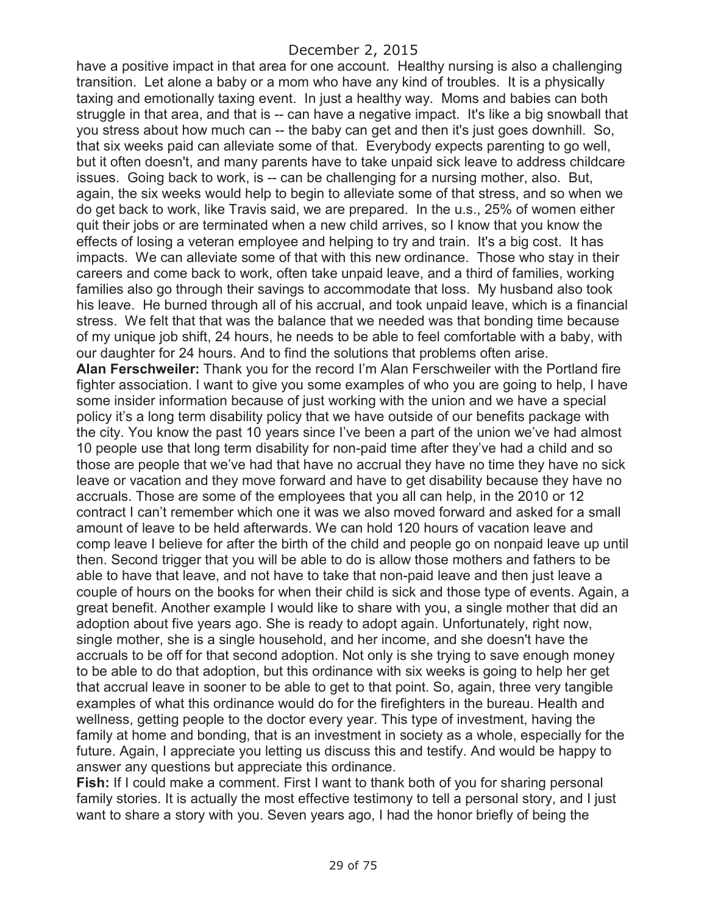have a positive impact in that area for one account. Healthy nursing is also a challenging transition. Let alone a baby or a mom who have any kind of troubles. It is a physically taxing and emotionally taxing event. In just a healthy way. Moms and babies can both struggle in that area, and that is -- can have a negative impact. It's like a big snowball that you stress about how much can -- the baby can get and then it's just goes downhill. So, that six weeks paid can alleviate some of that. Everybody expects parenting to go well, but it often doesn't, and many parents have to take unpaid sick leave to address childcare issues. Going back to work, is -- can be challenging for a nursing mother, also. But, again, the six weeks would help to begin to alleviate some of that stress, and so when we do get back to work, like Travis said, we are prepared. In the u.s., 25% of women either quit their jobs or are terminated when a new child arrives, so I know that you know the effects of losing a veteran employee and helping to try and train. It's a big cost. It has impacts. We can alleviate some of that with this new ordinance. Those who stay in their careers and come back to work, often take unpaid leave, and a third of families, working families also go through their savings to accommodate that loss. My husband also took his leave. He burned through all of his accrual, and took unpaid leave, which is a financial stress. We felt that that was the balance that we needed was that bonding time because of my unique job shift, 24 hours, he needs to be able to feel comfortable with a baby, with our daughter for 24 hours. And to find the solutions that problems often arise. **Alan Ferschweiler:** Thank you for the record I'm Alan Ferschweiler with the Portland fire fighter association. I want to give you some examples of who you are going to help, I have some insider information because of just working with the union and we have a special policy it's a long term disability policy that we have outside of our benefits package with the city. You know the past 10 years since I've been a part of the union we've had almost 10 people use that long term disability for non-paid time after they've had a child and so those are people that we've had that have no accrual they have no time they have no sick leave or vacation and they move forward and have to get disability because they have no accruals. Those are some of the employees that you all can help, in the 2010 or 12 contract I can't remember which one it was we also moved forward and asked for a small amount of leave to be held afterwards. We can hold 120 hours of vacation leave and comp leave I believe for after the birth of the child and people go on nonpaid leave up until then. Second trigger that you will be able to do is allow those mothers and fathers to be able to have that leave, and not have to take that non-paid leave and then just leave a couple of hours on the books for when their child is sick and those type of events. Again, a great benefit. Another example I would like to share with you, a single mother that did an adoption about five years ago. She is ready to adopt again. Unfortunately, right now, single mother, she is a single household, and her income, and she doesn't have the accruals to be off for that second adoption. Not only is she trying to save enough money to be able to do that adoption, but this ordinance with six weeks is going to help her get that accrual leave in sooner to be able to get to that point. So, again, three very tangible examples of what this ordinance would do for the firefighters in the bureau. Health and wellness, getting people to the doctor every year. This type of investment, having the family at home and bonding, that is an investment in society as a whole, especially for the future. Again, I appreciate you letting us discuss this and testify. And would be happy to answer any questions but appreciate this ordinance.

**Fish:** If I could make a comment. First I want to thank both of you for sharing personal family stories. It is actually the most effective testimony to tell a personal story, and I just want to share a story with you. Seven years ago, I had the honor briefly of being the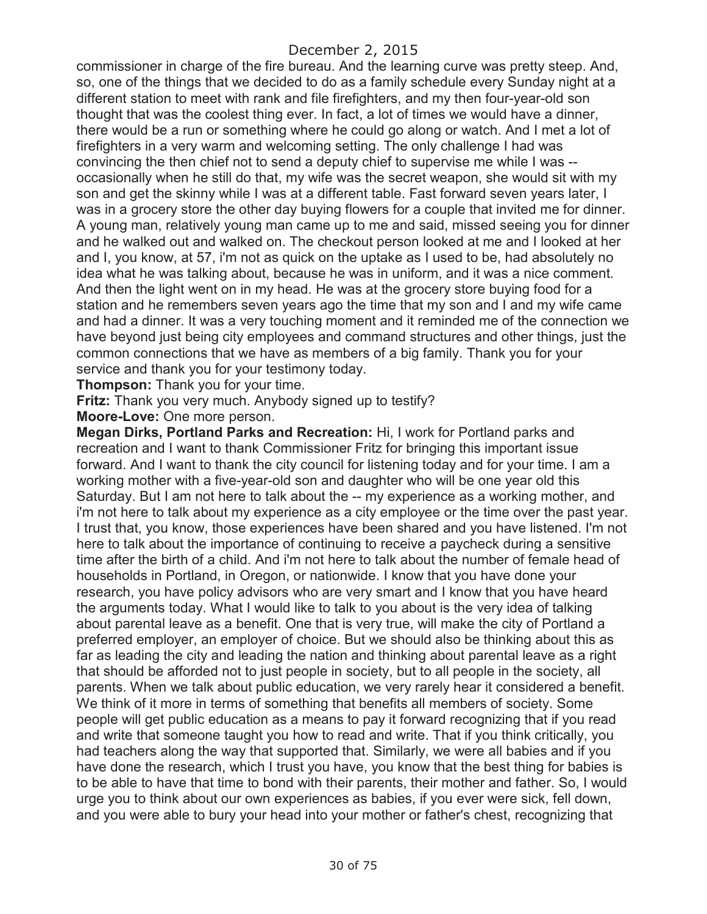commissioner in charge of the fire bureau. And the learning curve was pretty steep. And, so, one of the things that we decided to do as a family schedule every Sunday night at a different station to meet with rank and file firefighters, and my then four-year-old son thought that was the coolest thing ever. In fact, a lot of times we would have a dinner, there would be a run or something where he could go along or watch. And I met a lot of firefighters in a very warm and welcoming setting. The only challenge I had was convincing the then chief not to send a deputy chief to supervise me while I was - occasionally when he still do that, my wife was the secret weapon, she would sit with my son and get the skinny while I was at a different table. Fast forward seven years later, I was in a grocery store the other day buying flowers for a couple that invited me for dinner. A young man, relatively young man came up to me and said, missed seeing you for dinner and he walked out and walked on. The checkout person looked at me and I looked at her and I, you know, at 57, i'm not as quick on the uptake as I used to be, had absolutely no idea what he was talking about, because he was in uniform, and it was a nice comment. And then the light went on in my head. He was at the grocery store buying food for a station and he remembers seven years ago the time that my son and I and my wife came and had a dinner. It was a very touching moment and it reminded me of the connection we have beyond just being city employees and command structures and other things, just the common connections that we have as members of a big family. Thank you for your service and thank you for your testimony today.

**Thompson:** Thank you for your time.

**Fritz:** Thank you very much. Anybody signed up to testify?

**Moore-Love:** One more person.

**Megan Dirks, Portland Parks and Recreation:** Hi, I work for Portland parks and recreation and I want to thank Commissioner Fritz for bringing this important issue forward. And I want to thank the city council for listening today and for your time. I am a working mother with a five-year-old son and daughter who will be one year old this Saturday. But I am not here to talk about the -- my experience as a working mother, and i'm not here to talk about my experience as a city employee or the time over the past year. I trust that, you know, those experiences have been shared and you have listened. I'm not here to talk about the importance of continuing to receive a paycheck during a sensitive time after the birth of a child. And i'm not here to talk about the number of female head of households in Portland, in Oregon, or nationwide. I know that you have done your research, you have policy advisors who are very smart and I know that you have heard the arguments today. What I would like to talk to you about is the very idea of talking about parental leave as a benefit. One that is very true, will make the city of Portland a preferred employer, an employer of choice. But we should also be thinking about this as far as leading the city and leading the nation and thinking about parental leave as a right that should be afforded not to just people in society, but to all people in the society, all parents. When we talk about public education, we very rarely hear it considered a benefit. We think of it more in terms of something that benefits all members of society. Some people will get public education as a means to pay it forward recognizing that if you read and write that someone taught you how to read and write. That if you think critically, you had teachers along the way that supported that. Similarly, we were all babies and if you have done the research, which I trust you have, you know that the best thing for babies is to be able to have that time to bond with their parents, their mother and father. So, I would urge you to think about our own experiences as babies, if you ever were sick, fell down, and you were able to bury your head into your mother or father's chest, recognizing that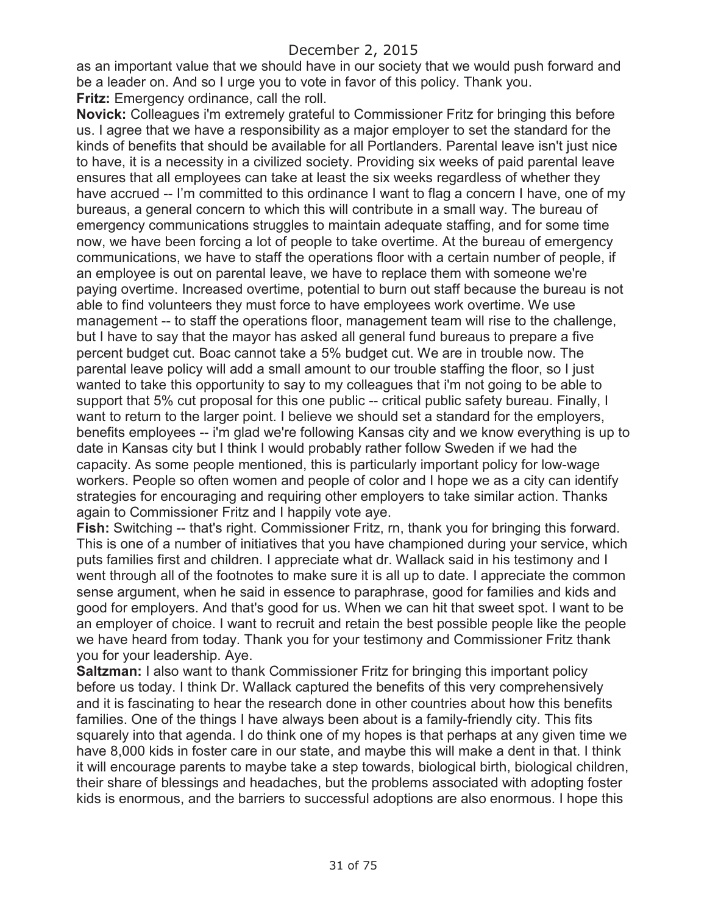as an important value that we should have in our society that we would push forward and be a leader on. And so I urge you to vote in favor of this policy. Thank you. **Fritz:** Emergency ordinance, call the roll.

**Novick:** Colleagues i'm extremely grateful to Commissioner Fritz for bringing this before us. I agree that we have a responsibility as a major employer to set the standard for the kinds of benefits that should be available for all Portlanders. Parental leave isn't just nice to have, it is a necessity in a civilized society. Providing six weeks of paid parental leave ensures that all employees can take at least the six weeks regardless of whether they have accrued -- I'm committed to this ordinance I want to flag a concern I have, one of my bureaus, a general concern to which this will contribute in a small way. The bureau of emergency communications struggles to maintain adequate staffing, and for some time now, we have been forcing a lot of people to take overtime. At the bureau of emergency communications, we have to staff the operations floor with a certain number of people, if an employee is out on parental leave, we have to replace them with someone we're paying overtime. Increased overtime, potential to burn out staff because the bureau is not able to find volunteers they must force to have employees work overtime. We use management -- to staff the operations floor, management team will rise to the challenge, but I have to say that the mayor has asked all general fund bureaus to prepare a five percent budget cut. Boac cannot take a 5% budget cut. We are in trouble now. The parental leave policy will add a small amount to our trouble staffing the floor, so I just wanted to take this opportunity to say to my colleagues that i'm not going to be able to support that 5% cut proposal for this one public -- critical public safety bureau. Finally, I want to return to the larger point. I believe we should set a standard for the employers, benefits employees -- i'm glad we're following Kansas city and we know everything is up to date in Kansas city but I think I would probably rather follow Sweden if we had the capacity. As some people mentioned, this is particularly important policy for low-wage workers. People so often women and people of color and I hope we as a city can identify strategies for encouraging and requiring other employers to take similar action. Thanks again to Commissioner Fritz and I happily vote aye.

**Fish:** Switching -- that's right. Commissioner Fritz, rn, thank you for bringing this forward. This is one of a number of initiatives that you have championed during your service, which puts families first and children. I appreciate what dr. Wallack said in his testimony and I went through all of the footnotes to make sure it is all up to date. I appreciate the common sense argument, when he said in essence to paraphrase, good for families and kids and good for employers. And that's good for us. When we can hit that sweet spot. I want to be an employer of choice. I want to recruit and retain the best possible people like the people we have heard from today. Thank you for your testimony and Commissioner Fritz thank you for your leadership. Aye.

**Saltzman:** I also want to thank Commissioner Fritz for bringing this important policy before us today. I think Dr. Wallack captured the benefits of this very comprehensively and it is fascinating to hear the research done in other countries about how this benefits families. One of the things I have always been about is a family-friendly city. This fits squarely into that agenda. I do think one of my hopes is that perhaps at any given time we have 8,000 kids in foster care in our state, and maybe this will make a dent in that. I think it will encourage parents to maybe take a step towards, biological birth, biological children, their share of blessings and headaches, but the problems associated with adopting foster kids is enormous, and the barriers to successful adoptions are also enormous. I hope this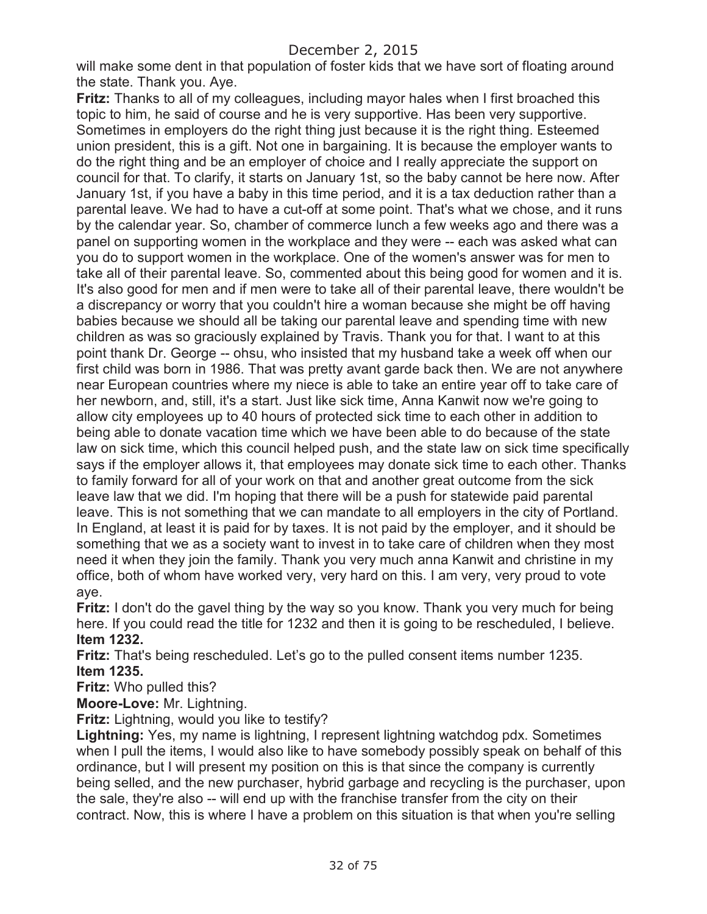will make some dent in that population of foster kids that we have sort of floating around the state. Thank you. Aye.

**Fritz:** Thanks to all of my colleagues, including mayor hales when I first broached this topic to him, he said of course and he is very supportive. Has been very supportive. Sometimes in employers do the right thing just because it is the right thing. Esteemed union president, this is a gift. Not one in bargaining. It is because the employer wants to do the right thing and be an employer of choice and I really appreciate the support on council for that. To clarify, it starts on January 1st, so the baby cannot be here now. After January 1st, if you have a baby in this time period, and it is a tax deduction rather than a parental leave. We had to have a cut-off at some point. That's what we chose, and it runs by the calendar year. So, chamber of commerce lunch a few weeks ago and there was a panel on supporting women in the workplace and they were -- each was asked what can you do to support women in the workplace. One of the women's answer was for men to take all of their parental leave. So, commented about this being good for women and it is. It's also good for men and if men were to take all of their parental leave, there wouldn't be a discrepancy or worry that you couldn't hire a woman because she might be off having babies because we should all be taking our parental leave and spending time with new children as was so graciously explained by Travis. Thank you for that. I want to at this point thank Dr. George -- ohsu, who insisted that my husband take a week off when our first child was born in 1986. That was pretty avant garde back then. We are not anywhere near European countries where my niece is able to take an entire year off to take care of her newborn, and, still, it's a start. Just like sick time, Anna Kanwit now we're going to allow city employees up to 40 hours of protected sick time to each other in addition to being able to donate vacation time which we have been able to do because of the state law on sick time, which this council helped push, and the state law on sick time specifically says if the employer allows it, that employees may donate sick time to each other. Thanks to family forward for all of your work on that and another great outcome from the sick leave law that we did. I'm hoping that there will be a push for statewide paid parental leave. This is not something that we can mandate to all employers in the city of Portland. In England, at least it is paid for by taxes. It is not paid by the employer, and it should be something that we as a society want to invest in to take care of children when they most need it when they join the family. Thank you very much anna Kanwit and christine in my office, both of whom have worked very, very hard on this. I am very, very proud to vote aye.

**Fritz:** I don't do the gavel thing by the way so you know. Thank you very much for being here. If you could read the title for 1232 and then it is going to be rescheduled, I believe. **Item 1232.** 

**Fritz:** That's being rescheduled. Let's go to the pulled consent items number 1235. **Item 1235.**

**Fritz:** Who pulled this?

**Moore-Love:** Mr. Lightning.

**Fritz:** Lightning, would you like to testify?

**Lightning:** Yes, my name is lightning, I represent lightning watchdog pdx. Sometimes when I pull the items, I would also like to have somebody possibly speak on behalf of this ordinance, but I will present my position on this is that since the company is currently being selled, and the new purchaser, hybrid garbage and recycling is the purchaser, upon the sale, they're also -- will end up with the franchise transfer from the city on their contract. Now, this is where I have a problem on this situation is that when you're selling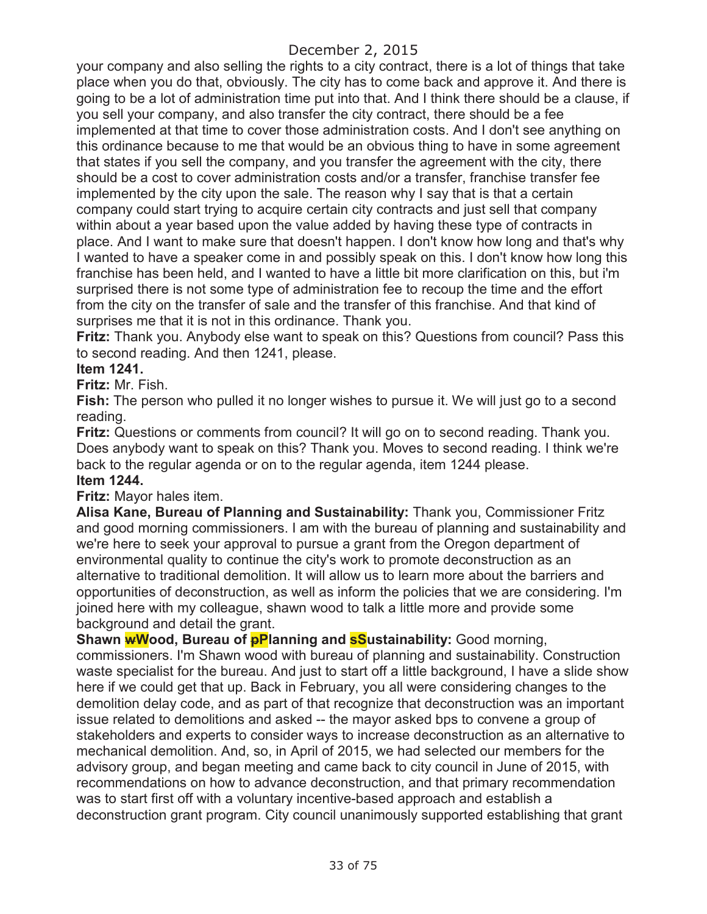your company and also selling the rights to a city contract, there is a lot of things that take place when you do that, obviously. The city has to come back and approve it. And there is going to be a lot of administration time put into that. And I think there should be a clause, if you sell your company, and also transfer the city contract, there should be a fee implemented at that time to cover those administration costs. And I don't see anything on this ordinance because to me that would be an obvious thing to have in some agreement that states if you sell the company, and you transfer the agreement with the city, there should be a cost to cover administration costs and/or a transfer, franchise transfer fee implemented by the city upon the sale. The reason why I say that is that a certain company could start trying to acquire certain city contracts and just sell that company within about a year based upon the value added by having these type of contracts in place. And I want to make sure that doesn't happen. I don't know how long and that's why I wanted to have a speaker come in and possibly speak on this. I don't know how long this franchise has been held, and I wanted to have a little bit more clarification on this, but i'm surprised there is not some type of administration fee to recoup the time and the effort from the city on the transfer of sale and the transfer of this franchise. And that kind of surprises me that it is not in this ordinance. Thank you.

**Fritz:** Thank you. Anybody else want to speak on this? Questions from council? Pass this to second reading. And then 1241, please.

#### **Item 1241.**

**Fritz:** Mr. Fish.

**Fish:** The person who pulled it no longer wishes to pursue it. We will just go to a second reading.

**Fritz:** Questions or comments from council? It will go on to second reading. Thank you. Does anybody want to speak on this? Thank you. Moves to second reading. I think we're back to the regular agenda or on to the regular agenda, item 1244 please. **Item 1244.**

#### **Fritz:** Mayor hales item.

**Alisa Kane, Bureau of Planning and Sustainability:** Thank you, Commissioner Fritz and good morning commissioners. I am with the bureau of planning and sustainability and we're here to seek your approval to pursue a grant from the Oregon department of environmental quality to continue the city's work to promote deconstruction as an alternative to traditional demolition. It will allow us to learn more about the barriers and opportunities of deconstruction, as well as inform the policies that we are considering. I'm joined here with my colleague, shawn wood to talk a little more and provide some background and detail the grant.

Shawn **wWood, Bureau of pPlanning and sSustainability:** Good morning, commissioners. I'm Shawn wood with bureau of planning and sustainability. Construction waste specialist for the bureau. And just to start off a little background, I have a slide show here if we could get that up. Back in February, you all were considering changes to the demolition delay code, and as part of that recognize that deconstruction was an important issue related to demolitions and asked -- the mayor asked bps to convene a group of stakeholders and experts to consider ways to increase deconstruction as an alternative to mechanical demolition. And, so, in April of 2015, we had selected our members for the advisory group, and began meeting and came back to city council in June of 2015, with recommendations on how to advance deconstruction, and that primary recommendation was to start first off with a voluntary incentive-based approach and establish a deconstruction grant program. City council unanimously supported establishing that grant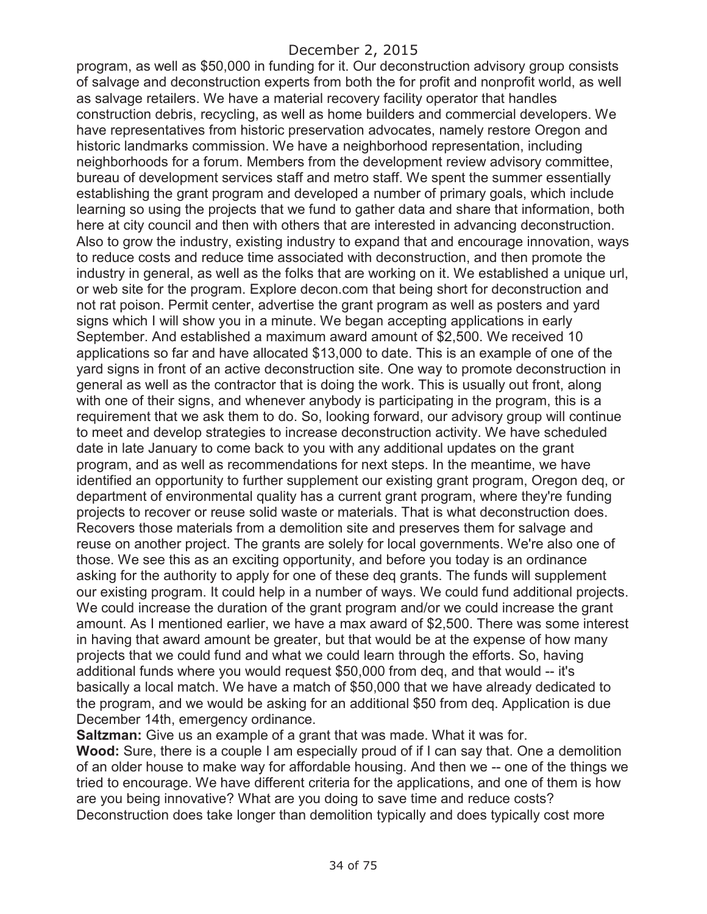program, as well as \$50,000 in funding for it. Our deconstruction advisory group consists of salvage and deconstruction experts from both the for profit and nonprofit world, as well as salvage retailers. We have a material recovery facility operator that handles construction debris, recycling, as well as home builders and commercial developers. We have representatives from historic preservation advocates, namely restore Oregon and historic landmarks commission. We have a neighborhood representation, including neighborhoods for a forum. Members from the development review advisory committee, bureau of development services staff and metro staff. We spent the summer essentially establishing the grant program and developed a number of primary goals, which include learning so using the projects that we fund to gather data and share that information, both here at city council and then with others that are interested in advancing deconstruction. Also to grow the industry, existing industry to expand that and encourage innovation, ways to reduce costs and reduce time associated with deconstruction, and then promote the industry in general, as well as the folks that are working on it. We established a unique url, or web site for the program. Explore decon.com that being short for deconstruction and not rat poison. Permit center, advertise the grant program as well as posters and yard signs which I will show you in a minute. We began accepting applications in early September. And established a maximum award amount of \$2,500. We received 10 applications so far and have allocated \$13,000 to date. This is an example of one of the yard signs in front of an active deconstruction site. One way to promote deconstruction in general as well as the contractor that is doing the work. This is usually out front, along with one of their signs, and whenever anybody is participating in the program, this is a requirement that we ask them to do. So, looking forward, our advisory group will continue to meet and develop strategies to increase deconstruction activity. We have scheduled date in late January to come back to you with any additional updates on the grant program, and as well as recommendations for next steps. In the meantime, we have identified an opportunity to further supplement our existing grant program, Oregon deq, or department of environmental quality has a current grant program, where they're funding projects to recover or reuse solid waste or materials. That is what deconstruction does. Recovers those materials from a demolition site and preserves them for salvage and reuse on another project. The grants are solely for local governments. We're also one of those. We see this as an exciting opportunity, and before you today is an ordinance asking for the authority to apply for one of these deq grants. The funds will supplement our existing program. It could help in a number of ways. We could fund additional projects. We could increase the duration of the grant program and/or we could increase the grant amount. As I mentioned earlier, we have a max award of \$2,500. There was some interest in having that award amount be greater, but that would be at the expense of how many projects that we could fund and what we could learn through the efforts. So, having additional funds where you would request \$50,000 from deq, and that would -- it's basically a local match. We have a match of \$50,000 that we have already dedicated to the program, and we would be asking for an additional \$50 from deq. Application is due December 14th, emergency ordinance.

**Saltzman:** Give us an example of a grant that was made. What it was for. **Wood:** Sure, there is a couple I am especially proud of if I can say that. One a demolition of an older house to make way for affordable housing. And then we -- one of the things we tried to encourage. We have different criteria for the applications, and one of them is how are you being innovative? What are you doing to save time and reduce costs? Deconstruction does take longer than demolition typically and does typically cost more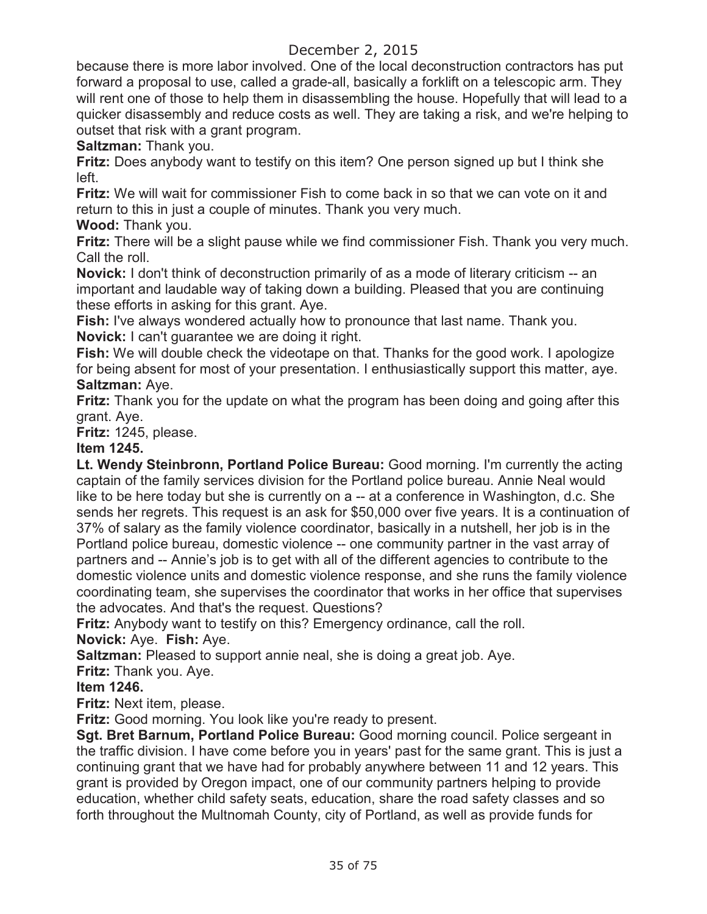because there is more labor involved. One of the local deconstruction contractors has put forward a proposal to use, called a grade-all, basically a forklift on a telescopic arm. They will rent one of those to help them in disassembling the house. Hopefully that will lead to a quicker disassembly and reduce costs as well. They are taking a risk, and we're helping to outset that risk with a grant program.

**Saltzman:** Thank you.

**Fritz:** Does anybody want to testify on this item? One person signed up but I think she left.

**Fritz:** We will wait for commissioner Fish to come back in so that we can vote on it and return to this in just a couple of minutes. Thank you very much.

**Wood:** Thank you.

**Fritz:** There will be a slight pause while we find commissioner Fish. Thank you very much. Call the roll.

**Novick:** I don't think of deconstruction primarily of as a mode of literary criticism -- an important and laudable way of taking down a building. Pleased that you are continuing these efforts in asking for this grant. Aye.

**Fish:** I've always wondered actually how to pronounce that last name. Thank you. **Novick:** I can't guarantee we are doing it right.

**Fish:** We will double check the videotape on that. Thanks for the good work. I apologize for being absent for most of your presentation. I enthusiastically support this matter, aye. **Saltzman:** Aye.

**Fritz:** Thank you for the update on what the program has been doing and going after this grant. Aye.

**Fritz:** 1245, please.

## **Item 1245.**

**Lt. Wendy Steinbronn, Portland Police Bureau:** Good morning. I'm currently the acting captain of the family services division for the Portland police bureau. Annie Neal would like to be here today but she is currently on a -- at a conference in Washington, d.c. She sends her regrets. This request is an ask for \$50,000 over five years. It is a continuation of 37% of salary as the family violence coordinator, basically in a nutshell, her job is in the Portland police bureau, domestic violence -- one community partner in the vast array of partners and -- Annie's job is to get with all of the different agencies to contribute to the domestic violence units and domestic violence response, and she runs the family violence coordinating team, she supervises the coordinator that works in her office that supervises the advocates. And that's the request. Questions?

**Fritz:** Anybody want to testify on this? Emergency ordinance, call the roll. **Novick:** Aye. **Fish:** Aye.

**Saltzman:** Pleased to support annie neal, she is doing a great job. Aye.

**Fritz:** Thank you. Aye.

# **Item 1246.**

**Fritz:** Next item, please.

**Fritz:** Good morning. You look like you're ready to present.

**Sgt. Bret Barnum, Portland Police Bureau:** Good morning council. Police sergeant in the traffic division. I have come before you in years' past for the same grant. This is just a continuing grant that we have had for probably anywhere between 11 and 12 years. This grant is provided by Oregon impact, one of our community partners helping to provide education, whether child safety seats, education, share the road safety classes and so forth throughout the Multnomah County, city of Portland, as well as provide funds for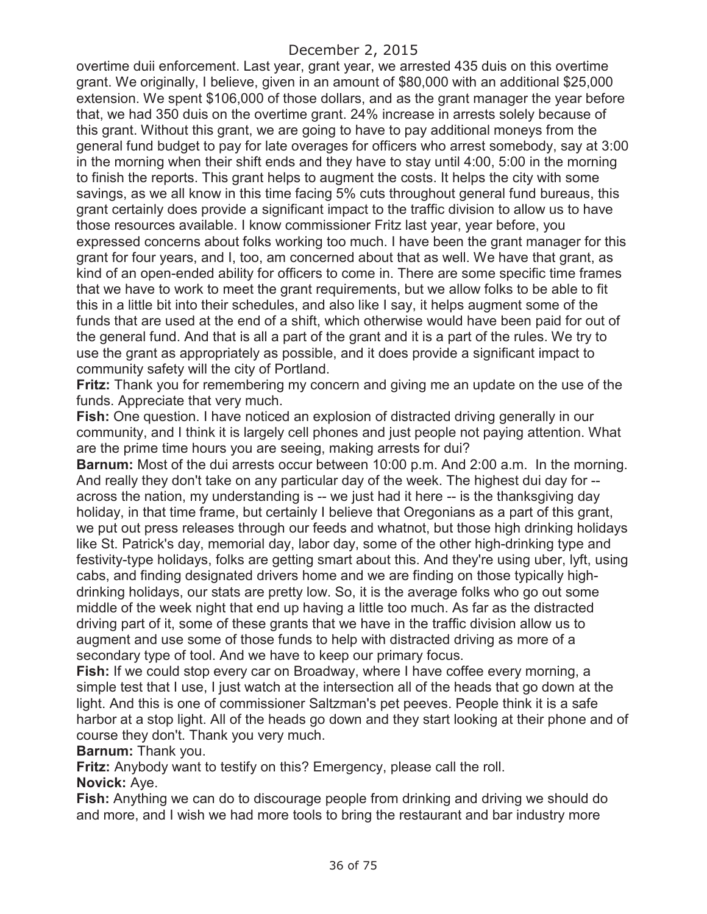overtime duii enforcement. Last year, grant year, we arrested 435 duis on this overtime grant. We originally, I believe, given in an amount of \$80,000 with an additional \$25,000 extension. We spent \$106,000 of those dollars, and as the grant manager the year before that, we had 350 duis on the overtime grant. 24% increase in arrests solely because of this grant. Without this grant, we are going to have to pay additional moneys from the general fund budget to pay for late overages for officers who arrest somebody, say at 3:00 in the morning when their shift ends and they have to stay until 4:00, 5:00 in the morning to finish the reports. This grant helps to augment the costs. It helps the city with some savings, as we all know in this time facing 5% cuts throughout general fund bureaus, this grant certainly does provide a significant impact to the traffic division to allow us to have those resources available. I know commissioner Fritz last year, year before, you expressed concerns about folks working too much. I have been the grant manager for this grant for four years, and I, too, am concerned about that as well. We have that grant, as kind of an open-ended ability for officers to come in. There are some specific time frames that we have to work to meet the grant requirements, but we allow folks to be able to fit this in a little bit into their schedules, and also like I say, it helps augment some of the funds that are used at the end of a shift, which otherwise would have been paid for out of the general fund. And that is all a part of the grant and it is a part of the rules. We try to use the grant as appropriately as possible, and it does provide a significant impact to community safety will the city of Portland.

**Fritz:** Thank you for remembering my concern and giving me an update on the use of the funds. Appreciate that very much.

**Fish:** One question. I have noticed an explosion of distracted driving generally in our community, and I think it is largely cell phones and just people not paying attention. What are the prime time hours you are seeing, making arrests for dui?

**Barnum:** Most of the dui arrests occur between 10:00 p.m. And 2:00 a.m. In the morning. And really they don't take on any particular day of the week. The highest dui day for - across the nation, my understanding is -- we just had it here -- is the thanksgiving day holiday, in that time frame, but certainly I believe that Oregonians as a part of this grant, we put out press releases through our feeds and whatnot, but those high drinking holidays like St. Patrick's day, memorial day, labor day, some of the other high-drinking type and festivity-type holidays, folks are getting smart about this. And they're using uber, lyft, using cabs, and finding designated drivers home and we are finding on those typically highdrinking holidays, our stats are pretty low. So, it is the average folks who go out some middle of the week night that end up having a little too much. As far as the distracted driving part of it, some of these grants that we have in the traffic division allow us to augment and use some of those funds to help with distracted driving as more of a secondary type of tool. And we have to keep our primary focus.

**Fish:** If we could stop every car on Broadway, where I have coffee every morning, a simple test that I use, I just watch at the intersection all of the heads that go down at the light. And this is one of commissioner Saltzman's pet peeves. People think it is a safe harbor at a stop light. All of the heads go down and they start looking at their phone and of course they don't. Thank you very much.

**Barnum:** Thank you.

**Fritz:** Anybody want to testify on this? Emergency, please call the roll.

**Novick:** Aye.

**Fish:** Anything we can do to discourage people from drinking and driving we should do and more, and I wish we had more tools to bring the restaurant and bar industry more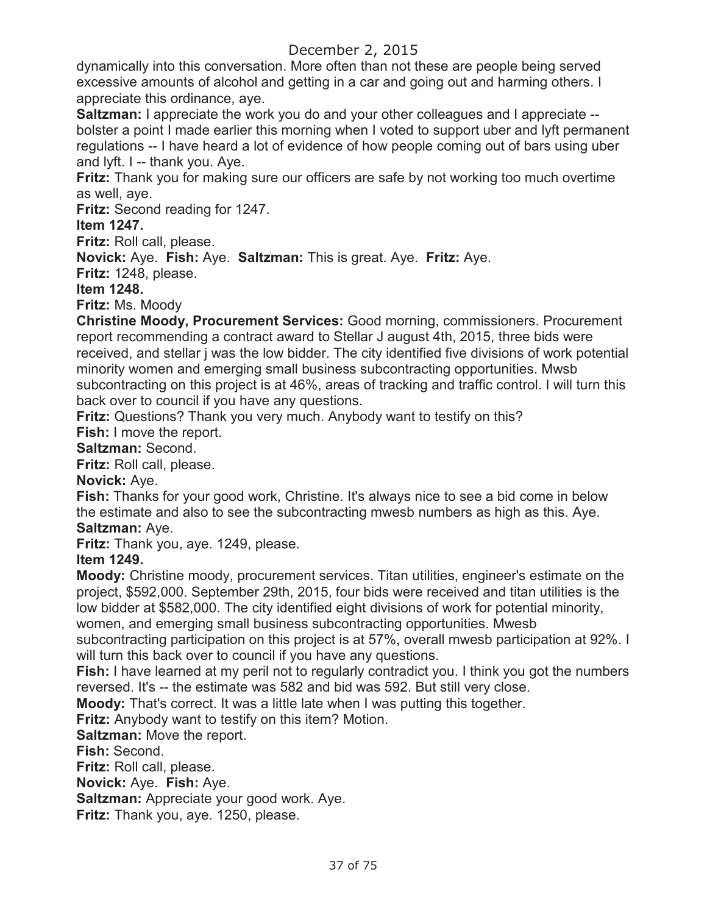dynamically into this conversation. More often than not these are people being served excessive amounts of alcohol and getting in a car and going out and harming others. I appreciate this ordinance, aye.

**Saltzman:** I appreciate the work you do and your other colleagues and I appreciate -bolster a point I made earlier this morning when I voted to support uber and lyft permanent regulations -- I have heard a lot of evidence of how people coming out of bars using uber and lyft. I -- thank you. Aye.

**Fritz:** Thank you for making sure our officers are safe by not working too much overtime as well, aye.

**Fritz:** Second reading for 1247.

### **Item 1247.**

**Fritz:** Roll call, please.

**Novick:** Aye. **Fish:** Aye. **Saltzman:** This is great. Aye. **Fritz:** Aye.

**Fritz:** 1248, please.

**Item 1248.** 

**Fritz:** Ms. Moody

**Christine Moody, Procurement Services:** Good morning, commissioners. Procurement report recommending a contract award to Stellar J august 4th, 2015, three bids were received, and stellar j was the low bidder. The city identified five divisions of work potential minority women and emerging small business subcontracting opportunities. Mwsb subcontracting on this project is at 46%, areas of tracking and traffic control. I will turn this back over to council if you have any questions.

**Fritz:** Questions? Thank you very much. Anybody want to testify on this?

**Fish:** I move the report.

**Saltzman:** Second.

**Fritz:** Roll call, please.

**Novick:** Aye.

**Fish:** Thanks for your good work, Christine. It's always nice to see a bid come in below the estimate and also to see the subcontracting mwesb numbers as high as this. Aye. **Saltzman:** Aye.

**Fritz:** Thank you, aye. 1249, please.

# **Item 1249.**

**Moody:** Christine moody, procurement services. Titan utilities, engineer's estimate on the project, \$592,000. September 29th, 2015, four bids were received and titan utilities is the low bidder at \$582,000. The city identified eight divisions of work for potential minority, women, and emerging small business subcontracting opportunities. Mwesb

subcontracting participation on this project is at 57%, overall mwesb participation at 92%. I will turn this back over to council if you have any questions.

**Fish:** I have learned at my peril not to regularly contradict you. I think you got the numbers reversed. It's -- the estimate was 582 and bid was 592. But still very close.

**Moody:** That's correct. It was a little late when I was putting this together.

**Fritz:** Anybody want to testify on this item? Motion.

**Saltzman:** Move the report.

**Fish:** Second.

**Fritz:** Roll call, please.

**Novick:** Aye. **Fish:** Aye.

**Saltzman:** Appreciate your good work. Aye.

**Fritz:** Thank you, aye. 1250, please.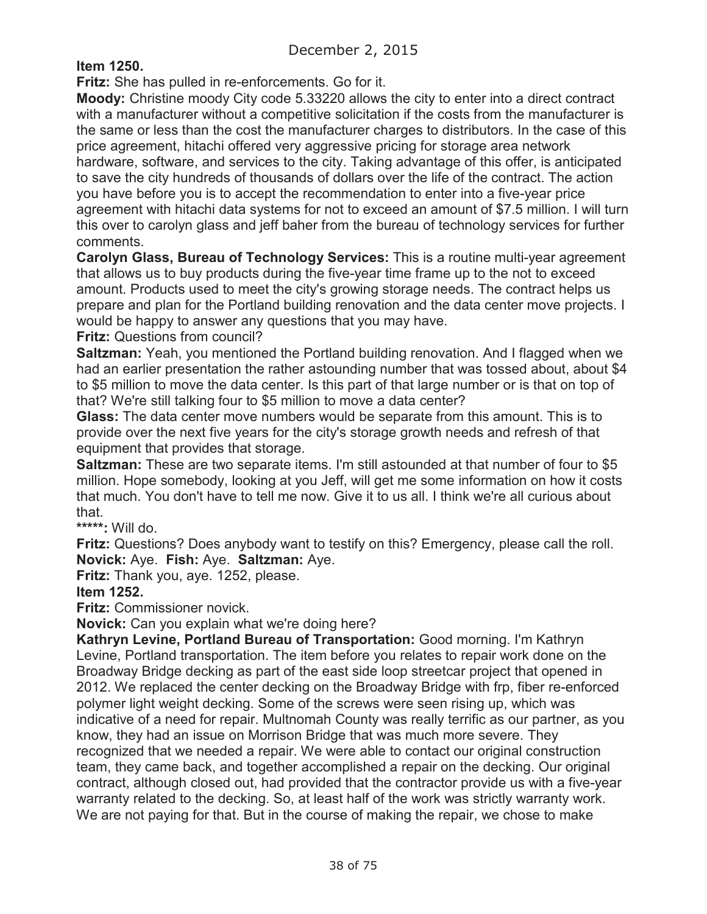**Item 1250.** 

**Fritz:** She has pulled in re-enforcements. Go for it.

**Moody:** Christine moody City code 5.33220 allows the city to enter into a direct contract with a manufacturer without a competitive solicitation if the costs from the manufacturer is the same or less than the cost the manufacturer charges to distributors. In the case of this price agreement, hitachi offered very aggressive pricing for storage area network hardware, software, and services to the city. Taking advantage of this offer, is anticipated to save the city hundreds of thousands of dollars over the life of the contract. The action you have before you is to accept the recommendation to enter into a five-year price agreement with hitachi data systems for not to exceed an amount of \$7.5 million. I will turn this over to carolyn glass and jeff baher from the bureau of technology services for further comments.

**Carolyn Glass, Bureau of Technology Services:** This is a routine multi-year agreement that allows us to buy products during the five-year time frame up to the not to exceed amount. Products used to meet the city's growing storage needs. The contract helps us prepare and plan for the Portland building renovation and the data center move projects. I would be happy to answer any questions that you may have.

**Fritz:** Questions from council?

**Saltzman:** Yeah, you mentioned the Portland building renovation. And I flagged when we had an earlier presentation the rather astounding number that was tossed about, about \$4 to \$5 million to move the data center. Is this part of that large number or is that on top of that? We're still talking four to \$5 million to move a data center?

**Glass:** The data center move numbers would be separate from this amount. This is to provide over the next five years for the city's storage growth needs and refresh of that equipment that provides that storage.

**Saltzman:** These are two separate items. I'm still astounded at that number of four to \$5 million. Hope somebody, looking at you Jeff, will get me some information on how it costs that much. You don't have to tell me now. Give it to us all. I think we're all curious about that.

**\*\*\*\*\*:** Will do.

**Fritz:** Questions? Does anybody want to testify on this? Emergency, please call the roll. **Novick:** Aye. **Fish:** Aye. **Saltzman:** Aye.

**Fritz:** Thank you, aye. 1252, please.

**Item 1252.** 

**Fritz:** Commissioner novick.

**Novick:** Can you explain what we're doing here?

**Kathryn Levine, Portland Bureau of Transportation:** Good morning. I'm Kathryn Levine, Portland transportation. The item before you relates to repair work done on the Broadway Bridge decking as part of the east side loop streetcar project that opened in 2012. We replaced the center decking on the Broadway Bridge with frp, fiber re-enforced polymer light weight decking. Some of the screws were seen rising up, which was indicative of a need for repair. Multnomah County was really terrific as our partner, as you know, they had an issue on Morrison Bridge that was much more severe. They recognized that we needed a repair. We were able to contact our original construction team, they came back, and together accomplished a repair on the decking. Our original contract, although closed out, had provided that the contractor provide us with a five-year warranty related to the decking. So, at least half of the work was strictly warranty work. We are not paying for that. But in the course of making the repair, we chose to make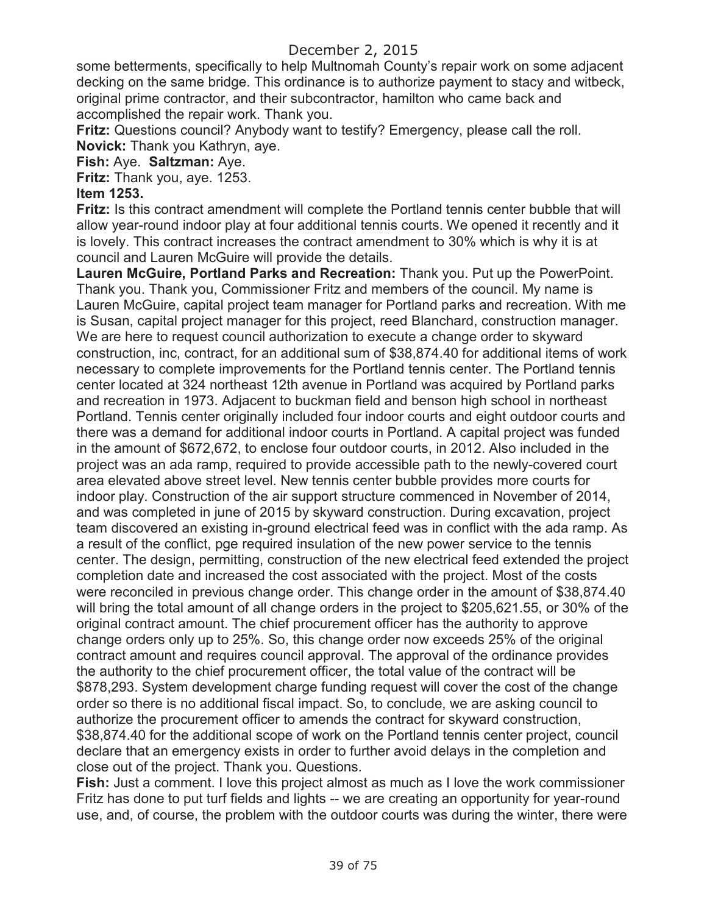some betterments, specifically to help Multnomah County's repair work on some adjacent decking on the same bridge. This ordinance is to authorize payment to stacy and witbeck, original prime contractor, and their subcontractor, hamilton who came back and accomplished the repair work. Thank you.

**Fritz:** Questions council? Anybody want to testify? Emergency, please call the roll. **Novick:** Thank you Kathryn, aye.

**Fish:** Aye. **Saltzman:** Aye.

**Fritz:** Thank you, aye. 1253.

#### **Item 1253.**

**Fritz:** Is this contract amendment will complete the Portland tennis center bubble that will allow year-round indoor play at four additional tennis courts. We opened it recently and it is lovely. This contract increases the contract amendment to 30% which is why it is at council and Lauren McGuire will provide the details.

**Lauren McGuire, Portland Parks and Recreation:** Thank you. Put up the PowerPoint. Thank you. Thank you, Commissioner Fritz and members of the council. My name is Lauren McGuire, capital project team manager for Portland parks and recreation. With me is Susan, capital project manager for this project, reed Blanchard, construction manager. We are here to request council authorization to execute a change order to skyward construction, inc, contract, for an additional sum of \$38,874.40 for additional items of work necessary to complete improvements for the Portland tennis center. The Portland tennis center located at 324 northeast 12th avenue in Portland was acquired by Portland parks and recreation in 1973. Adjacent to buckman field and benson high school in northeast Portland. Tennis center originally included four indoor courts and eight outdoor courts and there was a demand for additional indoor courts in Portland. A capital project was funded in the amount of \$672,672, to enclose four outdoor courts, in 2012. Also included in the project was an ada ramp, required to provide accessible path to the newly-covered court area elevated above street level. New tennis center bubble provides more courts for indoor play. Construction of the air support structure commenced in November of 2014, and was completed in june of 2015 by skyward construction. During excavation, project team discovered an existing in-ground electrical feed was in conflict with the ada ramp. As a result of the conflict, pge required insulation of the new power service to the tennis center. The design, permitting, construction of the new electrical feed extended the project completion date and increased the cost associated with the project. Most of the costs were reconciled in previous change order. This change order in the amount of \$38,874.40 will bring the total amount of all change orders in the project to \$205,621.55, or 30% of the original contract amount. The chief procurement officer has the authority to approve change orders only up to 25%. So, this change order now exceeds 25% of the original contract amount and requires council approval. The approval of the ordinance provides the authority to the chief procurement officer, the total value of the contract will be \$878,293. System development charge funding request will cover the cost of the change order so there is no additional fiscal impact. So, to conclude, we are asking council to authorize the procurement officer to amends the contract for skyward construction, \$38,874.40 for the additional scope of work on the Portland tennis center project, council declare that an emergency exists in order to further avoid delays in the completion and close out of the project. Thank you. Questions.

**Fish:** Just a comment. I love this project almost as much as I love the work commissioner Fritz has done to put turf fields and lights -- we are creating an opportunity for year-round use, and, of course, the problem with the outdoor courts was during the winter, there were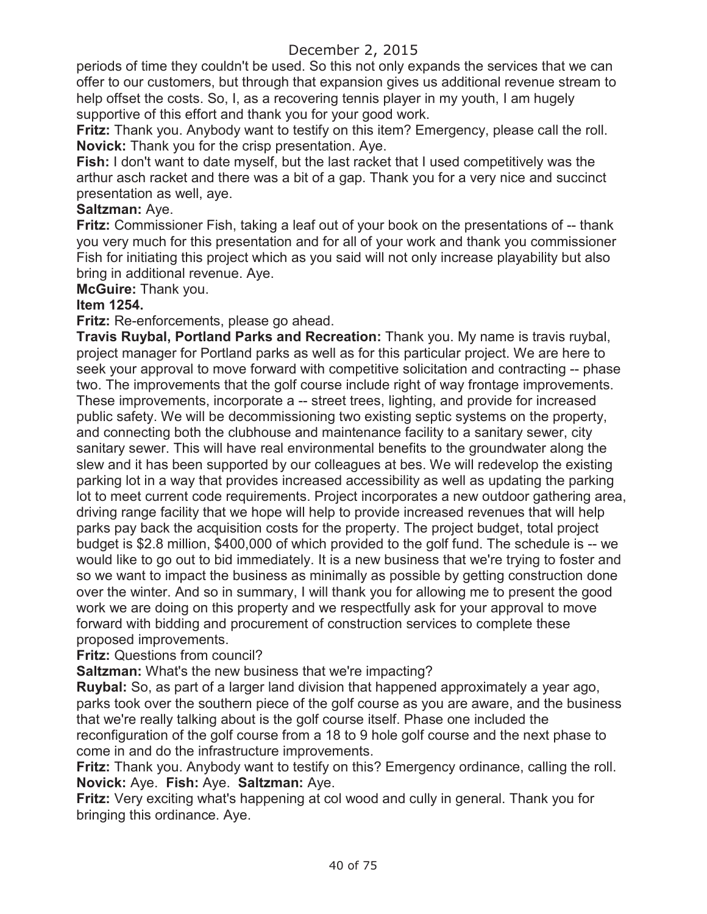periods of time they couldn't be used. So this not only expands the services that we can offer to our customers, but through that expansion gives us additional revenue stream to help offset the costs. So, I, as a recovering tennis player in my youth, I am hugely supportive of this effort and thank you for your good work.

**Fritz:** Thank you. Anybody want to testify on this item? Emergency, please call the roll. **Novick:** Thank you for the crisp presentation. Aye.

**Fish:** I don't want to date myself, but the last racket that I used competitively was the arthur asch racket and there was a bit of a gap. Thank you for a very nice and succinct presentation as well, aye.

### **Saltzman:** Aye.

**Fritz:** Commissioner Fish, taking a leaf out of your book on the presentations of -- thank you very much for this presentation and for all of your work and thank you commissioner Fish for initiating this project which as you said will not only increase playability but also bring in additional revenue. Aye.

**McGuire:** Thank you.

### **Item 1254.**

**Fritz:** Re-enforcements, please go ahead.

**Travis Ruybal, Portland Parks and Recreation:** Thank you. My name is travis ruybal, project manager for Portland parks as well as for this particular project. We are here to seek your approval to move forward with competitive solicitation and contracting -- phase two. The improvements that the golf course include right of way frontage improvements. These improvements, incorporate a -- street trees, lighting, and provide for increased public safety. We will be decommissioning two existing septic systems on the property, and connecting both the clubhouse and maintenance facility to a sanitary sewer, city sanitary sewer. This will have real environmental benefits to the groundwater along the slew and it has been supported by our colleagues at bes. We will redevelop the existing parking lot in a way that provides increased accessibility as well as updating the parking lot to meet current code requirements. Project incorporates a new outdoor gathering area, driving range facility that we hope will help to provide increased revenues that will help parks pay back the acquisition costs for the property. The project budget, total project budget is \$2.8 million, \$400,000 of which provided to the golf fund. The schedule is -- we would like to go out to bid immediately. It is a new business that we're trying to foster and so we want to impact the business as minimally as possible by getting construction done over the winter. And so in summary, I will thank you for allowing me to present the good work we are doing on this property and we respectfully ask for your approval to move forward with bidding and procurement of construction services to complete these proposed improvements.

### **Fritz:** Questions from council?

**Saltzman:** What's the new business that we're impacting?

**Ruybal:** So, as part of a larger land division that happened approximately a year ago, parks took over the southern piece of the golf course as you are aware, and the business that we're really talking about is the golf course itself. Phase one included the reconfiguration of the golf course from a 18 to 9 hole golf course and the next phase to come in and do the infrastructure improvements.

**Fritz:** Thank you. Anybody want to testify on this? Emergency ordinance, calling the roll. **Novick:** Aye. **Fish:** Aye. **Saltzman:** Aye.

**Fritz:** Very exciting what's happening at col wood and cully in general. Thank you for bringing this ordinance. Aye.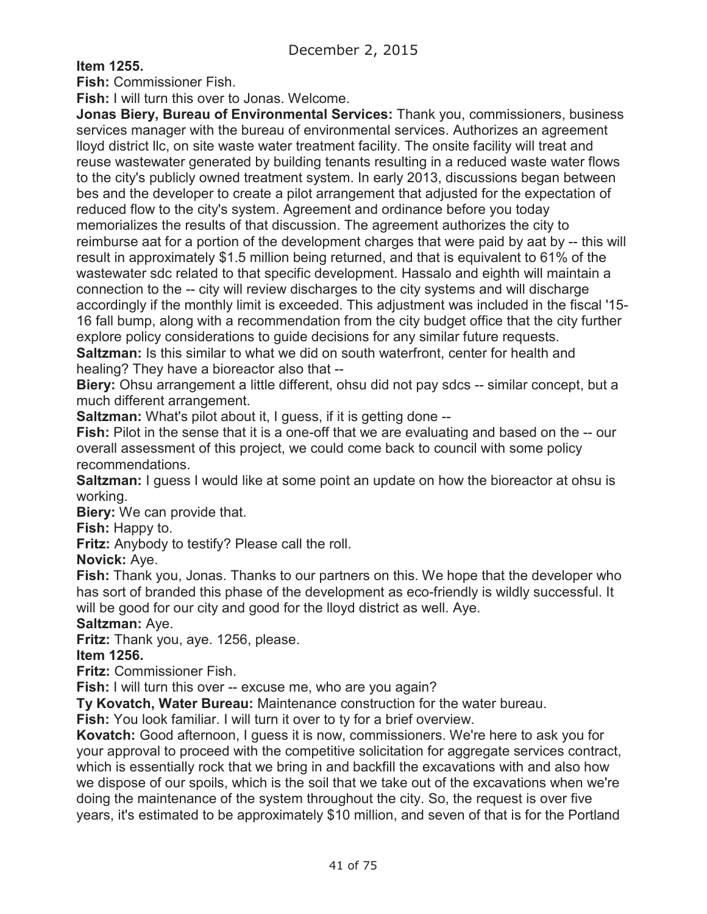**Item 1255.** 

**Fish:** Commissioner Fish.

**Fish:** I will turn this over to Jonas. Welcome.

**Jonas Biery, Bureau of Environmental Services:** Thank you, commissioners, business services manager with the bureau of environmental services. Authorizes an agreement lloyd district llc, on site waste water treatment facility. The onsite facility will treat and reuse wastewater generated by building tenants resulting in a reduced waste water flows to the city's publicly owned treatment system. In early 2013, discussions began between bes and the developer to create a pilot arrangement that adjusted for the expectation of reduced flow to the city's system. Agreement and ordinance before you today memorializes the results of that discussion. The agreement authorizes the city to reimburse aat for a portion of the development charges that were paid by aat by -- this will result in approximately \$1.5 million being returned, and that is equivalent to 61% of the wastewater sdc related to that specific development. Hassalo and eighth will maintain a connection to the -- city will review discharges to the city systems and will discharge accordingly if the monthly limit is exceeded. This adjustment was included in the fiscal '15- 16 fall bump, along with a recommendation from the city budget office that the city further explore policy considerations to guide decisions for any similar future requests. **Saltzman:** Is this similar to what we did on south waterfront, center for health and

healing? They have a bioreactor also that --

**Biery:** Ohsu arrangement a little different, ohsu did not pay sdcs -- similar concept, but a much different arrangement.

**Saltzman:** What's pilot about it, I guess, if it is getting done --

**Fish:** Pilot in the sense that it is a one-off that we are evaluating and based on the -- our overall assessment of this project, we could come back to council with some policy recommendations.

**Saltzman:** I guess I would like at some point an update on how the bioreactor at ohsu is working.

**Biery:** We can provide that.

**Fish:** Happy to.

**Fritz:** Anybody to testify? Please call the roll.

**Novick:** Aye.

**Fish:** Thank you, Jonas. Thanks to our partners on this. We hope that the developer who has sort of branded this phase of the development as eco-friendly is wildly successful. It will be good for our city and good for the lloyd district as well. Aye.

### **Saltzman:** Aye.

**Fritz:** Thank you, aye. 1256, please.

**Item 1256.**

**Fritz:** Commissioner Fish.

**Fish:** I will turn this over -- excuse me, who are you again?

**Ty Kovatch, Water Bureau:** Maintenance construction for the water bureau.

**Fish:** You look familiar. I will turn it over to ty for a brief overview.

**Kovatch:** Good afternoon, I guess it is now, commissioners. We're here to ask you for your approval to proceed with the competitive solicitation for aggregate services contract, which is essentially rock that we bring in and backfill the excavations with and also how we dispose of our spoils, which is the soil that we take out of the excavations when we're doing the maintenance of the system throughout the city. So, the request is over five years, it's estimated to be approximately \$10 million, and seven of that is for the Portland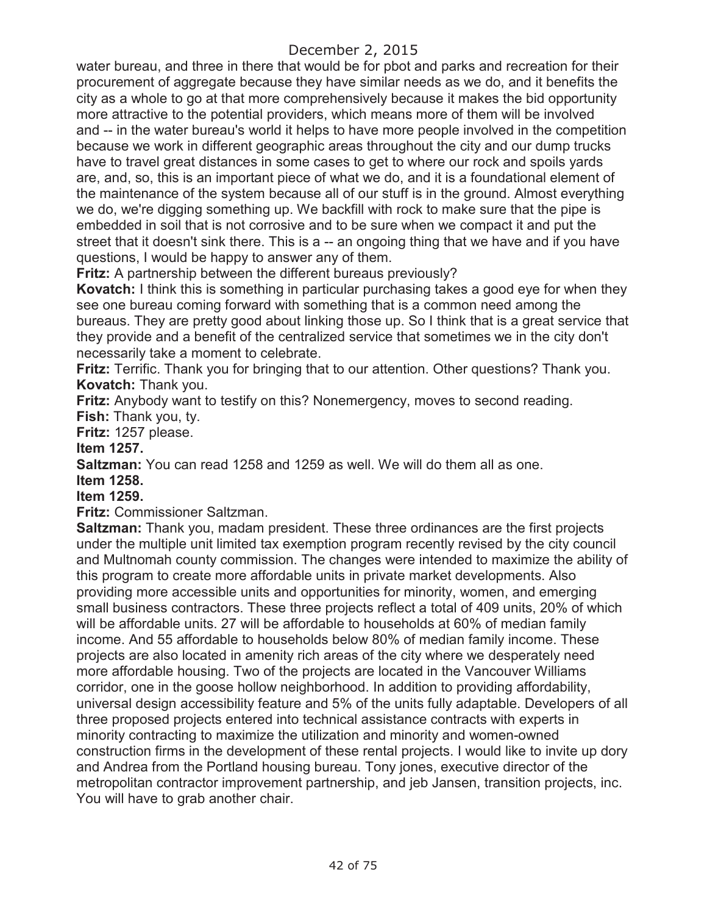water bureau, and three in there that would be for pbot and parks and recreation for their procurement of aggregate because they have similar needs as we do, and it benefits the city as a whole to go at that more comprehensively because it makes the bid opportunity more attractive to the potential providers, which means more of them will be involved and -- in the water bureau's world it helps to have more people involved in the competition because we work in different geographic areas throughout the city and our dump trucks have to travel great distances in some cases to get to where our rock and spoils yards are, and, so, this is an important piece of what we do, and it is a foundational element of the maintenance of the system because all of our stuff is in the ground. Almost everything we do, we're digging something up. We backfill with rock to make sure that the pipe is embedded in soil that is not corrosive and to be sure when we compact it and put the street that it doesn't sink there. This is a -- an ongoing thing that we have and if you have questions, I would be happy to answer any of them.

**Fritz:** A partnership between the different bureaus previously?

**Kovatch:** I think this is something in particular purchasing takes a good eye for when they see one bureau coming forward with something that is a common need among the bureaus. They are pretty good about linking those up. So I think that is a great service that they provide and a benefit of the centralized service that sometimes we in the city don't necessarily take a moment to celebrate.

**Fritz:** Terrific. Thank you for bringing that to our attention. Other questions? Thank you. **Kovatch:** Thank you.

**Fritz:** Anybody want to testify on this? Nonemergency, moves to second reading.

**Fish:** Thank you, ty.

**Fritz:** 1257 please.

**Item 1257.**

**Saltzman:** You can read 1258 and 1259 as well. We will do them all as one.

**Item 1258.**

**Item 1259.**

**Fritz:** Commissioner Saltzman.

**Saltzman:** Thank you, madam president. These three ordinances are the first projects under the multiple unit limited tax exemption program recently revised by the city council and Multnomah county commission. The changes were intended to maximize the ability of this program to create more affordable units in private market developments. Also providing more accessible units and opportunities for minority, women, and emerging small business contractors. These three projects reflect a total of 409 units, 20% of which will be affordable units. 27 will be affordable to households at 60% of median family income. And 55 affordable to households below 80% of median family income. These projects are also located in amenity rich areas of the city where we desperately need more affordable housing. Two of the projects are located in the Vancouver Williams corridor, one in the goose hollow neighborhood. In addition to providing affordability, universal design accessibility feature and 5% of the units fully adaptable. Developers of all three proposed projects entered into technical assistance contracts with experts in minority contracting to maximize the utilization and minority and women-owned construction firms in the development of these rental projects. I would like to invite up dory and Andrea from the Portland housing bureau. Tony jones, executive director of the metropolitan contractor improvement partnership, and jeb Jansen, transition projects, inc. You will have to grab another chair.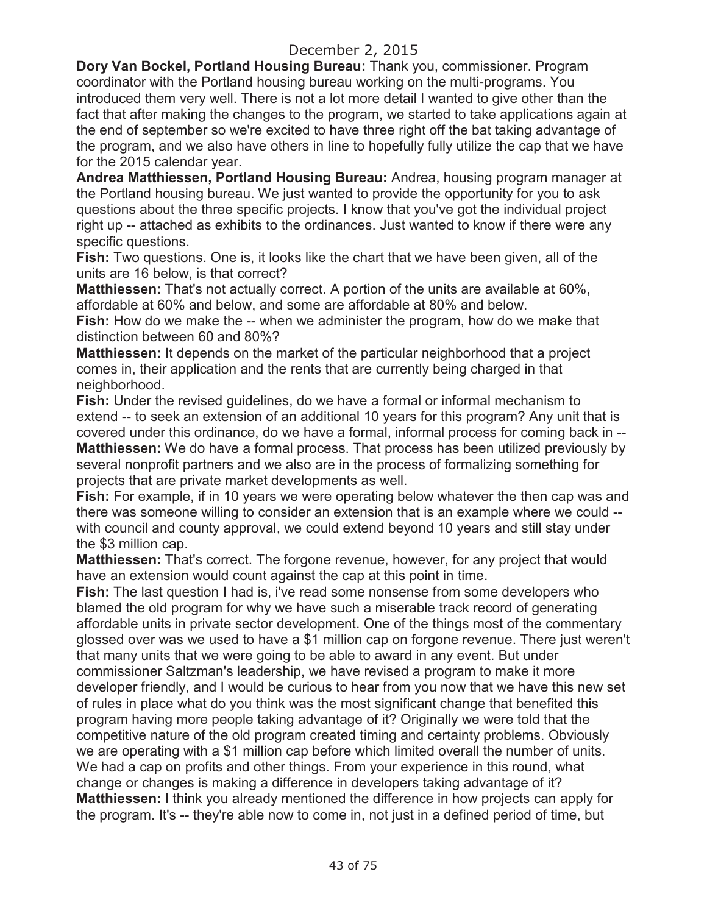**Dory Van Bockel, Portland Housing Bureau:** Thank you, commissioner. Program coordinator with the Portland housing bureau working on the multi-programs. You introduced them very well. There is not a lot more detail I wanted to give other than the fact that after making the changes to the program, we started to take applications again at the end of september so we're excited to have three right off the bat taking advantage of the program, and we also have others in line to hopefully fully utilize the cap that we have for the 2015 calendar year.

**Andrea Matthiessen, Portland Housing Bureau:** Andrea, housing program manager at the Portland housing bureau. We just wanted to provide the opportunity for you to ask questions about the three specific projects. I know that you've got the individual project right up -- attached as exhibits to the ordinances. Just wanted to know if there were any specific questions.

**Fish:** Two questions. One is, it looks like the chart that we have been given, all of the units are 16 below, is that correct?

**Matthiessen:** That's not actually correct. A portion of the units are available at 60%, affordable at 60% and below, and some are affordable at 80% and below.

**Fish:** How do we make the -- when we administer the program, how do we make that distinction between 60 and 80%?

**Matthiessen:** It depends on the market of the particular neighborhood that a project comes in, their application and the rents that are currently being charged in that neighborhood.

**Fish:** Under the revised guidelines, do we have a formal or informal mechanism to extend -- to seek an extension of an additional 10 years for this program? Any unit that is covered under this ordinance, do we have a formal, informal process for coming back in --

**Matthiessen:** We do have a formal process. That process has been utilized previously by several nonprofit partners and we also are in the process of formalizing something for projects that are private market developments as well.

**Fish:** For example, if in 10 years we were operating below whatever the then cap was and there was someone willing to consider an extension that is an example where we could - with council and county approval, we could extend beyond 10 years and still stay under the \$3 million cap.

**Matthiessen:** That's correct. The forgone revenue, however, for any project that would have an extension would count against the cap at this point in time.

**Fish:** The last question I had is, i've read some nonsense from some developers who blamed the old program for why we have such a miserable track record of generating affordable units in private sector development. One of the things most of the commentary glossed over was we used to have a \$1 million cap on forgone revenue. There just weren't that many units that we were going to be able to award in any event. But under commissioner Saltzman's leadership, we have revised a program to make it more developer friendly, and I would be curious to hear from you now that we have this new set of rules in place what do you think was the most significant change that benefited this program having more people taking advantage of it? Originally we were told that the competitive nature of the old program created timing and certainty problems. Obviously we are operating with a \$1 million cap before which limited overall the number of units. We had a cap on profits and other things. From your experience in this round, what change or changes is making a difference in developers taking advantage of it? **Matthiessen:** I think you already mentioned the difference in how projects can apply for the program. It's -- they're able now to come in, not just in a defined period of time, but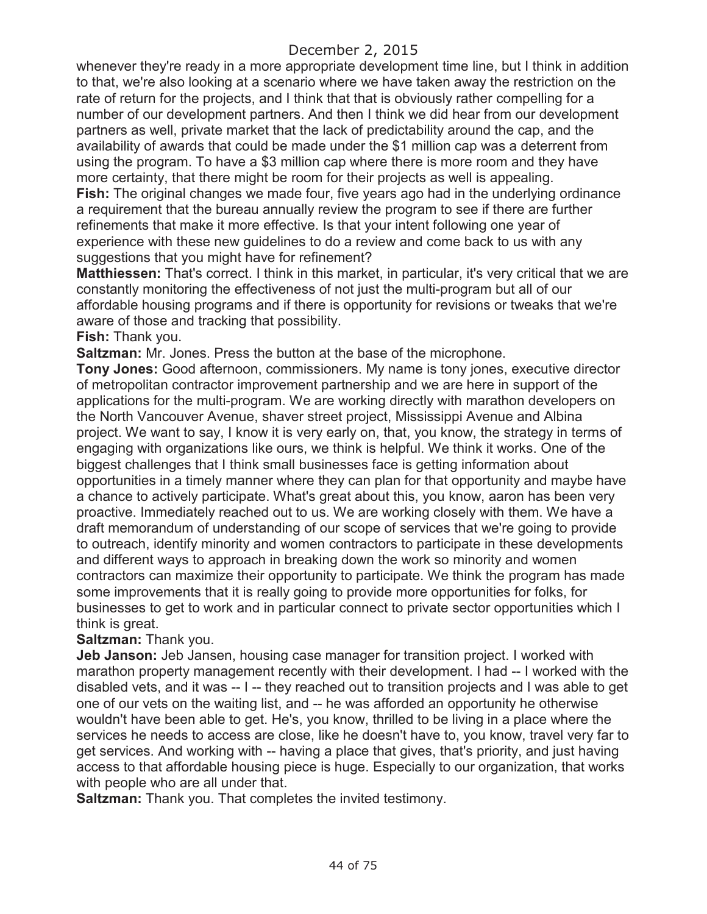whenever they're ready in a more appropriate development time line, but I think in addition to that, we're also looking at a scenario where we have taken away the restriction on the rate of return for the projects, and I think that that is obviously rather compelling for a number of our development partners. And then I think we did hear from our development partners as well, private market that the lack of predictability around the cap, and the availability of awards that could be made under the \$1 million cap was a deterrent from using the program. To have a \$3 million cap where there is more room and they have more certainty, that there might be room for their projects as well is appealing. **Fish:** The original changes we made four, five years ago had in the underlying ordinance

a requirement that the bureau annually review the program to see if there are further refinements that make it more effective. Is that your intent following one year of experience with these new guidelines to do a review and come back to us with any suggestions that you might have for refinement?

**Matthiessen:** That's correct. I think in this market, in particular, it's very critical that we are constantly monitoring the effectiveness of not just the multi-program but all of our affordable housing programs and if there is opportunity for revisions or tweaks that we're aware of those and tracking that possibility.

### **Fish:** Thank you.

**Saltzman:** Mr. Jones. Press the button at the base of the microphone.

**Tony Jones:** Good afternoon, commissioners. My name is tony jones, executive director of metropolitan contractor improvement partnership and we are here in support of the applications for the multi-program. We are working directly with marathon developers on the North Vancouver Avenue, shaver street project, Mississippi Avenue and Albina project. We want to say, I know it is very early on, that, you know, the strategy in terms of engaging with organizations like ours, we think is helpful. We think it works. One of the biggest challenges that I think small businesses face is getting information about opportunities in a timely manner where they can plan for that opportunity and maybe have a chance to actively participate. What's great about this, you know, aaron has been very proactive. Immediately reached out to us. We are working closely with them. We have a draft memorandum of understanding of our scope of services that we're going to provide to outreach, identify minority and women contractors to participate in these developments and different ways to approach in breaking down the work so minority and women contractors can maximize their opportunity to participate. We think the program has made some improvements that it is really going to provide more opportunities for folks, for businesses to get to work and in particular connect to private sector opportunities which I think is great.

### **Saltzman:** Thank you.

**Jeb Janson:** Jeb Jansen, housing case manager for transition project. I worked with marathon property management recently with their development. I had -- I worked with the disabled vets, and it was -- I -- they reached out to transition projects and I was able to get one of our vets on the waiting list, and -- he was afforded an opportunity he otherwise wouldn't have been able to get. He's, you know, thrilled to be living in a place where the services he needs to access are close, like he doesn't have to, you know, travel very far to get services. And working with -- having a place that gives, that's priority, and just having access to that affordable housing piece is huge. Especially to our organization, that works with people who are all under that.

**Saltzman:** Thank you. That completes the invited testimony.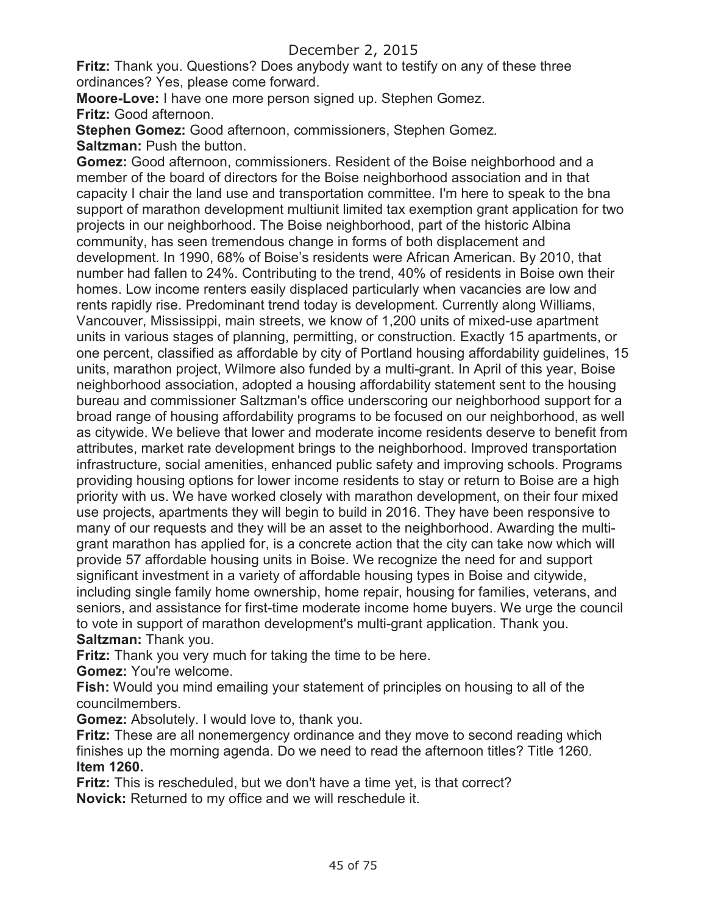**Fritz:** Thank you. Questions? Does anybody want to testify on any of these three ordinances? Yes, please come forward.

**Moore-Love:** I have one more person signed up. Stephen Gomez. **Fritz:** Good afternoon.

**Stephen Gomez:** Good afternoon, commissioners, Stephen Gomez. **Saltzman:** Push the button.

**Gomez:** Good afternoon, commissioners. Resident of the Boise neighborhood and a member of the board of directors for the Boise neighborhood association and in that capacity I chair the land use and transportation committee. I'm here to speak to the bna support of marathon development multiunit limited tax exemption grant application for two projects in our neighborhood. The Boise neighborhood, part of the historic Albina community, has seen tremendous change in forms of both displacement and development. In 1990, 68% of Boise's residents were African American. By 2010, that number had fallen to 24%. Contributing to the trend, 40% of residents in Boise own their homes. Low income renters easily displaced particularly when vacancies are low and rents rapidly rise. Predominant trend today is development. Currently along Williams, Vancouver, Mississippi, main streets, we know of 1,200 units of mixed-use apartment units in various stages of planning, permitting, or construction. Exactly 15 apartments, or one percent, classified as affordable by city of Portland housing affordability guidelines, 15 units, marathon project, Wilmore also funded by a multi-grant. In April of this year, Boise neighborhood association, adopted a housing affordability statement sent to the housing bureau and commissioner Saltzman's office underscoring our neighborhood support for a broad range of housing affordability programs to be focused on our neighborhood, as well as citywide. We believe that lower and moderate income residents deserve to benefit from attributes, market rate development brings to the neighborhood. Improved transportation infrastructure, social amenities, enhanced public safety and improving schools. Programs providing housing options for lower income residents to stay or return to Boise are a high priority with us. We have worked closely with marathon development, on their four mixed use projects, apartments they will begin to build in 2016. They have been responsive to many of our requests and they will be an asset to the neighborhood. Awarding the multigrant marathon has applied for, is a concrete action that the city can take now which will provide 57 affordable housing units in Boise. We recognize the need for and support significant investment in a variety of affordable housing types in Boise and citywide, including single family home ownership, home repair, housing for families, veterans, and seniors, and assistance for first-time moderate income home buyers. We urge the council to vote in support of marathon development's multi-grant application. Thank you. **Saltzman:** Thank you.

**Fritz:** Thank you very much for taking the time to be here.

**Gomez:** You're welcome.

**Fish:** Would you mind emailing your statement of principles on housing to all of the councilmembers.

**Gomez:** Absolutely. I would love to, thank you.

**Fritz:** These are all nonemergency ordinance and they move to second reading which finishes up the morning agenda. Do we need to read the afternoon titles? Title 1260. **Item 1260.** 

**Fritz:** This is rescheduled, but we don't have a time yet, is that correct? **Novick:** Returned to my office and we will reschedule it.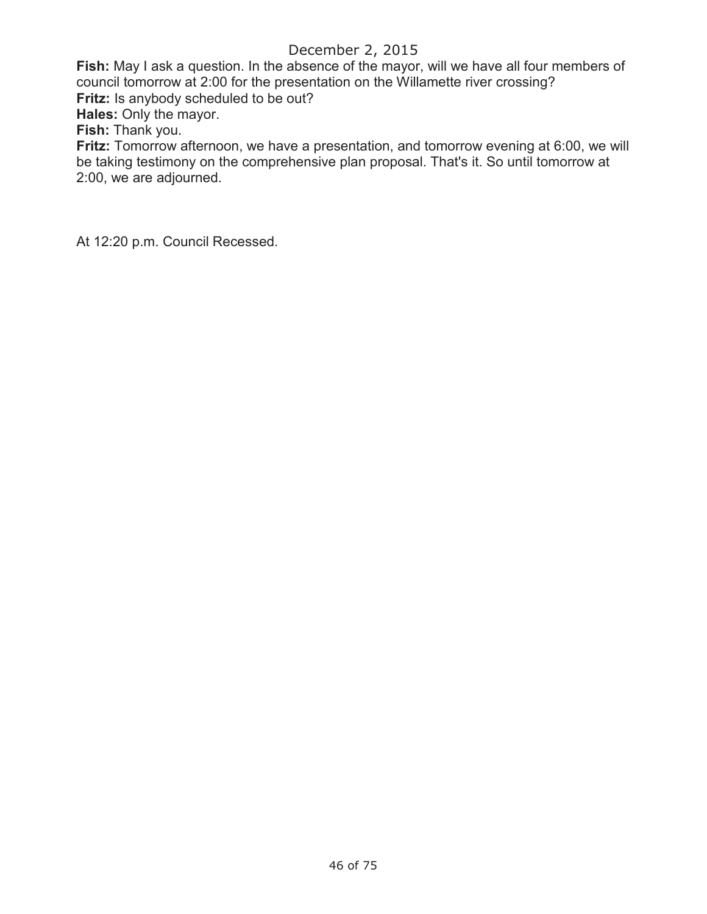**Fish:** May I ask a question. In the absence of the mayor, will we have all four members of council tomorrow at 2:00 for the presentation on the Willamette river crossing? **Fritz:** Is anybody scheduled to be out?

**Hales:** Only the mayor.

**Fish:** Thank you.

**Fritz:** Tomorrow afternoon, we have a presentation, and tomorrow evening at 6:00, we will be taking testimony on the comprehensive plan proposal. That's it. So until tomorrow at 2:00, we are adjourned.

At 12:20 p.m. Council Recessed.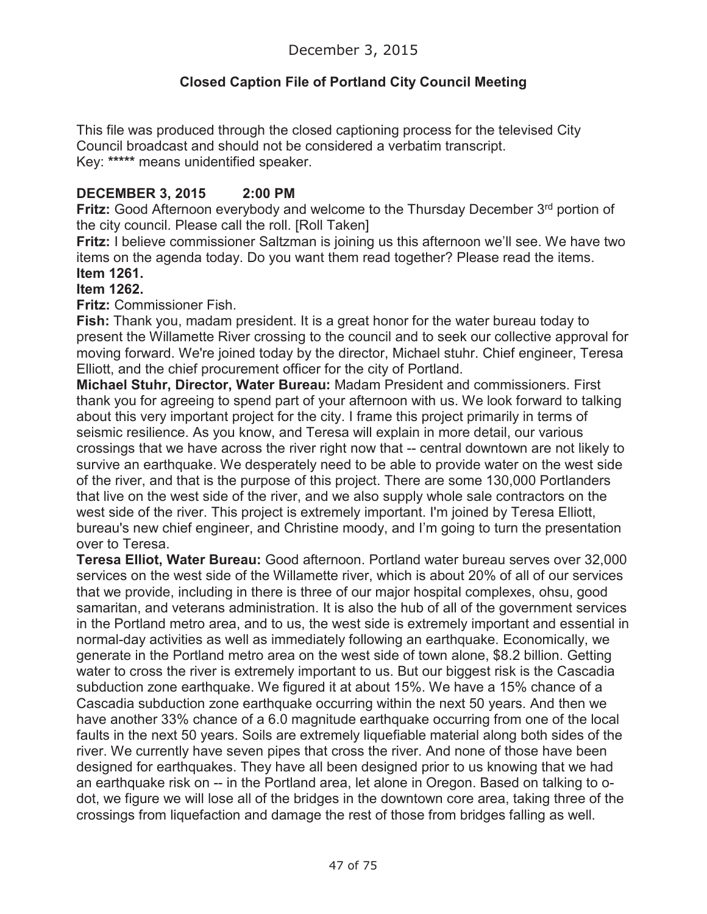# **Closed Caption File of Portland City Council Meeting**

This file was produced through the closed captioning process for the televised City Council broadcast and should not be considered a verbatim transcript. Key: **\*\*\*\*\*** means unidentified speaker.

### **DECEMBER 3, 2015 2:00 PM**

**Fritz:** Good Afternoon everybody and welcome to the Thursday December 3<sup>rd</sup> portion of the city council. Please call the roll. [Roll Taken]

**Fritz:** I believe commissioner Saltzman is joining us this afternoon we'll see. We have two items on the agenda today. Do you want them read together? Please read the items. **Item 1261.**

#### **Item 1262.**

**Fritz:** Commissioner Fish.

**Fish:** Thank you, madam president. It is a great honor for the water bureau today to present the Willamette River crossing to the council and to seek our collective approval for moving forward. We're joined today by the director, Michael stuhr. Chief engineer, Teresa Elliott, and the chief procurement officer for the city of Portland.

**Michael Stuhr, Director, Water Bureau:** Madam President and commissioners. First thank you for agreeing to spend part of your afternoon with us. We look forward to talking about this very important project for the city. I frame this project primarily in terms of seismic resilience. As you know, and Teresa will explain in more detail, our various crossings that we have across the river right now that -- central downtown are not likely to survive an earthquake. We desperately need to be able to provide water on the west side of the river, and that is the purpose of this project. There are some 130,000 Portlanders that live on the west side of the river, and we also supply whole sale contractors on the west side of the river. This project is extremely important. I'm joined by Teresa Elliott, bureau's new chief engineer, and Christine moody, and I'm going to turn the presentation over to Teresa.

**Teresa Elliot, Water Bureau:** Good afternoon. Portland water bureau serves over 32,000 services on the west side of the Willamette river, which is about 20% of all of our services that we provide, including in there is three of our major hospital complexes, ohsu, good samaritan, and veterans administration. It is also the hub of all of the government services in the Portland metro area, and to us, the west side is extremely important and essential in normal-day activities as well as immediately following an earthquake. Economically, we generate in the Portland metro area on the west side of town alone, \$8.2 billion. Getting water to cross the river is extremely important to us. But our biggest risk is the Cascadia subduction zone earthquake. We figured it at about 15%. We have a 15% chance of a Cascadia subduction zone earthquake occurring within the next 50 years. And then we have another 33% chance of a 6.0 magnitude earthquake occurring from one of the local faults in the next 50 years. Soils are extremely liquefiable material along both sides of the river. We currently have seven pipes that cross the river. And none of those have been designed for earthquakes. They have all been designed prior to us knowing that we had an earthquake risk on -- in the Portland area, let alone in Oregon. Based on talking to odot, we figure we will lose all of the bridges in the downtown core area, taking three of the crossings from liquefaction and damage the rest of those from bridges falling as well.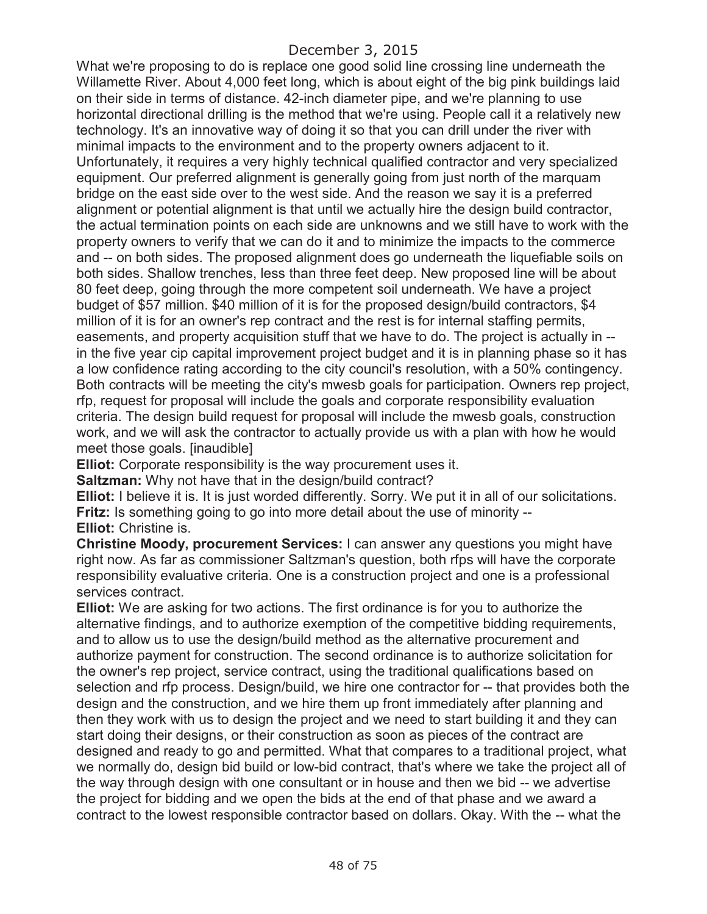What we're proposing to do is replace one good solid line crossing line underneath the Willamette River. About 4,000 feet long, which is about eight of the big pink buildings laid on their side in terms of distance. 42-inch diameter pipe, and we're planning to use horizontal directional drilling is the method that we're using. People call it a relatively new technology. It's an innovative way of doing it so that you can drill under the river with minimal impacts to the environment and to the property owners adjacent to it. Unfortunately, it requires a very highly technical qualified contractor and very specialized equipment. Our preferred alignment is generally going from just north of the marquam bridge on the east side over to the west side. And the reason we say it is a preferred alignment or potential alignment is that until we actually hire the design build contractor, the actual termination points on each side are unknowns and we still have to work with the property owners to verify that we can do it and to minimize the impacts to the commerce and -- on both sides. The proposed alignment does go underneath the liquefiable soils on both sides. Shallow trenches, less than three feet deep. New proposed line will be about 80 feet deep, going through the more competent soil underneath. We have a project budget of \$57 million. \$40 million of it is for the proposed design/build contractors, \$4 million of it is for an owner's rep contract and the rest is for internal staffing permits, easements, and property acquisition stuff that we have to do. The project is actually in - in the five year cip capital improvement project budget and it is in planning phase so it has a low confidence rating according to the city council's resolution, with a 50% contingency. Both contracts will be meeting the city's mwesb goals for participation. Owners rep project, rfp, request for proposal will include the goals and corporate responsibility evaluation criteria. The design build request for proposal will include the mwesb goals, construction work, and we will ask the contractor to actually provide us with a plan with how he would meet those goals. [inaudible]

**Elliot:** Corporate responsibility is the way procurement uses it.

**Saltzman:** Why not have that in the design/build contract?

**Elliot:** I believe it is. It is just worded differently. Sorry. We put it in all of our solicitations. **Fritz:** Is something going to go into more detail about the use of minority -- **Elliot:** Christine is.

**Christine Moody, procurement Services:** I can answer any questions you might have right now. As far as commissioner Saltzman's question, both rfps will have the corporate responsibility evaluative criteria. One is a construction project and one is a professional services contract.

**Elliot:** We are asking for two actions. The first ordinance is for you to authorize the alternative findings, and to authorize exemption of the competitive bidding requirements, and to allow us to use the design/build method as the alternative procurement and authorize payment for construction. The second ordinance is to authorize solicitation for the owner's rep project, service contract, using the traditional qualifications based on selection and rfp process. Design/build, we hire one contractor for -- that provides both the design and the construction, and we hire them up front immediately after planning and then they work with us to design the project and we need to start building it and they can start doing their designs, or their construction as soon as pieces of the contract are designed and ready to go and permitted. What that compares to a traditional project, what we normally do, design bid build or low-bid contract, that's where we take the project all of the way through design with one consultant or in house and then we bid -- we advertise the project for bidding and we open the bids at the end of that phase and we award a contract to the lowest responsible contractor based on dollars. Okay. With the -- what the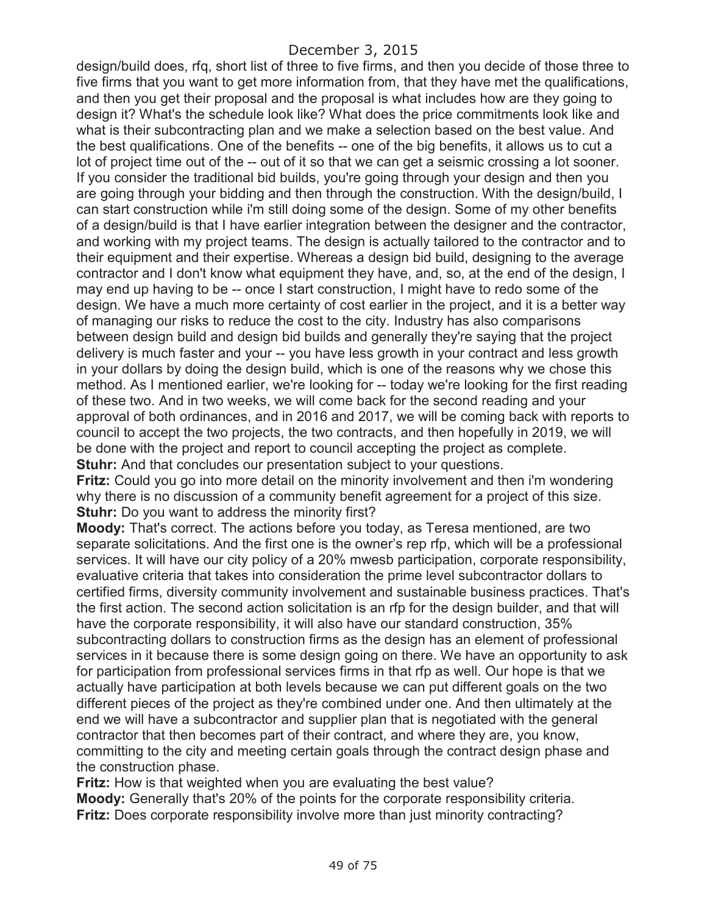design/build does, rfq, short list of three to five firms, and then you decide of those three to five firms that you want to get more information from, that they have met the qualifications, and then you get their proposal and the proposal is what includes how are they going to design it? What's the schedule look like? What does the price commitments look like and what is their subcontracting plan and we make a selection based on the best value. And the best qualifications. One of the benefits -- one of the big benefits, it allows us to cut a lot of project time out of the -- out of it so that we can get a seismic crossing a lot sooner. If you consider the traditional bid builds, you're going through your design and then you are going through your bidding and then through the construction. With the design/build, I can start construction while i'm still doing some of the design. Some of my other benefits of a design/build is that I have earlier integration between the designer and the contractor, and working with my project teams. The design is actually tailored to the contractor and to their equipment and their expertise. Whereas a design bid build, designing to the average contractor and I don't know what equipment they have, and, so, at the end of the design, I may end up having to be -- once I start construction, I might have to redo some of the design. We have a much more certainty of cost earlier in the project, and it is a better way of managing our risks to reduce the cost to the city. Industry has also comparisons between design build and design bid builds and generally they're saying that the project delivery is much faster and your -- you have less growth in your contract and less growth in your dollars by doing the design build, which is one of the reasons why we chose this method. As I mentioned earlier, we're looking for -- today we're looking for the first reading of these two. And in two weeks, we will come back for the second reading and your approval of both ordinances, and in 2016 and 2017, we will be coming back with reports to council to accept the two projects, the two contracts, and then hopefully in 2019, we will be done with the project and report to council accepting the project as complete. **Stuhr:** And that concludes our presentation subject to your questions.

**Fritz:** Could you go into more detail on the minority involvement and then i'm wondering why there is no discussion of a community benefit agreement for a project of this size. **Stuhr:** Do you want to address the minority first?

**Moody:** That's correct. The actions before you today, as Teresa mentioned, are two separate solicitations. And the first one is the owner's rep rfp, which will be a professional services. It will have our city policy of a 20% mwesb participation, corporate responsibility, evaluative criteria that takes into consideration the prime level subcontractor dollars to certified firms, diversity community involvement and sustainable business practices. That's the first action. The second action solicitation is an rfp for the design builder, and that will have the corporate responsibility, it will also have our standard construction, 35% subcontracting dollars to construction firms as the design has an element of professional services in it because there is some design going on there. We have an opportunity to ask for participation from professional services firms in that rfp as well. Our hope is that we actually have participation at both levels because we can put different goals on the two different pieces of the project as they're combined under one. And then ultimately at the end we will have a subcontractor and supplier plan that is negotiated with the general contractor that then becomes part of their contract, and where they are, you know, committing to the city and meeting certain goals through the contract design phase and the construction phase.

**Fritz:** How is that weighted when you are evaluating the best value? **Moody:** Generally that's 20% of the points for the corporate responsibility criteria. **Fritz:** Does corporate responsibility involve more than just minority contracting?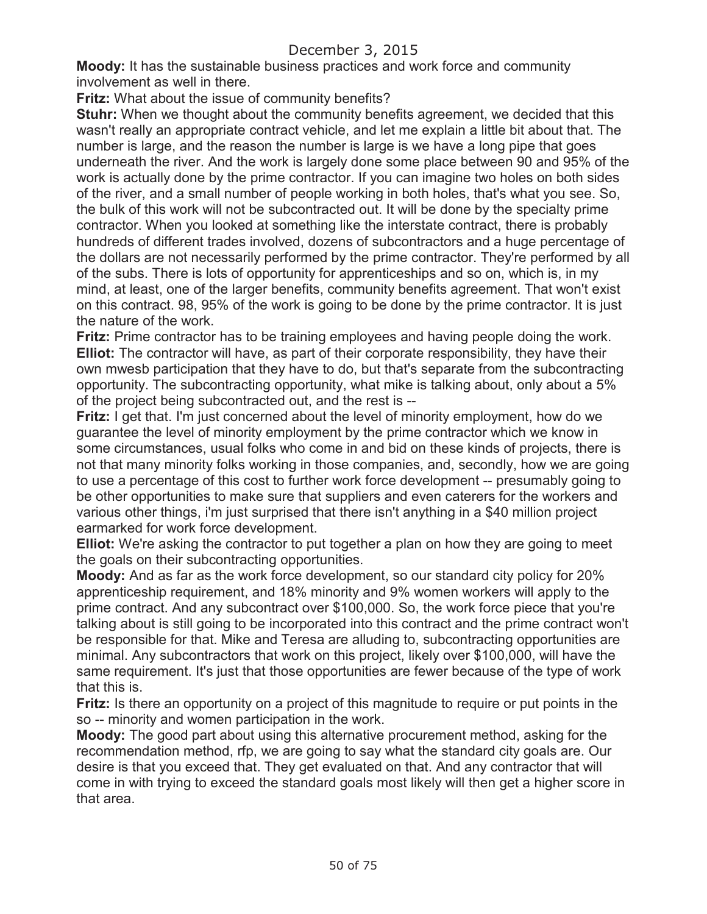**Moody:** It has the sustainable business practices and work force and community involvement as well in there.

**Fritz:** What about the issue of community benefits?

**Stuhr:** When we thought about the community benefits agreement, we decided that this wasn't really an appropriate contract vehicle, and let me explain a little bit about that. The number is large, and the reason the number is large is we have a long pipe that goes underneath the river. And the work is largely done some place between 90 and 95% of the work is actually done by the prime contractor. If you can imagine two holes on both sides of the river, and a small number of people working in both holes, that's what you see. So, the bulk of this work will not be subcontracted out. It will be done by the specialty prime contractor. When you looked at something like the interstate contract, there is probably hundreds of different trades involved, dozens of subcontractors and a huge percentage of the dollars are not necessarily performed by the prime contractor. They're performed by all of the subs. There is lots of opportunity for apprenticeships and so on, which is, in my mind, at least, one of the larger benefits, community benefits agreement. That won't exist on this contract. 98, 95% of the work is going to be done by the prime contractor. It is just the nature of the work.

**Fritz:** Prime contractor has to be training employees and having people doing the work. **Elliot:** The contractor will have, as part of their corporate responsibility, they have their own mwesb participation that they have to do, but that's separate from the subcontracting opportunity. The subcontracting opportunity, what mike is talking about, only about a 5% of the project being subcontracted out, and the rest is --

**Fritz:** I get that. I'm just concerned about the level of minority employment, how do we guarantee the level of minority employment by the prime contractor which we know in some circumstances, usual folks who come in and bid on these kinds of projects, there is not that many minority folks working in those companies, and, secondly, how we are going to use a percentage of this cost to further work force development -- presumably going to be other opportunities to make sure that suppliers and even caterers for the workers and various other things, i'm just surprised that there isn't anything in a \$40 million project earmarked for work force development.

**Elliot:** We're asking the contractor to put together a plan on how they are going to meet the goals on their subcontracting opportunities.

**Moody:** And as far as the work force development, so our standard city policy for 20% apprenticeship requirement, and 18% minority and 9% women workers will apply to the prime contract. And any subcontract over \$100,000. So, the work force piece that you're talking about is still going to be incorporated into this contract and the prime contract won't be responsible for that. Mike and Teresa are alluding to, subcontracting opportunities are minimal. Any subcontractors that work on this project, likely over \$100,000, will have the same requirement. It's just that those opportunities are fewer because of the type of work that this is.

**Fritz:** Is there an opportunity on a project of this magnitude to require or put points in the so -- minority and women participation in the work.

**Moody:** The good part about using this alternative procurement method, asking for the recommendation method, rfp, we are going to say what the standard city goals are. Our desire is that you exceed that. They get evaluated on that. And any contractor that will come in with trying to exceed the standard goals most likely will then get a higher score in that area.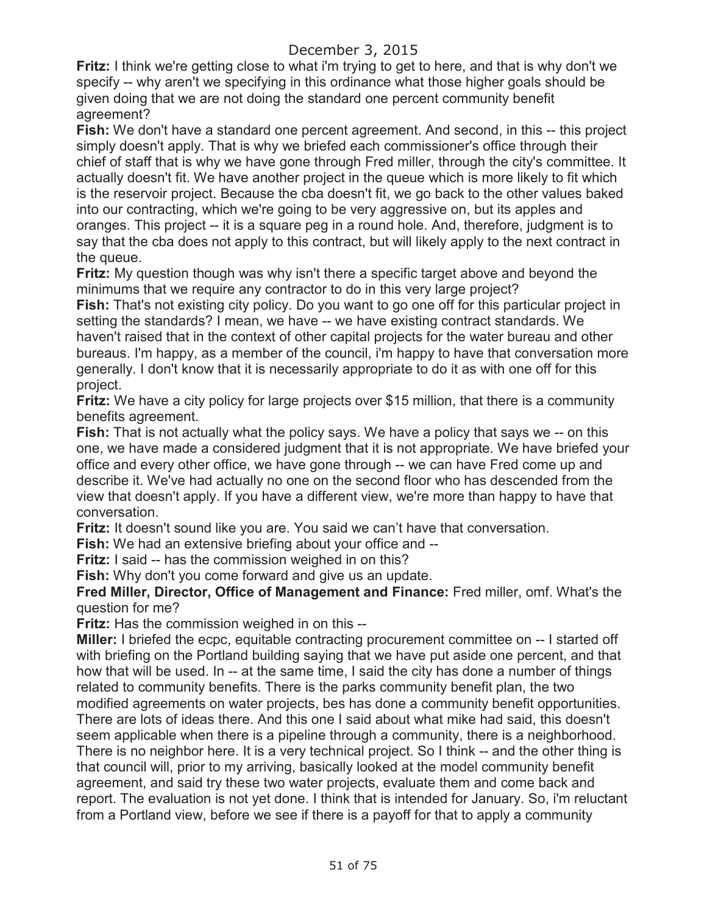**Fritz:** I think we're getting close to what i'm trying to get to here, and that is why don't we specify -- why aren't we specifying in this ordinance what those higher goals should be given doing that we are not doing the standard one percent community benefit agreement?

**Fish:** We don't have a standard one percent agreement. And second, in this -- this project simply doesn't apply. That is why we briefed each commissioner's office through their chief of staff that is why we have gone through Fred miller, through the city's committee. It actually doesn't fit. We have another project in the queue which is more likely to fit which is the reservoir project. Because the cba doesn't fit, we go back to the other values baked into our contracting, which we're going to be very aggressive on, but its apples and oranges. This project -- it is a square peg in a round hole. And, therefore, judgment is to say that the cba does not apply to this contract, but will likely apply to the next contract in the queue.

**Fritz:** My question though was why isn't there a specific target above and beyond the minimums that we require any contractor to do in this very large project?

**Fish:** That's not existing city policy. Do you want to go one off for this particular project in setting the standards? I mean, we have -- we have existing contract standards. We haven't raised that in the context of other capital projects for the water bureau and other bureaus. I'm happy, as a member of the council, i'm happy to have that conversation more generally. I don't know that it is necessarily appropriate to do it as with one off for this project.

**Fritz:** We have a city policy for large projects over \$15 million, that there is a community benefits agreement.

**Fish:** That is not actually what the policy says. We have a policy that says we -- on this one, we have made a considered judgment that it is not appropriate. We have briefed your office and every other office, we have gone through -- we can have Fred come up and describe it. We've had actually no one on the second floor who has descended from the view that doesn't apply. If you have a different view, we're more than happy to have that conversation.

**Fritz:** It doesn't sound like you are. You said we can't have that conversation.

**Fish:** We had an extensive briefing about your office and --

**Fritz:** I said -- has the commission weighed in on this?

**Fish:** Why don't you come forward and give us an update.

**Fred Miller, Director, Office of Management and Finance:** Fred miller, omf. What's the question for me?

**Fritz:** Has the commission weighed in on this --

**Miller:** I briefed the ecpc, equitable contracting procurement committee on -- I started off with briefing on the Portland building saying that we have put aside one percent, and that how that will be used. In -- at the same time, I said the city has done a number of things related to community benefits. There is the parks community benefit plan, the two modified agreements on water projects, bes has done a community benefit opportunities. There are lots of ideas there. And this one I said about what mike had said, this doesn't seem applicable when there is a pipeline through a community, there is a neighborhood. There is no neighbor here. It is a very technical project. So I think -- and the other thing is that council will, prior to my arriving, basically looked at the model community benefit agreement, and said try these two water projects, evaluate them and come back and report. The evaluation is not yet done. I think that is intended for January. So, i'm reluctant from a Portland view, before we see if there is a payoff for that to apply a community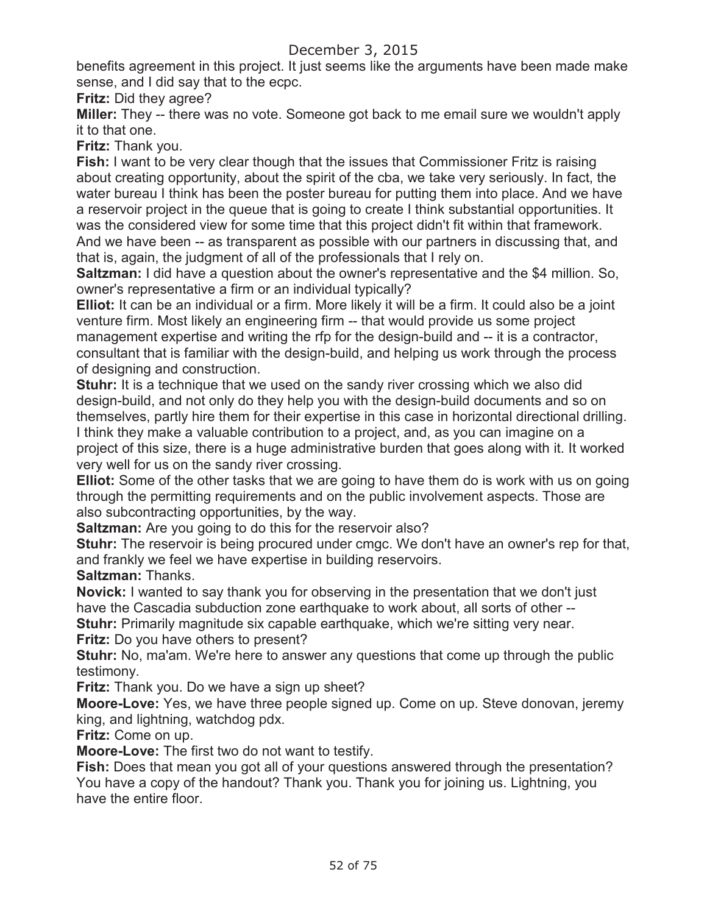benefits agreement in this project. It just seems like the arguments have been made make sense, and I did say that to the ecpc.

**Fritz:** Did they agree?

**Miller:** They -- there was no vote. Someone got back to me email sure we wouldn't apply it to that one.

**Fritz:** Thank you.

**Fish:** I want to be very clear though that the issues that Commissioner Fritz is raising about creating opportunity, about the spirit of the cba, we take very seriously. In fact, the water bureau I think has been the poster bureau for putting them into place. And we have a reservoir project in the queue that is going to create I think substantial opportunities. It was the considered view for some time that this project didn't fit within that framework. And we have been -- as transparent as possible with our partners in discussing that, and that is, again, the judgment of all of the professionals that I rely on.

**Saltzman:** I did have a question about the owner's representative and the \$4 million. So, owner's representative a firm or an individual typically?

**Elliot:** It can be an individual or a firm. More likely it will be a firm. It could also be a joint venture firm. Most likely an engineering firm -- that would provide us some project management expertise and writing the rfp for the design-build and -- it is a contractor, consultant that is familiar with the design-build, and helping us work through the process of designing and construction.

**Stuhr:** It is a technique that we used on the sandy river crossing which we also did design-build, and not only do they help you with the design-build documents and so on themselves, partly hire them for their expertise in this case in horizontal directional drilling. I think they make a valuable contribution to a project, and, as you can imagine on a project of this size, there is a huge administrative burden that goes along with it. It worked very well for us on the sandy river crossing.

**Elliot:** Some of the other tasks that we are going to have them do is work with us on going through the permitting requirements and on the public involvement aspects. Those are also subcontracting opportunities, by the way.

**Saltzman:** Are you going to do this for the reservoir also?

**Stuhr:** The reservoir is being procured under cmgc. We don't have an owner's rep for that, and frankly we feel we have expertise in building reservoirs.

**Saltzman:** Thanks.

**Novick:** I wanted to say thank you for observing in the presentation that we don't just have the Cascadia subduction zone earthquake to work about, all sorts of other -- **Stuhr:** Primarily magnitude six capable earthquake, which we're sitting very near.

**Fritz:** Do you have others to present?

**Stuhr:** No, ma'am. We're here to answer any questions that come up through the public testimony.

**Fritz:** Thank you. Do we have a sign up sheet?

**Moore-Love:** Yes, we have three people signed up. Come on up. Steve donovan, jeremy king, and lightning, watchdog pdx.

**Fritz:** Come on up.

**Moore-Love:** The first two do not want to testify.

**Fish:** Does that mean you got all of your questions answered through the presentation? You have a copy of the handout? Thank you. Thank you for joining us. Lightning, you have the entire floor.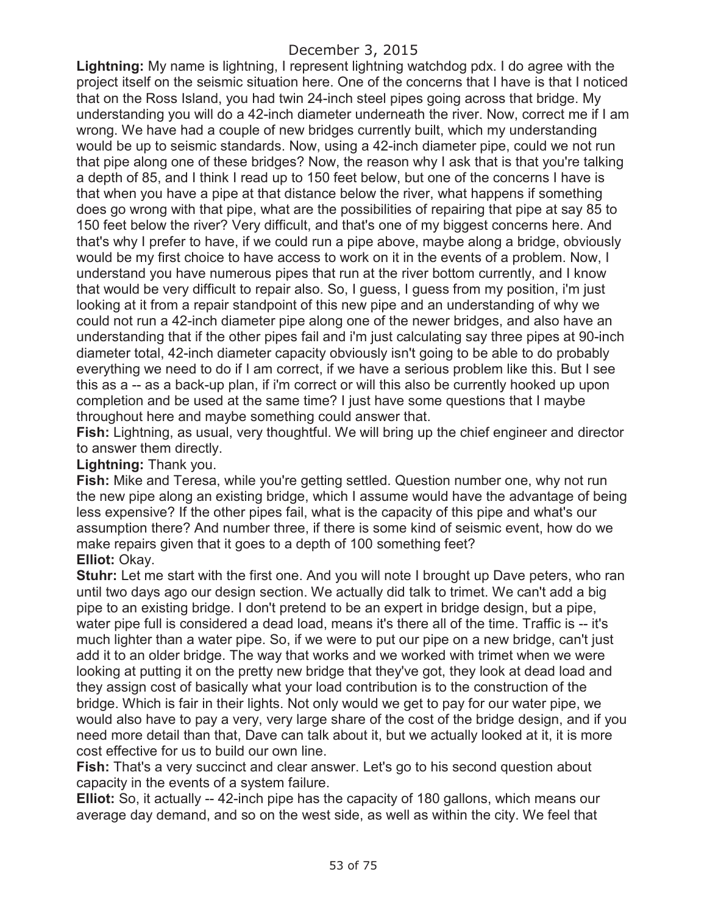**Lightning:** My name is lightning, I represent lightning watchdog pdx. I do agree with the project itself on the seismic situation here. One of the concerns that I have is that I noticed that on the Ross Island, you had twin 24-inch steel pipes going across that bridge. My understanding you will do a 42-inch diameter underneath the river. Now, correct me if I am wrong. We have had a couple of new bridges currently built, which my understanding would be up to seismic standards. Now, using a 42-inch diameter pipe, could we not run that pipe along one of these bridges? Now, the reason why I ask that is that you're talking a depth of 85, and I think I read up to 150 feet below, but one of the concerns I have is that when you have a pipe at that distance below the river, what happens if something does go wrong with that pipe, what are the possibilities of repairing that pipe at say 85 to 150 feet below the river? Very difficult, and that's one of my biggest concerns here. And that's why I prefer to have, if we could run a pipe above, maybe along a bridge, obviously would be my first choice to have access to work on it in the events of a problem. Now, I understand you have numerous pipes that run at the river bottom currently, and I know that would be very difficult to repair also. So, I guess, I guess from my position, i'm just looking at it from a repair standpoint of this new pipe and an understanding of why we could not run a 42-inch diameter pipe along one of the newer bridges, and also have an understanding that if the other pipes fail and i'm just calculating say three pipes at 90-inch diameter total, 42-inch diameter capacity obviously isn't going to be able to do probably everything we need to do if I am correct, if we have a serious problem like this. But I see this as a -- as a back-up plan, if i'm correct or will this also be currently hooked up upon completion and be used at the same time? I just have some questions that I maybe throughout here and maybe something could answer that.

**Fish:** Lightning, as usual, very thoughtful. We will bring up the chief engineer and director to answer them directly.

**Lightning:** Thank you.

**Fish:** Mike and Teresa, while you're getting settled. Question number one, why not run the new pipe along an existing bridge, which I assume would have the advantage of being less expensive? If the other pipes fail, what is the capacity of this pipe and what's our assumption there? And number three, if there is some kind of seismic event, how do we make repairs given that it goes to a depth of 100 something feet? **Elliot:** Okay.

**Stuhr:** Let me start with the first one. And you will note I brought up Dave peters, who ran until two days ago our design section. We actually did talk to trimet. We can't add a big pipe to an existing bridge. I don't pretend to be an expert in bridge design, but a pipe, water pipe full is considered a dead load, means it's there all of the time. Traffic is -- it's much lighter than a water pipe. So, if we were to put our pipe on a new bridge, can't just add it to an older bridge. The way that works and we worked with trimet when we were looking at putting it on the pretty new bridge that they've got, they look at dead load and they assign cost of basically what your load contribution is to the construction of the bridge. Which is fair in their lights. Not only would we get to pay for our water pipe, we would also have to pay a very, very large share of the cost of the bridge design, and if you need more detail than that, Dave can talk about it, but we actually looked at it, it is more cost effective for us to build our own line.

**Fish:** That's a very succinct and clear answer. Let's go to his second question about capacity in the events of a system failure.

**Elliot:** So, it actually -- 42-inch pipe has the capacity of 180 gallons, which means our average day demand, and so on the west side, as well as within the city. We feel that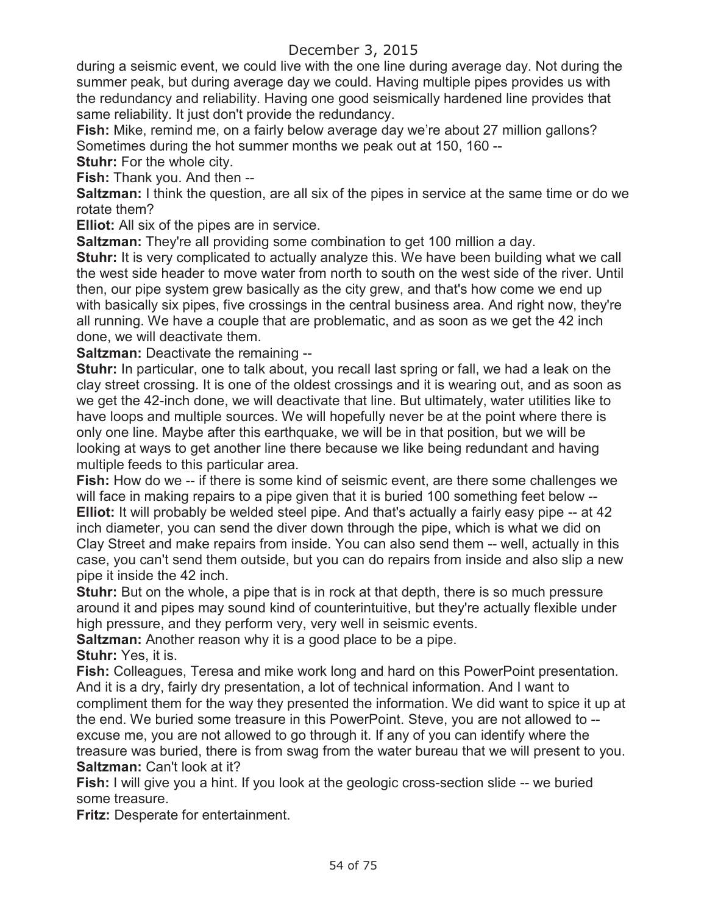during a seismic event, we could live with the one line during average day. Not during the summer peak, but during average day we could. Having multiple pipes provides us with the redundancy and reliability. Having one good seismically hardened line provides that same reliability. It just don't provide the redundancy.

**Fish:** Mike, remind me, on a fairly below average day we're about 27 million gallons? Sometimes during the hot summer months we peak out at 150, 160 --

**Stuhr:** For the whole city.

**Fish:** Thank you. And then --

**Saltzman:** I think the question, are all six of the pipes in service at the same time or do we rotate them?

**Elliot:** All six of the pipes are in service.

**Saltzman:** They're all providing some combination to get 100 million a day.

**Stuhr:** It is very complicated to actually analyze this. We have been building what we call the west side header to move water from north to south on the west side of the river. Until then, our pipe system grew basically as the city grew, and that's how come we end up with basically six pipes, five crossings in the central business area. And right now, they're all running. We have a couple that are problematic, and as soon as we get the 42 inch done, we will deactivate them.

**Saltzman:** Deactivate the remaining --

**Stuhr:** In particular, one to talk about, you recall last spring or fall, we had a leak on the clay street crossing. It is one of the oldest crossings and it is wearing out, and as soon as we get the 42-inch done, we will deactivate that line. But ultimately, water utilities like to have loops and multiple sources. We will hopefully never be at the point where there is only one line. Maybe after this earthquake, we will be in that position, but we will be looking at ways to get another line there because we like being redundant and having multiple feeds to this particular area.

**Fish:** How do we -- if there is some kind of seismic event, are there some challenges we will face in making repairs to a pipe given that it is buried 100 something feet below -- **Elliot:** It will probably be welded steel pipe. And that's actually a fairly easy pipe -- at 42 inch diameter, you can send the diver down through the pipe, which is what we did on Clay Street and make repairs from inside. You can also send them -- well, actually in this case, you can't send them outside, but you can do repairs from inside and also slip a new pipe it inside the 42 inch.

**Stuhr:** But on the whole, a pipe that is in rock at that depth, there is so much pressure around it and pipes may sound kind of counterintuitive, but they're actually flexible under high pressure, and they perform very, very well in seismic events.

**Saltzman:** Another reason why it is a good place to be a pipe.

**Stuhr:** Yes, it is.

**Fish:** Colleagues, Teresa and mike work long and hard on this PowerPoint presentation. And it is a dry, fairly dry presentation, a lot of technical information. And I want to compliment them for the way they presented the information. We did want to spice it up at the end. We buried some treasure in this PowerPoint. Steve, you are not allowed to - excuse me, you are not allowed to go through it. If any of you can identify where the treasure was buried, there is from swag from the water bureau that we will present to you. **Saltzman:** Can't look at it?

**Fish:** I will give you a hint. If you look at the geologic cross-section slide -- we buried some treasure.

**Fritz:** Desperate for entertainment.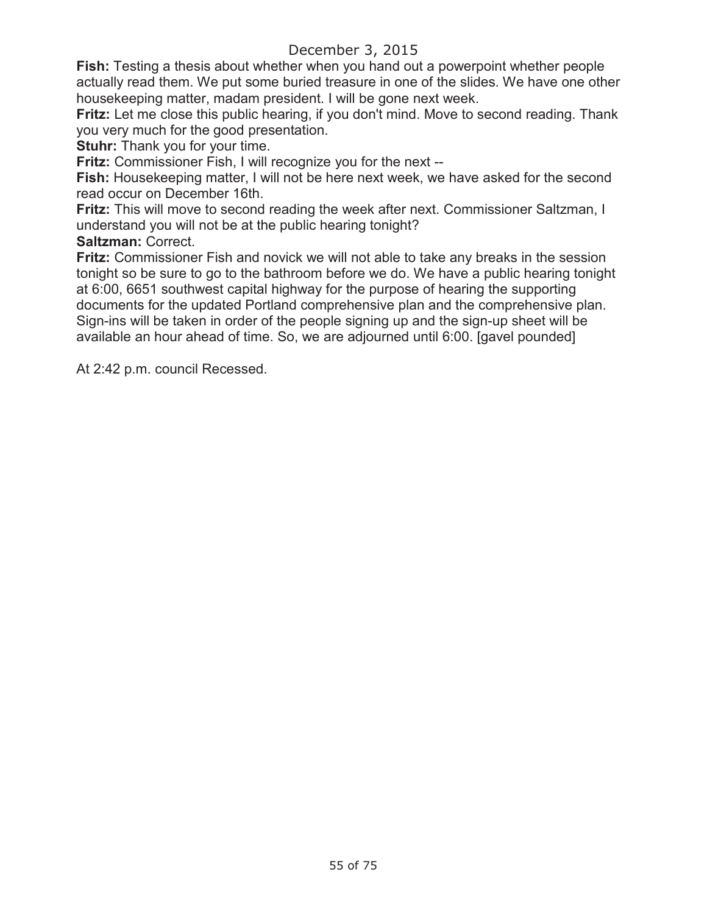**Fish:** Testing a thesis about whether when you hand out a powerpoint whether people actually read them. We put some buried treasure in one of the slides. We have one other housekeeping matter, madam president. I will be gone next week.

**Fritz:** Let me close this public hearing, if you don't mind. Move to second reading. Thank you very much for the good presentation.

**Stuhr:** Thank you for your time.

**Fritz:** Commissioner Fish, I will recognize you for the next --

**Fish:** Housekeeping matter, I will not be here next week, we have asked for the second read occur on December 16th.

**Fritz:** This will move to second reading the week after next. Commissioner Saltzman, I understand you will not be at the public hearing tonight?

**Saltzman:** Correct.

**Fritz:** Commissioner Fish and novick we will not able to take any breaks in the session tonight so be sure to go to the bathroom before we do. We have a public hearing tonight at 6:00, 6651 southwest capital highway for the purpose of hearing the supporting documents for the updated Portland comprehensive plan and the comprehensive plan. Sign-ins will be taken in order of the people signing up and the sign-up sheet will be available an hour ahead of time. So, we are adjourned until 6:00. [gavel pounded]

At 2:42 p.m. council Recessed.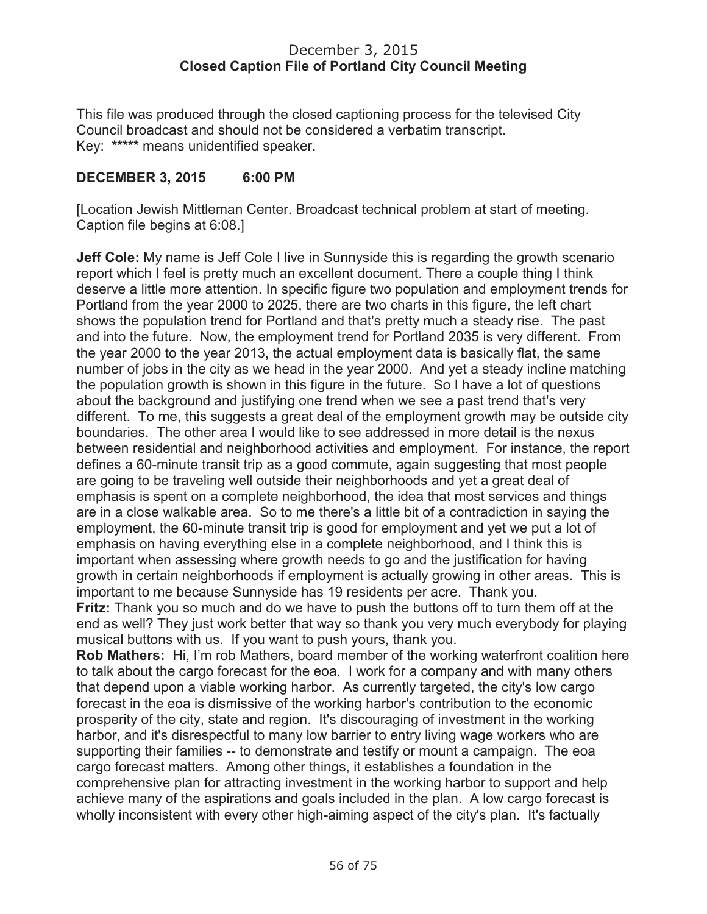#### December 3, 2015 **Closed Caption File of Portland City Council Meeting**

This file was produced through the closed captioning process for the televised City Council broadcast and should not be considered a verbatim transcript. Key: **\*\*\*\*\*** means unidentified speaker.

### **DECEMBER 3, 2015 6:00 PM**

[Location Jewish Mittleman Center. Broadcast technical problem at start of meeting. Caption file begins at 6:08.]

**Jeff Cole:** My name is Jeff Cole I live in Sunnyside this is regarding the growth scenario report which I feel is pretty much an excellent document. There a couple thing I think deserve a little more attention. In specific figure two population and employment trends for Portland from the year 2000 to 2025, there are two charts in this figure, the left chart shows the population trend for Portland and that's pretty much a steady rise. The past and into the future. Now, the employment trend for Portland 2035 is very different. From the year 2000 to the year 2013, the actual employment data is basically flat, the same number of jobs in the city as we head in the year 2000. And yet a steady incline matching the population growth is shown in this figure in the future. So I have a lot of questions about the background and justifying one trend when we see a past trend that's very different. To me, this suggests a great deal of the employment growth may be outside city boundaries. The other area I would like to see addressed in more detail is the nexus between residential and neighborhood activities and employment. For instance, the report defines a 60-minute transit trip as a good commute, again suggesting that most people are going to be traveling well outside their neighborhoods and yet a great deal of emphasis is spent on a complete neighborhood, the idea that most services and things are in a close walkable area. So to me there's a little bit of a contradiction in saying the employment, the 60-minute transit trip is good for employment and yet we put a lot of emphasis on having everything else in a complete neighborhood, and I think this is important when assessing where growth needs to go and the justification for having growth in certain neighborhoods if employment is actually growing in other areas. This is important to me because Sunnyside has 19 residents per acre. Thank you.

**Fritz:** Thank you so much and do we have to push the buttons off to turn them off at the end as well? They just work better that way so thank you very much everybody for playing musical buttons with us. If you want to push yours, thank you.

**Rob Mathers:** Hi, I'm rob Mathers, board member of the working waterfront coalition here to talk about the cargo forecast for the eoa. I work for a company and with many others that depend upon a viable working harbor. As currently targeted, the city's low cargo forecast in the eoa is dismissive of the working harbor's contribution to the economic prosperity of the city, state and region. It's discouraging of investment in the working harbor, and it's disrespectful to many low barrier to entry living wage workers who are supporting their families -- to demonstrate and testify or mount a campaign. The eoa cargo forecast matters. Among other things, it establishes a foundation in the comprehensive plan for attracting investment in the working harbor to support and help achieve many of the aspirations and goals included in the plan. A low cargo forecast is wholly inconsistent with every other high-aiming aspect of the city's plan. It's factually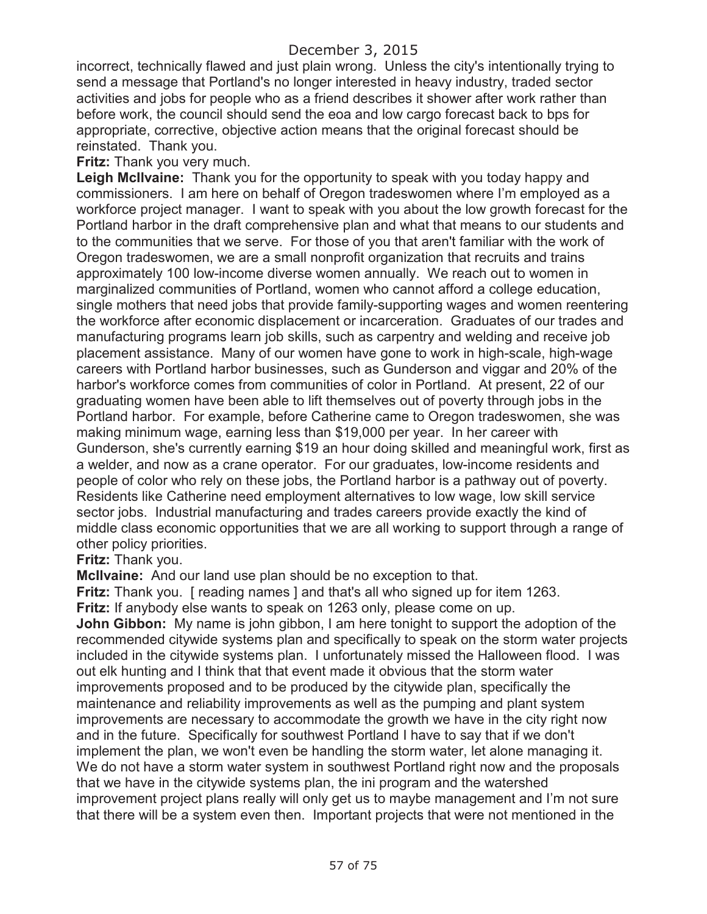incorrect, technically flawed and just plain wrong. Unless the city's intentionally trying to send a message that Portland's no longer interested in heavy industry, traded sector activities and jobs for people who as a friend describes it shower after work rather than before work, the council should send the eoa and low cargo forecast back to bps for appropriate, corrective, objective action means that the original forecast should be reinstated. Thank you.

**Fritz:** Thank you very much.

**Leigh McIlvaine:** Thank you for the opportunity to speak with you today happy and commissioners. I am here on behalf of Oregon tradeswomen where I'm employed as a workforce project manager. I want to speak with you about the low growth forecast for the Portland harbor in the draft comprehensive plan and what that means to our students and to the communities that we serve. For those of you that aren't familiar with the work of Oregon tradeswomen, we are a small nonprofit organization that recruits and trains approximately 100 low-income diverse women annually. We reach out to women in marginalized communities of Portland, women who cannot afford a college education, single mothers that need jobs that provide family-supporting wages and women reentering the workforce after economic displacement or incarceration. Graduates of our trades and manufacturing programs learn job skills, such as carpentry and welding and receive job placement assistance. Many of our women have gone to work in high-scale, high-wage careers with Portland harbor businesses, such as Gunderson and viggar and 20% of the harbor's workforce comes from communities of color in Portland. At present, 22 of our graduating women have been able to lift themselves out of poverty through jobs in the Portland harbor. For example, before Catherine came to Oregon tradeswomen, she was making minimum wage, earning less than \$19,000 per year. In her career with Gunderson, she's currently earning \$19 an hour doing skilled and meaningful work, first as a welder, and now as a crane operator. For our graduates, low-income residents and people of color who rely on these jobs, the Portland harbor is a pathway out of poverty. Residents like Catherine need employment alternatives to low wage, low skill service sector jobs. Industrial manufacturing and trades careers provide exactly the kind of middle class economic opportunities that we are all working to support through a range of other policy priorities.

**Fritz:** Thank you.

**McIlvaine:** And our land use plan should be no exception to that.

**Fritz:** Thank you. [ reading names ] and that's all who signed up for item 1263. **Fritz:** If anybody else wants to speak on 1263 only, please come on up.

**John Gibbon:** My name is john gibbon, I am here tonight to support the adoption of the recommended citywide systems plan and specifically to speak on the storm water projects included in the citywide systems plan. I unfortunately missed the Halloween flood. I was out elk hunting and I think that that event made it obvious that the storm water improvements proposed and to be produced by the citywide plan, specifically the maintenance and reliability improvements as well as the pumping and plant system improvements are necessary to accommodate the growth we have in the city right now and in the future. Specifically for southwest Portland I have to say that if we don't implement the plan, we won't even be handling the storm water, let alone managing it. We do not have a storm water system in southwest Portland right now and the proposals that we have in the citywide systems plan, the ini program and the watershed improvement project plans really will only get us to maybe management and I'm not sure that there will be a system even then. Important projects that were not mentioned in the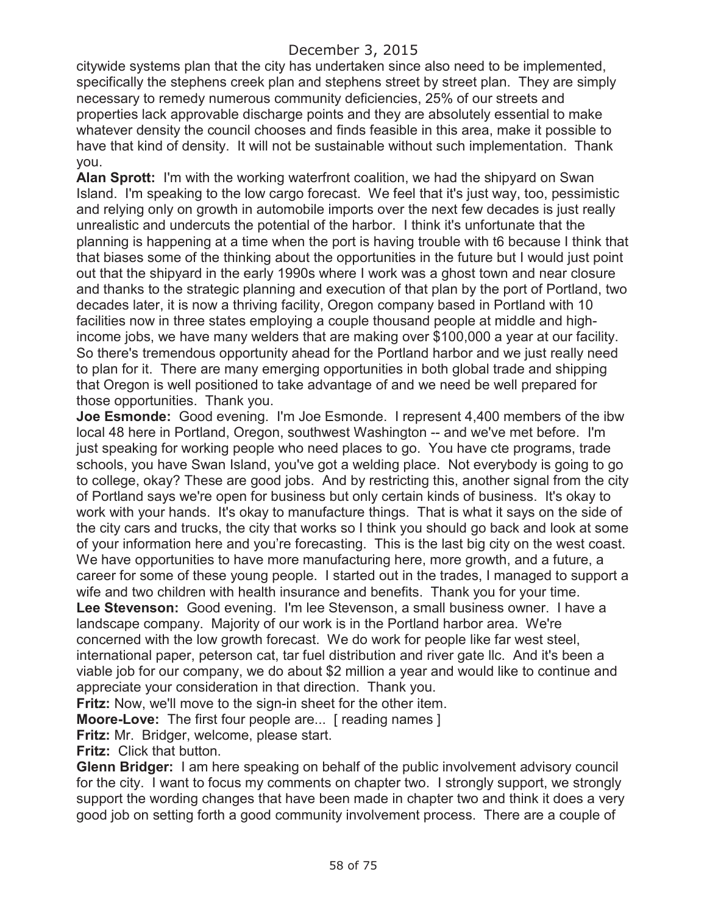citywide systems plan that the city has undertaken since also need to be implemented, specifically the stephens creek plan and stephens street by street plan. They are simply necessary to remedy numerous community deficiencies, 25% of our streets and properties lack approvable discharge points and they are absolutely essential to make whatever density the council chooses and finds feasible in this area, make it possible to have that kind of density. It will not be sustainable without such implementation. Thank you.

**Alan Sprott:** I'm with the working waterfront coalition, we had the shipyard on Swan Island. I'm speaking to the low cargo forecast. We feel that it's just way, too, pessimistic and relying only on growth in automobile imports over the next few decades is just really unrealistic and undercuts the potential of the harbor. I think it's unfortunate that the planning is happening at a time when the port is having trouble with t6 because I think that that biases some of the thinking about the opportunities in the future but I would just point out that the shipyard in the early 1990s where I work was a ghost town and near closure and thanks to the strategic planning and execution of that plan by the port of Portland, two decades later, it is now a thriving facility, Oregon company based in Portland with 10 facilities now in three states employing a couple thousand people at middle and highincome jobs, we have many welders that are making over \$100,000 a year at our facility. So there's tremendous opportunity ahead for the Portland harbor and we just really need to plan for it. There are many emerging opportunities in both global trade and shipping that Oregon is well positioned to take advantage of and we need be well prepared for those opportunities. Thank you.

**Joe Esmonde:** Good evening. I'm Joe Esmonde. I represent 4,400 members of the ibw local 48 here in Portland, Oregon, southwest Washington -- and we've met before. I'm just speaking for working people who need places to go. You have cte programs, trade schools, you have Swan Island, you've got a welding place. Not everybody is going to go to college, okay? These are good jobs. And by restricting this, another signal from the city of Portland says we're open for business but only certain kinds of business. It's okay to work with your hands. It's okay to manufacture things. That is what it says on the side of the city cars and trucks, the city that works so I think you should go back and look at some of your information here and you're forecasting. This is the last big city on the west coast. We have opportunities to have more manufacturing here, more growth, and a future, a career for some of these young people. I started out in the trades, I managed to support a wife and two children with health insurance and benefits. Thank you for your time. **Lee Stevenson:** Good evening. I'm lee Stevenson, a small business owner. I have a landscape company. Majority of our work is in the Portland harbor area. We're concerned with the low growth forecast. We do work for people like far west steel, international paper, peterson cat, tar fuel distribution and river gate llc. And it's been a viable job for our company, we do about \$2 million a year and would like to continue and appreciate your consideration in that direction. Thank you.

**Fritz:** Now, we'll move to the sign-in sheet for the other item.

**Moore-Love:** The first four people are... [ reading names ]

**Fritz:** Mr. Bridger, welcome, please start.

**Fritz:** Click that button.

**Glenn Bridger:** I am here speaking on behalf of the public involvement advisory council for the city. I want to focus my comments on chapter two. I strongly support, we strongly support the wording changes that have been made in chapter two and think it does a very good job on setting forth a good community involvement process. There are a couple of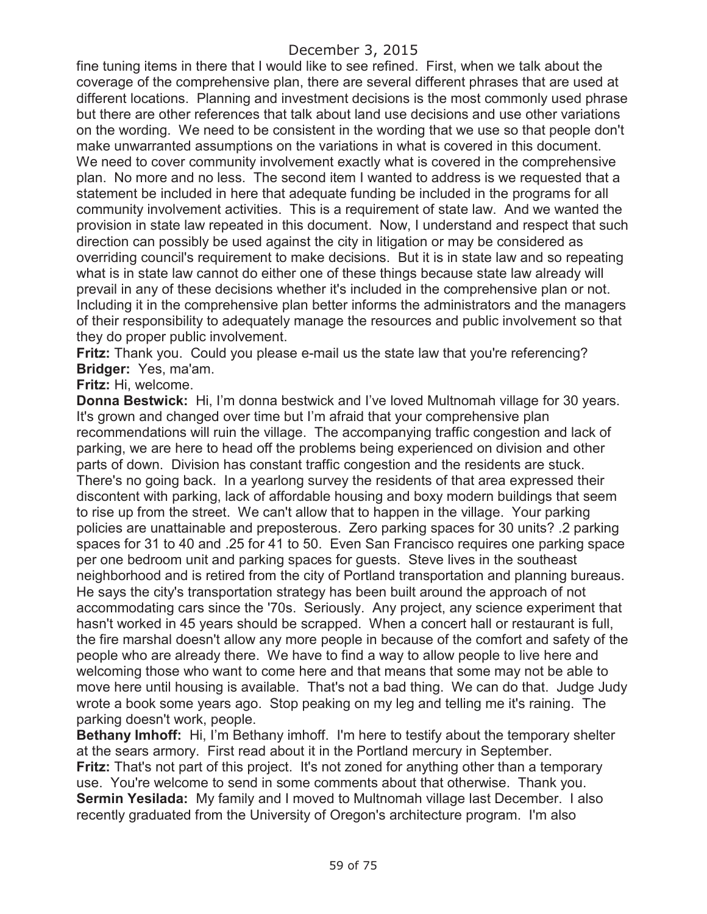fine tuning items in there that I would like to see refined. First, when we talk about the coverage of the comprehensive plan, there are several different phrases that are used at different locations. Planning and investment decisions is the most commonly used phrase but there are other references that talk about land use decisions and use other variations on the wording. We need to be consistent in the wording that we use so that people don't make unwarranted assumptions on the variations in what is covered in this document. We need to cover community involvement exactly what is covered in the comprehensive plan. No more and no less. The second item I wanted to address is we requested that a statement be included in here that adequate funding be included in the programs for all community involvement activities. This is a requirement of state law. And we wanted the provision in state law repeated in this document. Now, I understand and respect that such direction can possibly be used against the city in litigation or may be considered as overriding council's requirement to make decisions. But it is in state law and so repeating what is in state law cannot do either one of these things because state law already will prevail in any of these decisions whether it's included in the comprehensive plan or not. Including it in the comprehensive plan better informs the administrators and the managers of their responsibility to adequately manage the resources and public involvement so that they do proper public involvement.

**Fritz:** Thank you. Could you please e-mail us the state law that you're referencing? **Bridger:** Yes, ma'am.

**Fritz:** Hi, welcome.

**Donna Bestwick:** Hi, I'm donna bestwick and I've loved Multnomah village for 30 years. It's grown and changed over time but I'm afraid that your comprehensive plan recommendations will ruin the village. The accompanying traffic congestion and lack of parking, we are here to head off the problems being experienced on division and other parts of down. Division has constant traffic congestion and the residents are stuck. There's no going back. In a yearlong survey the residents of that area expressed their discontent with parking, lack of affordable housing and boxy modern buildings that seem to rise up from the street. We can't allow that to happen in the village. Your parking policies are unattainable and preposterous. Zero parking spaces for 30 units? .2 parking spaces for 31 to 40 and .25 for 41 to 50. Even San Francisco requires one parking space per one bedroom unit and parking spaces for guests. Steve lives in the southeast neighborhood and is retired from the city of Portland transportation and planning bureaus. He says the city's transportation strategy has been built around the approach of not accommodating cars since the '70s. Seriously. Any project, any science experiment that hasn't worked in 45 years should be scrapped. When a concert hall or restaurant is full, the fire marshal doesn't allow any more people in because of the comfort and safety of the people who are already there. We have to find a way to allow people to live here and welcoming those who want to come here and that means that some may not be able to move here until housing is available. That's not a bad thing. We can do that. Judge Judy wrote a book some years ago. Stop peaking on my leg and telling me it's raining. The parking doesn't work, people.

**Bethany Imhoff:** Hi, I'm Bethany imhoff. I'm here to testify about the temporary shelter at the sears armory. First read about it in the Portland mercury in September. **Fritz:** That's not part of this project. It's not zoned for anything other than a temporary use. You're welcome to send in some comments about that otherwise. Thank you. **Sermin Yesilada:** My family and I moved to Multnomah village last December. I also recently graduated from the University of Oregon's architecture program. I'm also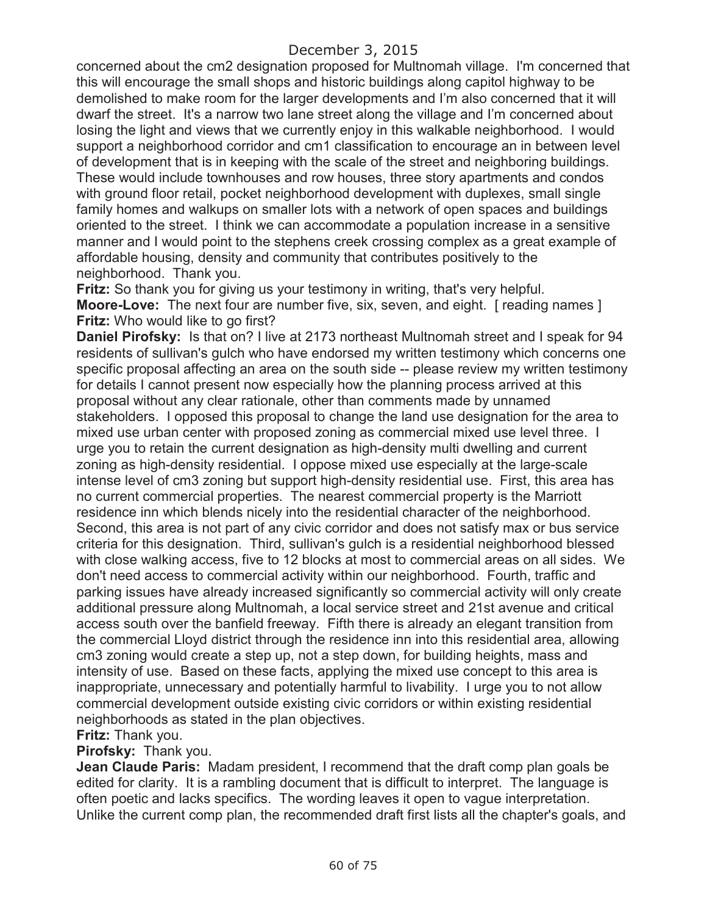concerned about the cm2 designation proposed for Multnomah village. I'm concerned that this will encourage the small shops and historic buildings along capitol highway to be demolished to make room for the larger developments and I'm also concerned that it will dwarf the street. It's a narrow two lane street along the village and I'm concerned about losing the light and views that we currently enjoy in this walkable neighborhood. I would support a neighborhood corridor and cm1 classification to encourage an in between level of development that is in keeping with the scale of the street and neighboring buildings. These would include townhouses and row houses, three story apartments and condos with ground floor retail, pocket neighborhood development with duplexes, small single family homes and walkups on smaller lots with a network of open spaces and buildings oriented to the street. I think we can accommodate a population increase in a sensitive manner and I would point to the stephens creek crossing complex as a great example of affordable housing, density and community that contributes positively to the neighborhood. Thank you.

**Fritz:** So thank you for giving us your testimony in writing, that's very helpful. **Moore-Love:** The next four are number five, six, seven, and eight. [reading names] **Fritz:** Who would like to go first?

**Daniel Pirofsky:** Is that on? I live at 2173 northeast Multnomah street and I speak for 94 residents of sullivan's gulch who have endorsed my written testimony which concerns one specific proposal affecting an area on the south side -- please review my written testimony for details I cannot present now especially how the planning process arrived at this proposal without any clear rationale, other than comments made by unnamed stakeholders. I opposed this proposal to change the land use designation for the area to mixed use urban center with proposed zoning as commercial mixed use level three. I urge you to retain the current designation as high-density multi dwelling and current zoning as high-density residential. I oppose mixed use especially at the large-scale intense level of cm3 zoning but support high-density residential use. First, this area has no current commercial properties. The nearest commercial property is the Marriott residence inn which blends nicely into the residential character of the neighborhood. Second, this area is not part of any civic corridor and does not satisfy max or bus service criteria for this designation. Third, sullivan's gulch is a residential neighborhood blessed with close walking access, five to 12 blocks at most to commercial areas on all sides. We don't need access to commercial activity within our neighborhood. Fourth, traffic and parking issues have already increased significantly so commercial activity will only create additional pressure along Multnomah, a local service street and 21st avenue and critical access south over the banfield freeway. Fifth there is already an elegant transition from the commercial Lloyd district through the residence inn into this residential area, allowing cm3 zoning would create a step up, not a step down, for building heights, mass and intensity of use. Based on these facts, applying the mixed use concept to this area is inappropriate, unnecessary and potentially harmful to livability. I urge you to not allow commercial development outside existing civic corridors or within existing residential neighborhoods as stated in the plan objectives.

### **Fritz:** Thank you.

### **Pirofsky:** Thank you.

**Jean Claude Paris:** Madam president, I recommend that the draft comp plan goals be edited for clarity. It is a rambling document that is difficult to interpret. The language is often poetic and lacks specifics. The wording leaves it open to vague interpretation. Unlike the current comp plan, the recommended draft first lists all the chapter's goals, and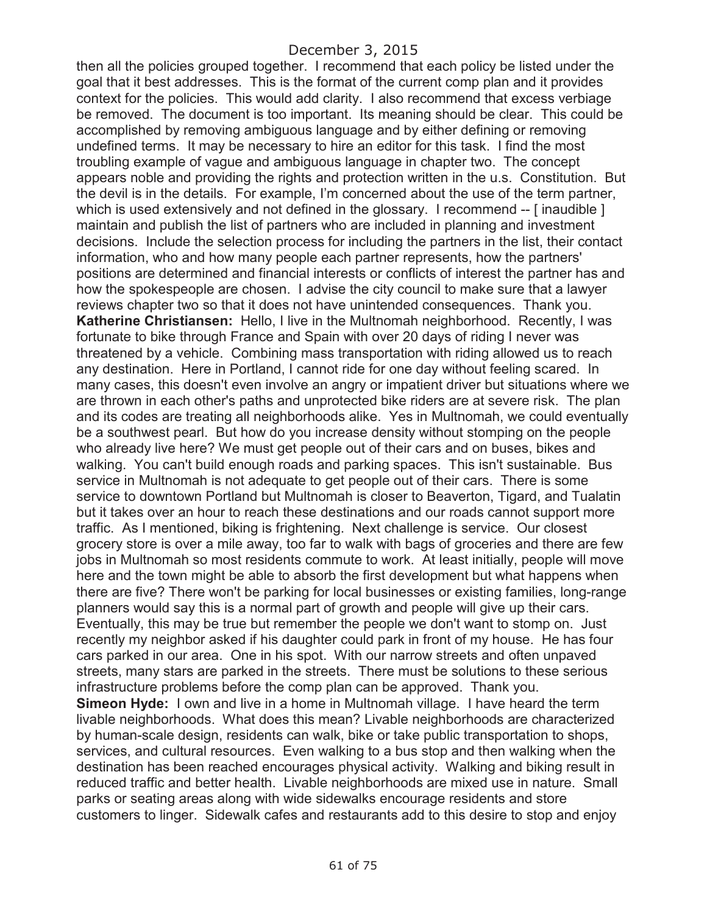then all the policies grouped together. I recommend that each policy be listed under the goal that it best addresses. This is the format of the current comp plan and it provides context for the policies. This would add clarity. I also recommend that excess verbiage be removed. The document is too important. Its meaning should be clear. This could be accomplished by removing ambiguous language and by either defining or removing undefined terms. It may be necessary to hire an editor for this task. I find the most troubling example of vague and ambiguous language in chapter two. The concept appears noble and providing the rights and protection written in the u.s. Constitution. But the devil is in the details. For example, I'm concerned about the use of the term partner, which is used extensively and not defined in the glossary. I recommend -- [inaudible ] maintain and publish the list of partners who are included in planning and investment decisions. Include the selection process for including the partners in the list, their contact information, who and how many people each partner represents, how the partners' positions are determined and financial interests or conflicts of interest the partner has and how the spokespeople are chosen. I advise the city council to make sure that a lawyer reviews chapter two so that it does not have unintended consequences. Thank you. **Katherine Christiansen:** Hello, I live in the Multnomah neighborhood. Recently, I was fortunate to bike through France and Spain with over 20 days of riding I never was threatened by a vehicle. Combining mass transportation with riding allowed us to reach any destination. Here in Portland, I cannot ride for one day without feeling scared. In many cases, this doesn't even involve an angry or impatient driver but situations where we are thrown in each other's paths and unprotected bike riders are at severe risk. The plan and its codes are treating all neighborhoods alike. Yes in Multnomah, we could eventually be a southwest pearl. But how do you increase density without stomping on the people who already live here? We must get people out of their cars and on buses, bikes and walking. You can't build enough roads and parking spaces. This isn't sustainable. Bus service in Multnomah is not adequate to get people out of their cars. There is some service to downtown Portland but Multnomah is closer to Beaverton, Tigard, and Tualatin but it takes over an hour to reach these destinations and our roads cannot support more traffic. As I mentioned, biking is frightening. Next challenge is service. Our closest grocery store is over a mile away, too far to walk with bags of groceries and there are few jobs in Multnomah so most residents commute to work. At least initially, people will move here and the town might be able to absorb the first development but what happens when there are five? There won't be parking for local businesses or existing families, long-range planners would say this is a normal part of growth and people will give up their cars. Eventually, this may be true but remember the people we don't want to stomp on. Just recently my neighbor asked if his daughter could park in front of my house. He has four cars parked in our area. One in his spot. With our narrow streets and often unpaved streets, many stars are parked in the streets. There must be solutions to these serious infrastructure problems before the comp plan can be approved. Thank you. **Simeon Hyde:** I own and live in a home in Multnomah village. I have heard the term livable neighborhoods. What does this mean? Livable neighborhoods are characterized by human-scale design, residents can walk, bike or take public transportation to shops, services, and cultural resources. Even walking to a bus stop and then walking when the destination has been reached encourages physical activity. Walking and biking result in reduced traffic and better health. Livable neighborhoods are mixed use in nature. Small parks or seating areas along with wide sidewalks encourage residents and store customers to linger. Sidewalk cafes and restaurants add to this desire to stop and enjoy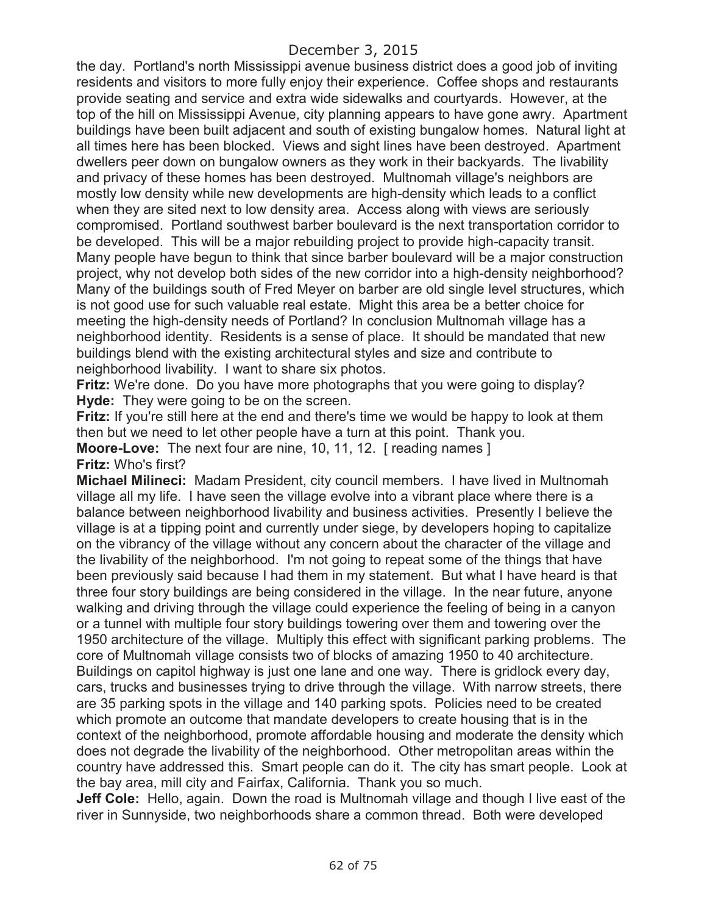the day. Portland's north Mississippi avenue business district does a good job of inviting residents and visitors to more fully enjoy their experience. Coffee shops and restaurants provide seating and service and extra wide sidewalks and courtyards. However, at the top of the hill on Mississippi Avenue, city planning appears to have gone awry. Apartment buildings have been built adjacent and south of existing bungalow homes. Natural light at all times here has been blocked. Views and sight lines have been destroyed. Apartment dwellers peer down on bungalow owners as they work in their backyards. The livability and privacy of these homes has been destroyed. Multnomah village's neighbors are mostly low density while new developments are high-density which leads to a conflict when they are sited next to low density area. Access along with views are seriously compromised. Portland southwest barber boulevard is the next transportation corridor to be developed. This will be a major rebuilding project to provide high-capacity transit. Many people have begun to think that since barber boulevard will be a major construction project, why not develop both sides of the new corridor into a high-density neighborhood? Many of the buildings south of Fred Meyer on barber are old single level structures, which is not good use for such valuable real estate. Might this area be a better choice for meeting the high-density needs of Portland? In conclusion Multnomah village has a neighborhood identity. Residents is a sense of place. It should be mandated that new buildings blend with the existing architectural styles and size and contribute to neighborhood livability. I want to share six photos.

**Fritz:** We're done. Do you have more photographs that you were going to display? **Hyde:** They were going to be on the screen.

**Fritz:** If you're still here at the end and there's time we would be happy to look at them then but we need to let other people have a turn at this point. Thank you.

**Moore-Love:** The next four are nine, 10, 11, 12. [ reading names ] **Fritz:** Who's first?

**Michael Milineci:** Madam President, city council members. I have lived in Multnomah village all my life. I have seen the village evolve into a vibrant place where there is a balance between neighborhood livability and business activities. Presently I believe the village is at a tipping point and currently under siege, by developers hoping to capitalize on the vibrancy of the village without any concern about the character of the village and the livability of the neighborhood. I'm not going to repeat some of the things that have been previously said because I had them in my statement. But what I have heard is that three four story buildings are being considered in the village. In the near future, anyone walking and driving through the village could experience the feeling of being in a canyon or a tunnel with multiple four story buildings towering over them and towering over the 1950 architecture of the village. Multiply this effect with significant parking problems. The core of Multnomah village consists two of blocks of amazing 1950 to 40 architecture. Buildings on capitol highway is just one lane and one way. There is gridlock every day, cars, trucks and businesses trying to drive through the village. With narrow streets, there are 35 parking spots in the village and 140 parking spots. Policies need to be created which promote an outcome that mandate developers to create housing that is in the context of the neighborhood, promote affordable housing and moderate the density which does not degrade the livability of the neighborhood. Other metropolitan areas within the country have addressed this. Smart people can do it. The city has smart people. Look at the bay area, mill city and Fairfax, California. Thank you so much.

**Jeff Cole:** Hello, again. Down the road is Multnomah village and though I live east of the river in Sunnyside, two neighborhoods share a common thread. Both were developed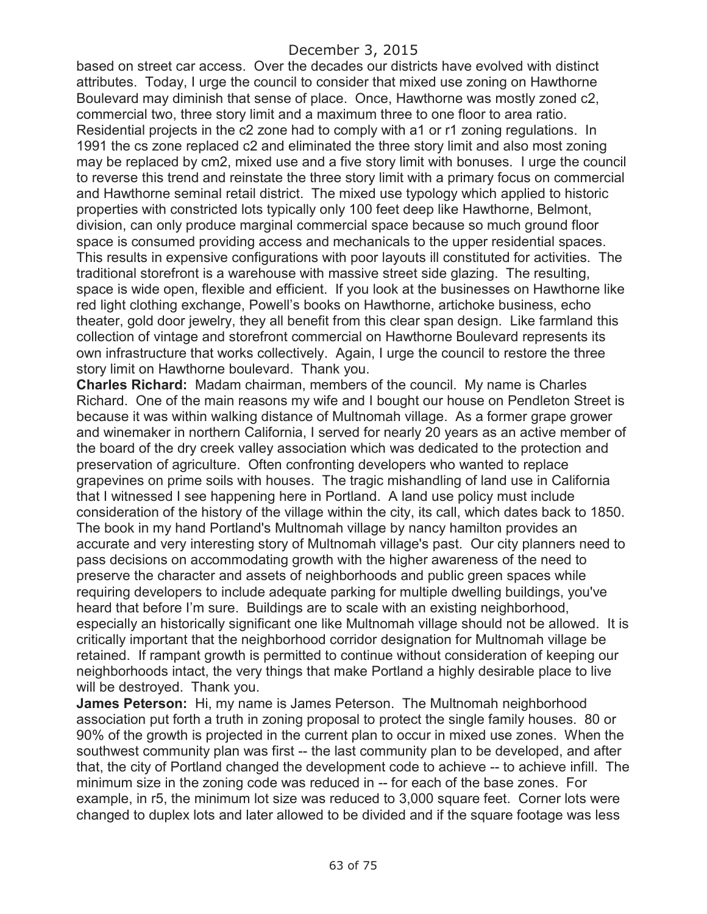based on street car access. Over the decades our districts have evolved with distinct attributes. Today, I urge the council to consider that mixed use zoning on Hawthorne Boulevard may diminish that sense of place. Once, Hawthorne was mostly zoned c2, commercial two, three story limit and a maximum three to one floor to area ratio. Residential projects in the c2 zone had to comply with a1 or r1 zoning regulations. In 1991 the cs zone replaced c2 and eliminated the three story limit and also most zoning may be replaced by cm2, mixed use and a five story limit with bonuses. I urge the council to reverse this trend and reinstate the three story limit with a primary focus on commercial and Hawthorne seminal retail district. The mixed use typology which applied to historic properties with constricted lots typically only 100 feet deep like Hawthorne, Belmont, division, can only produce marginal commercial space because so much ground floor space is consumed providing access and mechanicals to the upper residential spaces. This results in expensive configurations with poor layouts ill constituted for activities. The traditional storefront is a warehouse with massive street side glazing. The resulting, space is wide open, flexible and efficient. If you look at the businesses on Hawthorne like red light clothing exchange, Powell's books on Hawthorne, artichoke business, echo theater, gold door jewelry, they all benefit from this clear span design. Like farmland this collection of vintage and storefront commercial on Hawthorne Boulevard represents its own infrastructure that works collectively. Again, I urge the council to restore the three story limit on Hawthorne boulevard. Thank you.

**Charles Richard:** Madam chairman, members of the council. My name is Charles Richard. One of the main reasons my wife and I bought our house on Pendleton Street is because it was within walking distance of Multnomah village. As a former grape grower and winemaker in northern California, I served for nearly 20 years as an active member of the board of the dry creek valley association which was dedicated to the protection and preservation of agriculture. Often confronting developers who wanted to replace grapevines on prime soils with houses. The tragic mishandling of land use in California that I witnessed I see happening here in Portland. A land use policy must include consideration of the history of the village within the city, its call, which dates back to 1850. The book in my hand Portland's Multnomah village by nancy hamilton provides an accurate and very interesting story of Multnomah village's past. Our city planners need to pass decisions on accommodating growth with the higher awareness of the need to preserve the character and assets of neighborhoods and public green spaces while requiring developers to include adequate parking for multiple dwelling buildings, you've heard that before I'm sure. Buildings are to scale with an existing neighborhood, especially an historically significant one like Multnomah village should not be allowed. It is critically important that the neighborhood corridor designation for Multnomah village be retained. If rampant growth is permitted to continue without consideration of keeping our neighborhoods intact, the very things that make Portland a highly desirable place to live will be destroyed. Thank you.

**James Peterson:** Hi, my name is James Peterson. The Multnomah neighborhood association put forth a truth in zoning proposal to protect the single family houses. 80 or 90% of the growth is projected in the current plan to occur in mixed use zones. When the southwest community plan was first -- the last community plan to be developed, and after that, the city of Portland changed the development code to achieve -- to achieve infill. The minimum size in the zoning code was reduced in -- for each of the base zones. For example, in r5, the minimum lot size was reduced to 3,000 square feet. Corner lots were changed to duplex lots and later allowed to be divided and if the square footage was less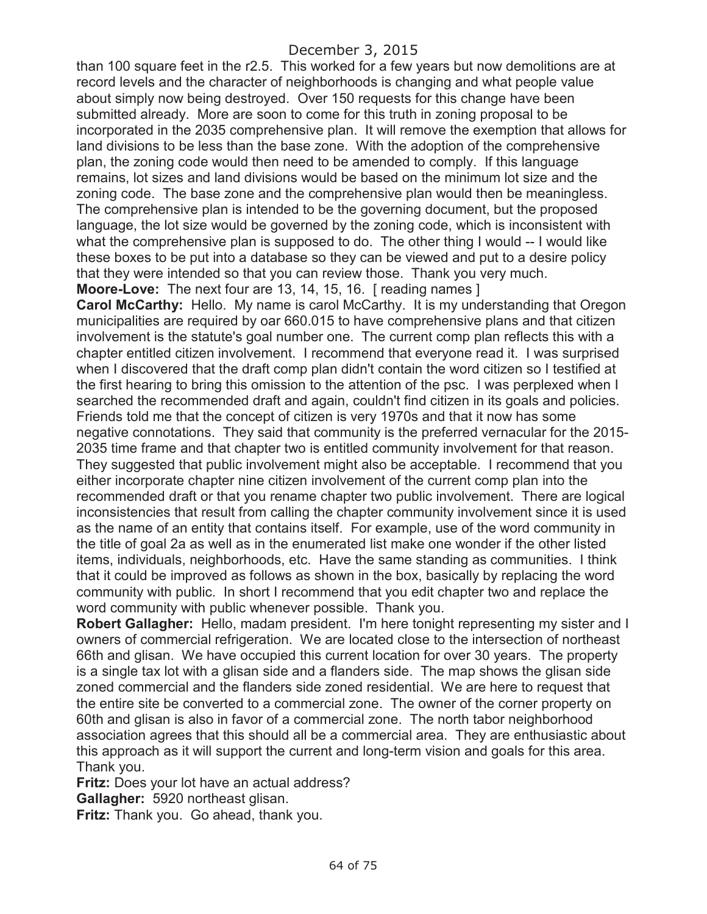than 100 square feet in the r2.5. This worked for a few years but now demolitions are at record levels and the character of neighborhoods is changing and what people value about simply now being destroyed. Over 150 requests for this change have been submitted already. More are soon to come for this truth in zoning proposal to be incorporated in the 2035 comprehensive plan. It will remove the exemption that allows for land divisions to be less than the base zone. With the adoption of the comprehensive plan, the zoning code would then need to be amended to comply. If this language remains, lot sizes and land divisions would be based on the minimum lot size and the zoning code. The base zone and the comprehensive plan would then be meaningless. The comprehensive plan is intended to be the governing document, but the proposed language, the lot size would be governed by the zoning code, which is inconsistent with what the comprehensive plan is supposed to do. The other thing I would -- I would like these boxes to be put into a database so they can be viewed and put to a desire policy that they were intended so that you can review those. Thank you very much.

**Moore-Love:** The next four are 13, 14, 15, 16. [ reading names ]

**Carol McCarthy:** Hello. My name is carol McCarthy. It is my understanding that Oregon municipalities are required by oar 660.015 to have comprehensive plans and that citizen involvement is the statute's goal number one. The current comp plan reflects this with a chapter entitled citizen involvement. I recommend that everyone read it. I was surprised when I discovered that the draft comp plan didn't contain the word citizen so I testified at the first hearing to bring this omission to the attention of the psc. I was perplexed when I searched the recommended draft and again, couldn't find citizen in its goals and policies. Friends told me that the concept of citizen is very 1970s and that it now has some negative connotations. They said that community is the preferred vernacular for the 2015- 2035 time frame and that chapter two is entitled community involvement for that reason. They suggested that public involvement might also be acceptable. I recommend that you either incorporate chapter nine citizen involvement of the current comp plan into the recommended draft or that you rename chapter two public involvement. There are logical inconsistencies that result from calling the chapter community involvement since it is used as the name of an entity that contains itself. For example, use of the word community in the title of goal 2a as well as in the enumerated list make one wonder if the other listed items, individuals, neighborhoods, etc. Have the same standing as communities. I think that it could be improved as follows as shown in the box, basically by replacing the word community with public. In short I recommend that you edit chapter two and replace the word community with public whenever possible. Thank you.

**Robert Gallagher:** Hello, madam president. I'm here tonight representing my sister and I owners of commercial refrigeration. We are located close to the intersection of northeast 66th and glisan. We have occupied this current location for over 30 years. The property is a single tax lot with a glisan side and a flanders side. The map shows the glisan side zoned commercial and the flanders side zoned residential. We are here to request that the entire site be converted to a commercial zone. The owner of the corner property on 60th and glisan is also in favor of a commercial zone. The north tabor neighborhood association agrees that this should all be a commercial area. They are enthusiastic about this approach as it will support the current and long-term vision and goals for this area. Thank you.

**Fritz:** Does your lot have an actual address?

**Gallagher:** 5920 northeast glisan.

**Fritz:** Thank you. Go ahead, thank you.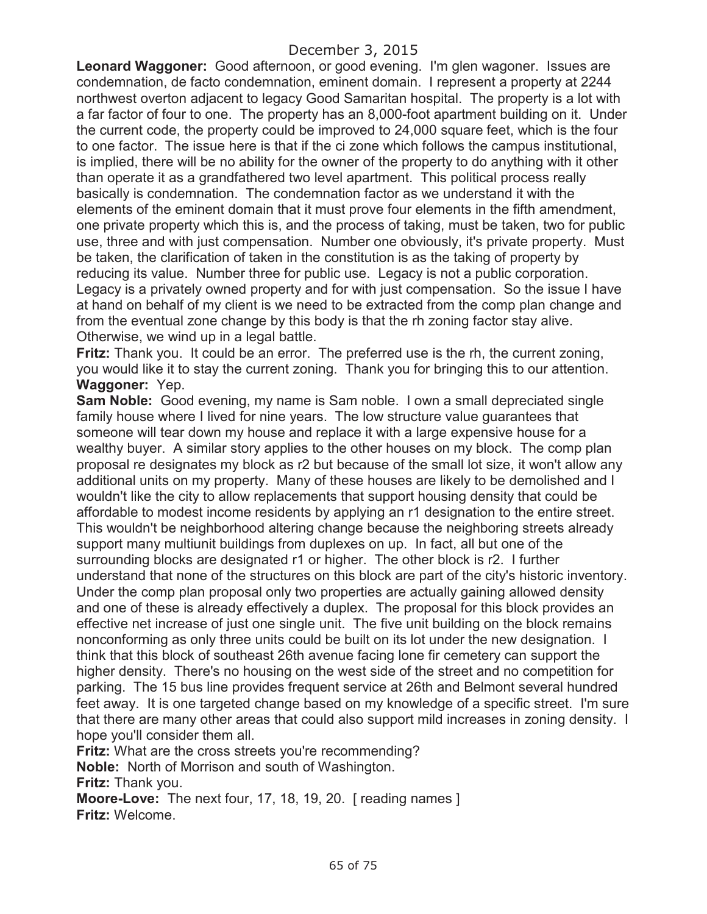**Leonard Waggoner:** Good afternoon, or good evening. I'm glen wagoner. Issues are condemnation, de facto condemnation, eminent domain. I represent a property at 2244 northwest overton adjacent to legacy Good Samaritan hospital. The property is a lot with a far factor of four to one. The property has an 8,000-foot apartment building on it. Under the current code, the property could be improved to 24,000 square feet, which is the four to one factor. The issue here is that if the ci zone which follows the campus institutional, is implied, there will be no ability for the owner of the property to do anything with it other than operate it as a grandfathered two level apartment. This political process really basically is condemnation. The condemnation factor as we understand it with the elements of the eminent domain that it must prove four elements in the fifth amendment, one private property which this is, and the process of taking, must be taken, two for public use, three and with just compensation. Number one obviously, it's private property. Must be taken, the clarification of taken in the constitution is as the taking of property by reducing its value. Number three for public use. Legacy is not a public corporation. Legacy is a privately owned property and for with just compensation. So the issue I have at hand on behalf of my client is we need to be extracted from the comp plan change and from the eventual zone change by this body is that the rh zoning factor stay alive. Otherwise, we wind up in a legal battle.

**Fritz:** Thank you. It could be an error. The preferred use is the rh, the current zoning, you would like it to stay the current zoning. Thank you for bringing this to our attention. **Waggoner:** Yep.

**Sam Noble:** Good evening, my name is Sam noble. I own a small depreciated single family house where I lived for nine years. The low structure value guarantees that someone will tear down my house and replace it with a large expensive house for a wealthy buyer. A similar story applies to the other houses on my block. The comp plan proposal re designates my block as r2 but because of the small lot size, it won't allow any additional units on my property. Many of these houses are likely to be demolished and I wouldn't like the city to allow replacements that support housing density that could be affordable to modest income residents by applying an r1 designation to the entire street. This wouldn't be neighborhood altering change because the neighboring streets already support many multiunit buildings from duplexes on up. In fact, all but one of the surrounding blocks are designated r1 or higher. The other block is r2. I further understand that none of the structures on this block are part of the city's historic inventory. Under the comp plan proposal only two properties are actually gaining allowed density and one of these is already effectively a duplex. The proposal for this block provides an effective net increase of just one single unit. The five unit building on the block remains nonconforming as only three units could be built on its lot under the new designation. I think that this block of southeast 26th avenue facing lone fir cemetery can support the higher density. There's no housing on the west side of the street and no competition for parking. The 15 bus line provides frequent service at 26th and Belmont several hundred feet away. It is one targeted change based on my knowledge of a specific street. I'm sure that there are many other areas that could also support mild increases in zoning density. I hope you'll consider them all.

**Fritz:** What are the cross streets you're recommending?

**Noble:** North of Morrison and south of Washington.

**Fritz:** Thank you.

**Moore-Love:** The next four, 17, 18, 19, 20. [ reading names ] **Fritz:** Welcome.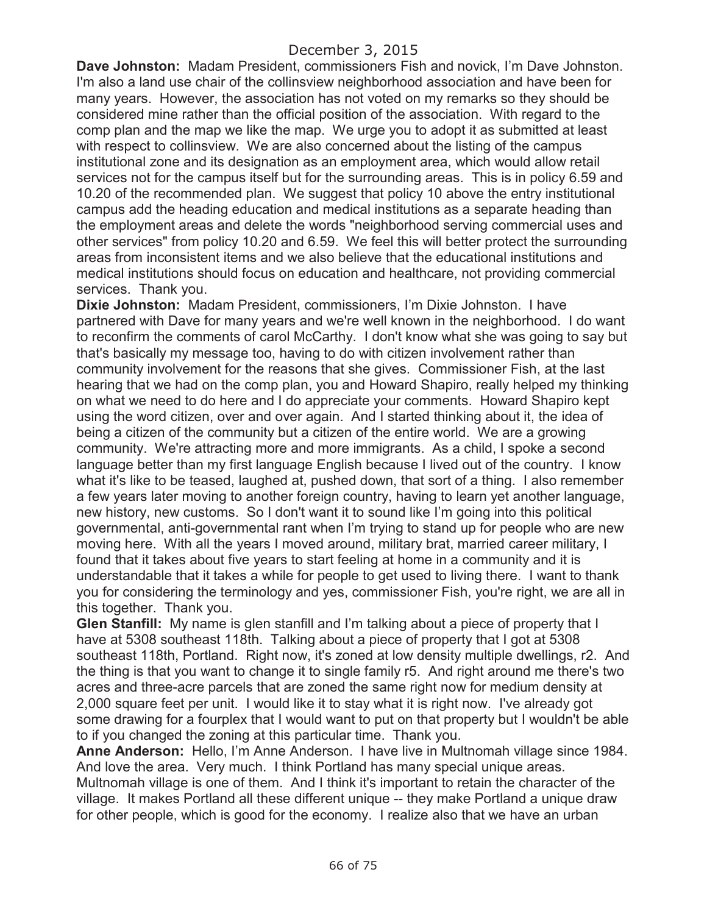**Dave Johnston:** Madam President, commissioners Fish and novick, I'm Dave Johnston. I'm also a land use chair of the collinsview neighborhood association and have been for many years. However, the association has not voted on my remarks so they should be considered mine rather than the official position of the association. With regard to the comp plan and the map we like the map. We urge you to adopt it as submitted at least with respect to collinsview. We are also concerned about the listing of the campus institutional zone and its designation as an employment area, which would allow retail services not for the campus itself but for the surrounding areas. This is in policy 6.59 and 10.20 of the recommended plan. We suggest that policy 10 above the entry institutional campus add the heading education and medical institutions as a separate heading than the employment areas and delete the words "neighborhood serving commercial uses and other services" from policy 10.20 and 6.59. We feel this will better protect the surrounding areas from inconsistent items and we also believe that the educational institutions and medical institutions should focus on education and healthcare, not providing commercial services. Thank you.

**Dixie Johnston:** Madam President, commissioners, I'm Dixie Johnston. I have partnered with Dave for many years and we're well known in the neighborhood. I do want to reconfirm the comments of carol McCarthy. I don't know what she was going to say but that's basically my message too, having to do with citizen involvement rather than community involvement for the reasons that she gives. Commissioner Fish, at the last hearing that we had on the comp plan, you and Howard Shapiro, really helped my thinking on what we need to do here and I do appreciate your comments. Howard Shapiro kept using the word citizen, over and over again. And I started thinking about it, the idea of being a citizen of the community but a citizen of the entire world. We are a growing community. We're attracting more and more immigrants. As a child, I spoke a second language better than my first language English because I lived out of the country. I know what it's like to be teased, laughed at, pushed down, that sort of a thing. I also remember a few years later moving to another foreign country, having to learn yet another language, new history, new customs. So I don't want it to sound like I'm going into this political governmental, anti-governmental rant when I'm trying to stand up for people who are new moving here. With all the years I moved around, military brat, married career military, I found that it takes about five years to start feeling at home in a community and it is understandable that it takes a while for people to get used to living there. I want to thank you for considering the terminology and yes, commissioner Fish, you're right, we are all in this together. Thank you.

**Glen Stanfill:** My name is glen stanfill and I'm talking about a piece of property that I have at 5308 southeast 118th. Talking about a piece of property that I got at 5308 southeast 118th, Portland. Right now, it's zoned at low density multiple dwellings, r2. And the thing is that you want to change it to single family r5. And right around me there's two acres and three-acre parcels that are zoned the same right now for medium density at 2,000 square feet per unit. I would like it to stay what it is right now. I've already got some drawing for a fourplex that I would want to put on that property but I wouldn't be able to if you changed the zoning at this particular time. Thank you.

**Anne Anderson:** Hello, I'm Anne Anderson. I have live in Multnomah village since 1984. And love the area. Very much. I think Portland has many special unique areas. Multnomah village is one of them. And I think it's important to retain the character of the village. It makes Portland all these different unique -- they make Portland a unique draw for other people, which is good for the economy. I realize also that we have an urban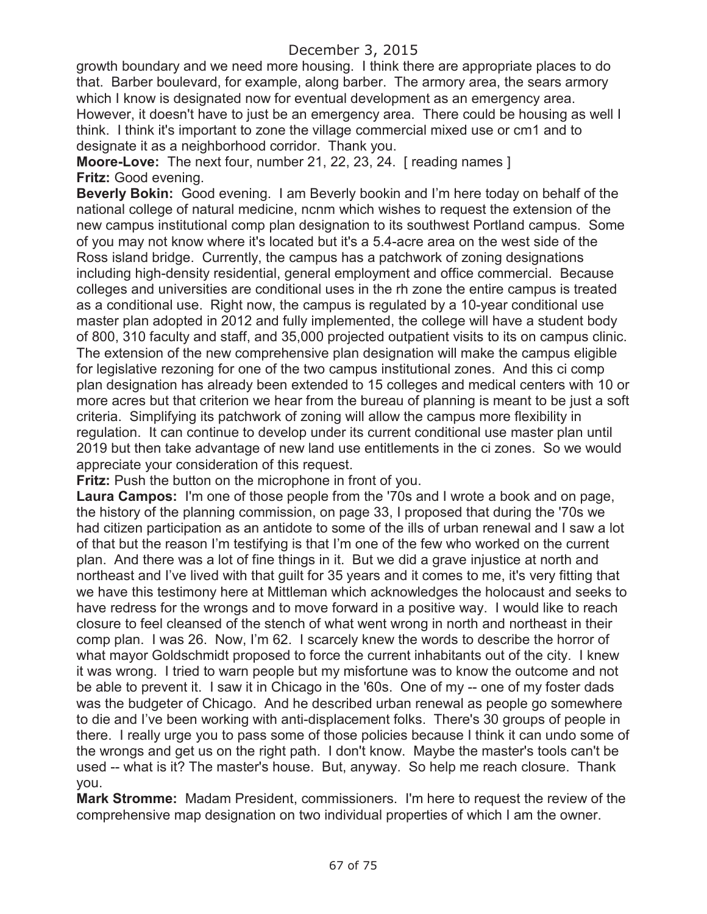growth boundary and we need more housing. I think there are appropriate places to do that. Barber boulevard, for example, along barber. The armory area, the sears armory which I know is designated now for eventual development as an emergency area. However, it doesn't have to just be an emergency area. There could be housing as well I think. I think it's important to zone the village commercial mixed use or cm1 and to designate it as a neighborhood corridor. Thank you.

**Moore-Love:** The next four, number 21, 22, 23, 24. [ reading names ] **Fritz:** Good evening.

**Beverly Bokin:** Good evening. I am Beverly bookin and I'm here today on behalf of the national college of natural medicine, ncnm which wishes to request the extension of the new campus institutional comp plan designation to its southwest Portland campus. Some of you may not know where it's located but it's a 5.4-acre area on the west side of the Ross island bridge. Currently, the campus has a patchwork of zoning designations including high-density residential, general employment and office commercial. Because colleges and universities are conditional uses in the rh zone the entire campus is treated as a conditional use. Right now, the campus is regulated by a 10-year conditional use master plan adopted in 2012 and fully implemented, the college will have a student body of 800, 310 faculty and staff, and 35,000 projected outpatient visits to its on campus clinic. The extension of the new comprehensive plan designation will make the campus eligible for legislative rezoning for one of the two campus institutional zones. And this ci comp plan designation has already been extended to 15 colleges and medical centers with 10 or more acres but that criterion we hear from the bureau of planning is meant to be just a soft criteria. Simplifying its patchwork of zoning will allow the campus more flexibility in regulation. It can continue to develop under its current conditional use master plan until 2019 but then take advantage of new land use entitlements in the ci zones. So we would appreciate your consideration of this request.

**Fritz:** Push the button on the microphone in front of you.

**Laura Campos:** I'm one of those people from the '70s and I wrote a book and on page, the history of the planning commission, on page 33, I proposed that during the '70s we had citizen participation as an antidote to some of the ills of urban renewal and I saw a lot of that but the reason I'm testifying is that I'm one of the few who worked on the current plan. And there was a lot of fine things in it. But we did a grave injustice at north and northeast and I've lived with that guilt for 35 years and it comes to me, it's very fitting that we have this testimony here at Mittleman which acknowledges the holocaust and seeks to have redress for the wrongs and to move forward in a positive way. I would like to reach closure to feel cleansed of the stench of what went wrong in north and northeast in their comp plan. I was 26. Now, I'm 62. I scarcely knew the words to describe the horror of what mayor Goldschmidt proposed to force the current inhabitants out of the city. I knew it was wrong. I tried to warn people but my misfortune was to know the outcome and not be able to prevent it. I saw it in Chicago in the '60s. One of my -- one of my foster dads was the budgeter of Chicago. And he described urban renewal as people go somewhere to die and I've been working with anti-displacement folks. There's 30 groups of people in there. I really urge you to pass some of those policies because I think it can undo some of the wrongs and get us on the right path. I don't know. Maybe the master's tools can't be used -- what is it? The master's house. But, anyway. So help me reach closure. Thank you.

**Mark Stromme:** Madam President, commissioners. I'm here to request the review of the comprehensive map designation on two individual properties of which I am the owner.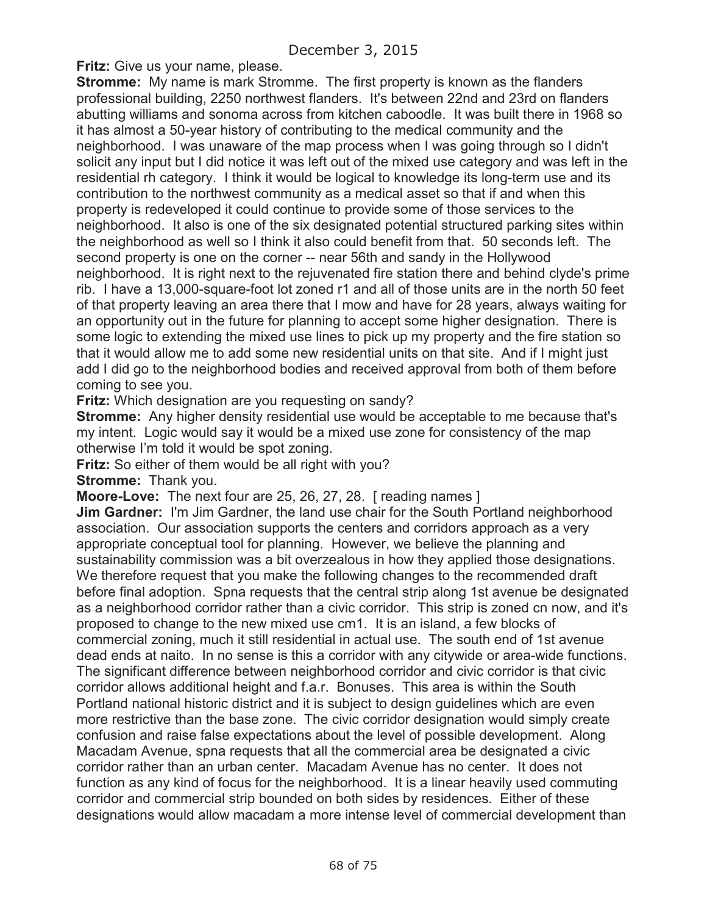**Fritz:** Give us your name, please.

**Stromme:** My name is mark Stromme. The first property is known as the flanders professional building, 2250 northwest flanders. It's between 22nd and 23rd on flanders abutting williams and sonoma across from kitchen caboodle. It was built there in 1968 so it has almost a 50-year history of contributing to the medical community and the neighborhood. I was unaware of the map process when I was going through so I didn't solicit any input but I did notice it was left out of the mixed use category and was left in the residential rh category. I think it would be logical to knowledge its long-term use and its contribution to the northwest community as a medical asset so that if and when this property is redeveloped it could continue to provide some of those services to the neighborhood. It also is one of the six designated potential structured parking sites within the neighborhood as well so I think it also could benefit from that. 50 seconds left. The second property is one on the corner -- near 56th and sandy in the Hollywood neighborhood. It is right next to the rejuvenated fire station there and behind clyde's prime rib. I have a 13,000-square-foot lot zoned r1 and all of those units are in the north 50 feet of that property leaving an area there that I mow and have for 28 years, always waiting for an opportunity out in the future for planning to accept some higher designation. There is some logic to extending the mixed use lines to pick up my property and the fire station so that it would allow me to add some new residential units on that site. And if I might just add I did go to the neighborhood bodies and received approval from both of them before coming to see you.

**Fritz:** Which designation are you requesting on sandy?

**Stromme:** Any higher density residential use would be acceptable to me because that's my intent. Logic would say it would be a mixed use zone for consistency of the map otherwise I'm told it would be spot zoning.

**Fritz:** So either of them would be all right with you?

**Stromme:** Thank you.

**Moore-Love:** The next four are 25, 26, 27, 28. [ reading names ]

**Jim Gardner:** I'm Jim Gardner, the land use chair for the South Portland neighborhood association. Our association supports the centers and corridors approach as a very appropriate conceptual tool for planning. However, we believe the planning and sustainability commission was a bit overzealous in how they applied those designations. We therefore request that you make the following changes to the recommended draft before final adoption. Spna requests that the central strip along 1st avenue be designated as a neighborhood corridor rather than a civic corridor. This strip is zoned cn now, and it's proposed to change to the new mixed use cm1. It is an island, a few blocks of commercial zoning, much it still residential in actual use. The south end of 1st avenue dead ends at naito. In no sense is this a corridor with any citywide or area-wide functions. The significant difference between neighborhood corridor and civic corridor is that civic corridor allows additional height and f.a.r. Bonuses. This area is within the South Portland national historic district and it is subject to design guidelines which are even more restrictive than the base zone. The civic corridor designation would simply create confusion and raise false expectations about the level of possible development. Along Macadam Avenue, spna requests that all the commercial area be designated a civic corridor rather than an urban center. Macadam Avenue has no center. It does not function as any kind of focus for the neighborhood. It is a linear heavily used commuting corridor and commercial strip bounded on both sides by residences. Either of these designations would allow macadam a more intense level of commercial development than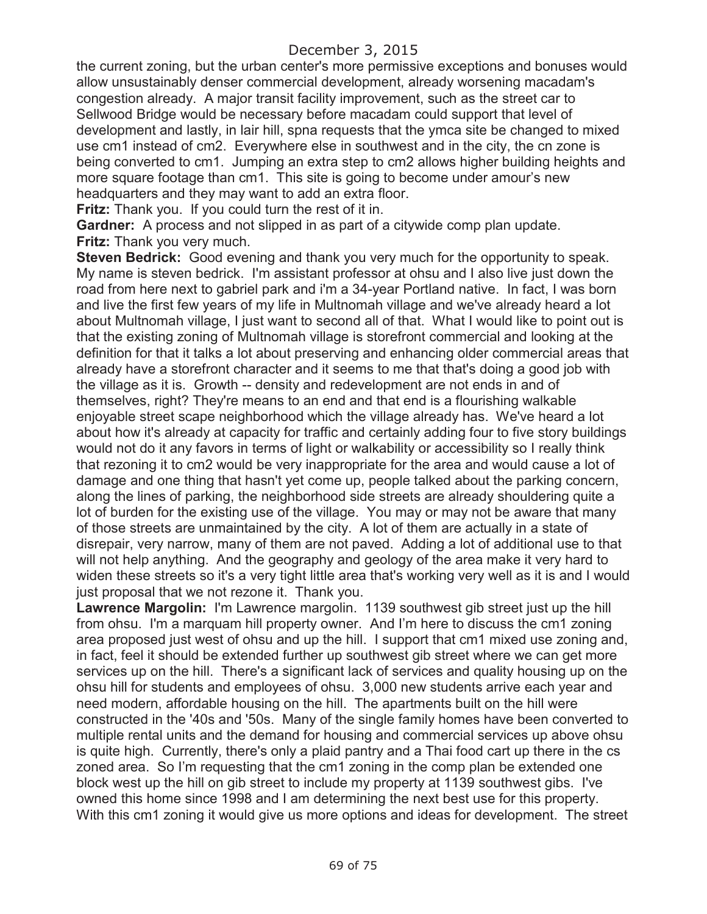the current zoning, but the urban center's more permissive exceptions and bonuses would allow unsustainably denser commercial development, already worsening macadam's congestion already. A major transit facility improvement, such as the street car to Sellwood Bridge would be necessary before macadam could support that level of development and lastly, in lair hill, spna requests that the ymca site be changed to mixed use cm1 instead of cm2. Everywhere else in southwest and in the city, the cn zone is being converted to cm1. Jumping an extra step to cm2 allows higher building heights and more square footage than cm1. This site is going to become under amour's new headquarters and they may want to add an extra floor.

**Fritz:** Thank you. If you could turn the rest of it in.

**Gardner:** A process and not slipped in as part of a citywide comp plan update. **Fritz:** Thank you very much.

**Steven Bedrick:** Good evening and thank you very much for the opportunity to speak. My name is steven bedrick. I'm assistant professor at ohsu and I also live just down the road from here next to gabriel park and i'm a 34-year Portland native. In fact, I was born and live the first few years of my life in Multnomah village and we've already heard a lot about Multnomah village, I just want to second all of that. What I would like to point out is that the existing zoning of Multnomah village is storefront commercial and looking at the definition for that it talks a lot about preserving and enhancing older commercial areas that already have a storefront character and it seems to me that that's doing a good job with the village as it is. Growth -- density and redevelopment are not ends in and of themselves, right? They're means to an end and that end is a flourishing walkable enjoyable street scape neighborhood which the village already has. We've heard a lot about how it's already at capacity for traffic and certainly adding four to five story buildings would not do it any favors in terms of light or walkability or accessibility so I really think that rezoning it to cm2 would be very inappropriate for the area and would cause a lot of damage and one thing that hasn't yet come up, people talked about the parking concern, along the lines of parking, the neighborhood side streets are already shouldering quite a lot of burden for the existing use of the village. You may or may not be aware that many of those streets are unmaintained by the city. A lot of them are actually in a state of disrepair, very narrow, many of them are not paved. Adding a lot of additional use to that will not help anything. And the geography and geology of the area make it very hard to widen these streets so it's a very tight little area that's working very well as it is and I would just proposal that we not rezone it. Thank you.

Lawrence Margolin: I'm Lawrence margolin. 1139 southwest gib street just up the hill from ohsu. I'm a marquam hill property owner. And I'm here to discuss the cm1 zoning area proposed just west of ohsu and up the hill. I support that cm1 mixed use zoning and, in fact, feel it should be extended further up southwest gib street where we can get more services up on the hill. There's a significant lack of services and quality housing up on the ohsu hill for students and employees of ohsu. 3,000 new students arrive each year and need modern, affordable housing on the hill. The apartments built on the hill were constructed in the '40s and '50s. Many of the single family homes have been converted to multiple rental units and the demand for housing and commercial services up above ohsu is quite high. Currently, there's only a plaid pantry and a Thai food cart up there in the cs zoned area. So I'm requesting that the cm1 zoning in the comp plan be extended one block west up the hill on gib street to include my property at 1139 southwest gibs. I've owned this home since 1998 and I am determining the next best use for this property. With this cm1 zoning it would give us more options and ideas for development. The street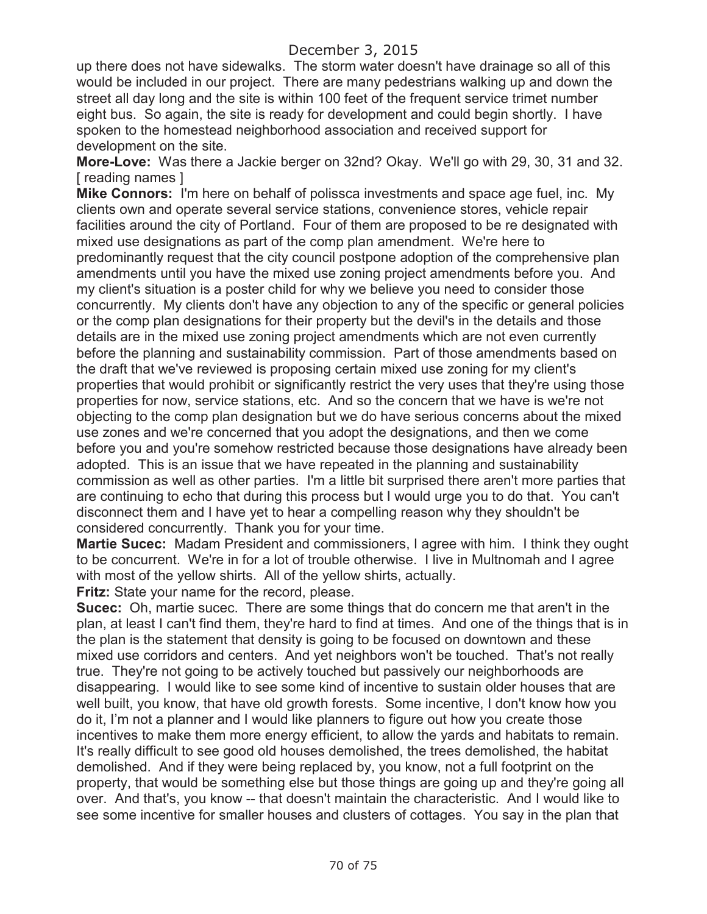up there does not have sidewalks. The storm water doesn't have drainage so all of this would be included in our project. There are many pedestrians walking up and down the street all day long and the site is within 100 feet of the frequent service trimet number eight bus. So again, the site is ready for development and could begin shortly. I have spoken to the homestead neighborhood association and received support for development on the site.

**More-Love:** Was there a Jackie berger on 32nd? Okay. We'll go with 29, 30, 31 and 32. [ reading names ]

**Mike Connors:** I'm here on behalf of polissca investments and space age fuel, inc. My clients own and operate several service stations, convenience stores, vehicle repair facilities around the city of Portland. Four of them are proposed to be re designated with mixed use designations as part of the comp plan amendment. We're here to predominantly request that the city council postpone adoption of the comprehensive plan amendments until you have the mixed use zoning project amendments before you. And my client's situation is a poster child for why we believe you need to consider those concurrently. My clients don't have any objection to any of the specific or general policies or the comp plan designations for their property but the devil's in the details and those details are in the mixed use zoning project amendments which are not even currently before the planning and sustainability commission. Part of those amendments based on the draft that we've reviewed is proposing certain mixed use zoning for my client's properties that would prohibit or significantly restrict the very uses that they're using those properties for now, service stations, etc. And so the concern that we have is we're not objecting to the comp plan designation but we do have serious concerns about the mixed use zones and we're concerned that you adopt the designations, and then we come before you and you're somehow restricted because those designations have already been adopted. This is an issue that we have repeated in the planning and sustainability commission as well as other parties. I'm a little bit surprised there aren't more parties that are continuing to echo that during this process but I would urge you to do that. You can't disconnect them and I have yet to hear a compelling reason why they shouldn't be considered concurrently. Thank you for your time.

**Martie Sucec:** Madam President and commissioners, I agree with him. I think they ought to be concurrent. We're in for a lot of trouble otherwise. I live in Multnomah and I agree with most of the yellow shirts. All of the yellow shirts, actually.

**Fritz:** State your name for the record, please.

**Sucec:** Oh, martie sucec. There are some things that do concern me that aren't in the plan, at least I can't find them, they're hard to find at times. And one of the things that is in the plan is the statement that density is going to be focused on downtown and these mixed use corridors and centers. And yet neighbors won't be touched. That's not really true. They're not going to be actively touched but passively our neighborhoods are disappearing. I would like to see some kind of incentive to sustain older houses that are well built, you know, that have old growth forests. Some incentive, I don't know how you do it, I'm not a planner and I would like planners to figure out how you create those incentives to make them more energy efficient, to allow the yards and habitats to remain. It's really difficult to see good old houses demolished, the trees demolished, the habitat demolished. And if they were being replaced by, you know, not a full footprint on the property, that would be something else but those things are going up and they're going all over. And that's, you know -- that doesn't maintain the characteristic. And I would like to see some incentive for smaller houses and clusters of cottages. You say in the plan that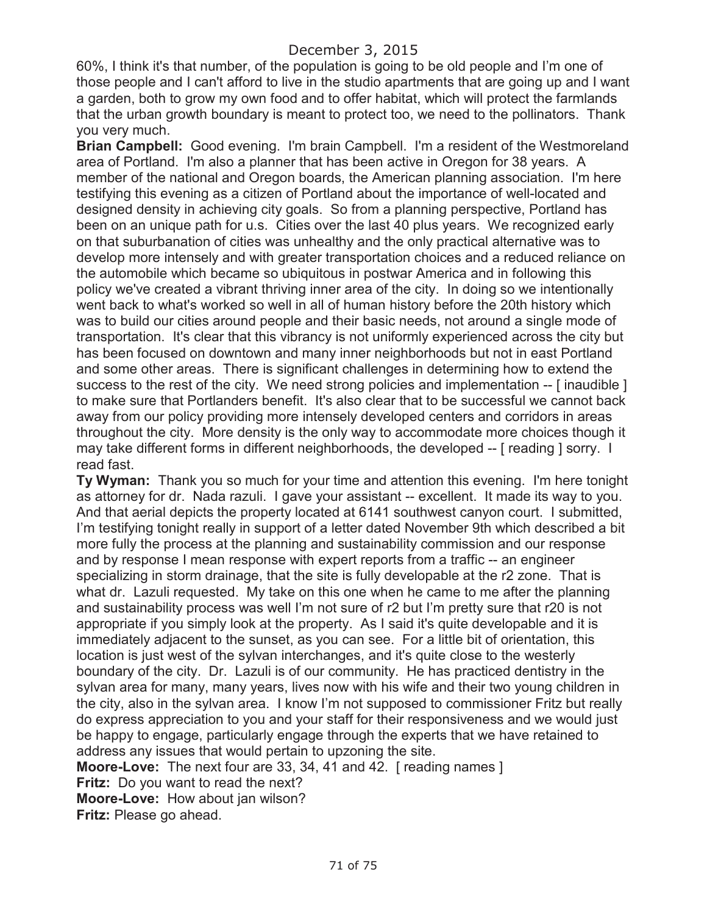60%, I think it's that number, of the population is going to be old people and I'm one of those people and I can't afford to live in the studio apartments that are going up and I want a garden, both to grow my own food and to offer habitat, which will protect the farmlands that the urban growth boundary is meant to protect too, we need to the pollinators. Thank you very much.

**Brian Campbell:** Good evening. I'm brain Campbell. I'm a resident of the Westmoreland area of Portland. I'm also a planner that has been active in Oregon for 38 years. A member of the national and Oregon boards, the American planning association. I'm here testifying this evening as a citizen of Portland about the importance of well-located and designed density in achieving city goals. So from a planning perspective, Portland has been on an unique path for u.s. Cities over the last 40 plus years. We recognized early on that suburbanation of cities was unhealthy and the only practical alternative was to develop more intensely and with greater transportation choices and a reduced reliance on the automobile which became so ubiquitous in postwar America and in following this policy we've created a vibrant thriving inner area of the city. In doing so we intentionally went back to what's worked so well in all of human history before the 20th history which was to build our cities around people and their basic needs, not around a single mode of transportation. It's clear that this vibrancy is not uniformly experienced across the city but has been focused on downtown and many inner neighborhoods but not in east Portland and some other areas. There is significant challenges in determining how to extend the success to the rest of the city. We need strong policies and implementation -- [ inaudible ] to make sure that Portlanders benefit. It's also clear that to be successful we cannot back away from our policy providing more intensely developed centers and corridors in areas throughout the city. More density is the only way to accommodate more choices though it may take different forms in different neighborhoods, the developed -- [ reading ] sorry. I read fast.

**Ty Wyman:** Thank you so much for your time and attention this evening. I'm here tonight as attorney for dr. Nada razuli. I gave your assistant -- excellent. It made its way to you. And that aerial depicts the property located at 6141 southwest canyon court. I submitted, I'm testifying tonight really in support of a letter dated November 9th which described a bit more fully the process at the planning and sustainability commission and our response and by response I mean response with expert reports from a traffic -- an engineer specializing in storm drainage, that the site is fully developable at the r2 zone. That is what dr. Lazuli requested. My take on this one when he came to me after the planning and sustainability process was well I'm not sure of r2 but I'm pretty sure that r20 is not appropriate if you simply look at the property. As I said it's quite developable and it is immediately adjacent to the sunset, as you can see. For a little bit of orientation, this location is just west of the sylvan interchanges, and it's quite close to the westerly boundary of the city. Dr. Lazuli is of our community. He has practiced dentistry in the sylvan area for many, many years, lives now with his wife and their two young children in the city, also in the sylvan area. I know I'm not supposed to commissioner Fritz but really do express appreciation to you and your staff for their responsiveness and we would just be happy to engage, particularly engage through the experts that we have retained to address any issues that would pertain to upzoning the site.

**Moore-Love:** The next four are 33, 34, 41 and 42. [ reading names ]

**Fritz:** Do you want to read the next?

**Moore-Love:** How about jan wilson?

**Fritz:** Please go ahead.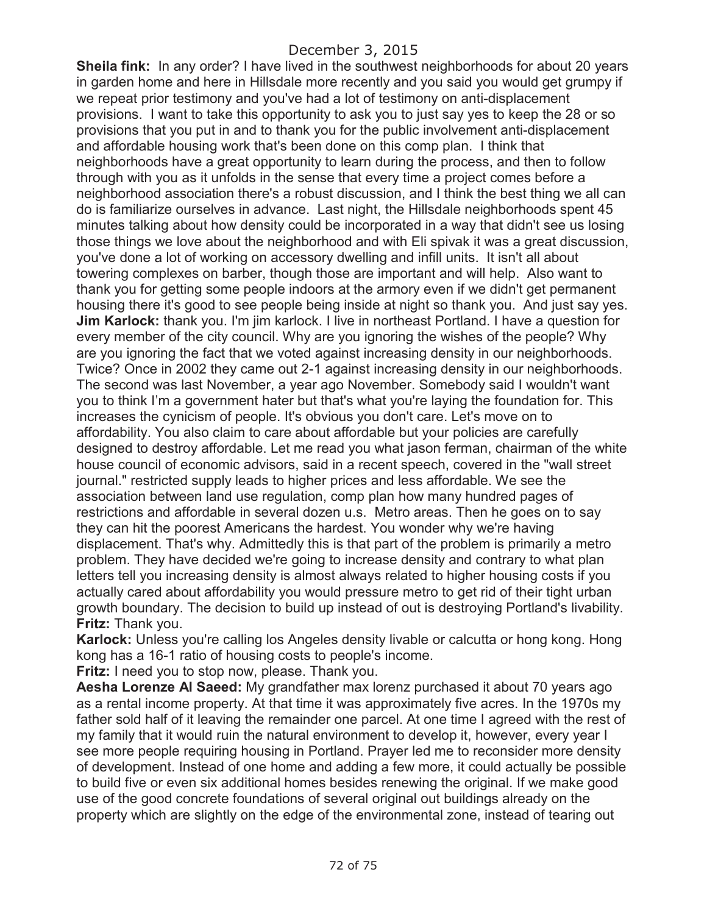**Sheila fink:** In any order? I have lived in the southwest neighborhoods for about 20 years in garden home and here in Hillsdale more recently and you said you would get grumpy if we repeat prior testimony and you've had a lot of testimony on anti-displacement provisions. I want to take this opportunity to ask you to just say yes to keep the 28 or so provisions that you put in and to thank you for the public involvement anti-displacement and affordable housing work that's been done on this comp plan. I think that neighborhoods have a great opportunity to learn during the process, and then to follow through with you as it unfolds in the sense that every time a project comes before a neighborhood association there's a robust discussion, and I think the best thing we all can do is familiarize ourselves in advance. Last night, the Hillsdale neighborhoods spent 45 minutes talking about how density could be incorporated in a way that didn't see us losing those things we love about the neighborhood and with Eli spivak it was a great discussion, you've done a lot of working on accessory dwelling and infill units. It isn't all about towering complexes on barber, though those are important and will help. Also want to thank you for getting some people indoors at the armory even if we didn't get permanent housing there it's good to see people being inside at night so thank you. And just say yes. **Jim Karlock:** thank you. I'm jim karlock. I live in northeast Portland. I have a question for every member of the city council. Why are you ignoring the wishes of the people? Why are you ignoring the fact that we voted against increasing density in our neighborhoods. Twice? Once in 2002 they came out 2-1 against increasing density in our neighborhoods. The second was last November, a year ago November. Somebody said I wouldn't want you to think I'm a government hater but that's what you're laying the foundation for. This increases the cynicism of people. It's obvious you don't care. Let's move on to affordability. You also claim to care about affordable but your policies are carefully designed to destroy affordable. Let me read you what jason ferman, chairman of the white house council of economic advisors, said in a recent speech, covered in the "wall street journal." restricted supply leads to higher prices and less affordable. We see the association between land use regulation, comp plan how many hundred pages of restrictions and affordable in several dozen u.s. Metro areas. Then he goes on to say they can hit the poorest Americans the hardest. You wonder why we're having displacement. That's why. Admittedly this is that part of the problem is primarily a metro problem. They have decided we're going to increase density and contrary to what plan letters tell you increasing density is almost always related to higher housing costs if you actually cared about affordability you would pressure metro to get rid of their tight urban growth boundary. The decision to build up instead of out is destroying Portland's livability. **Fritz:** Thank you.

**Karlock:** Unless you're calling los Angeles density livable or calcutta or hong kong. Hong kong has a 16-1 ratio of housing costs to people's income.

**Fritz:** I need you to stop now, please. Thank you.

**Aesha Lorenze Al Saeed:** My grandfather max lorenz purchased it about 70 years ago as a rental income property. At that time it was approximately five acres. In the 1970s my father sold half of it leaving the remainder one parcel. At one time I agreed with the rest of my family that it would ruin the natural environment to develop it, however, every year I see more people requiring housing in Portland. Prayer led me to reconsider more density of development. Instead of one home and adding a few more, it could actually be possible to build five or even six additional homes besides renewing the original. If we make good use of the good concrete foundations of several original out buildings already on the property which are slightly on the edge of the environmental zone, instead of tearing out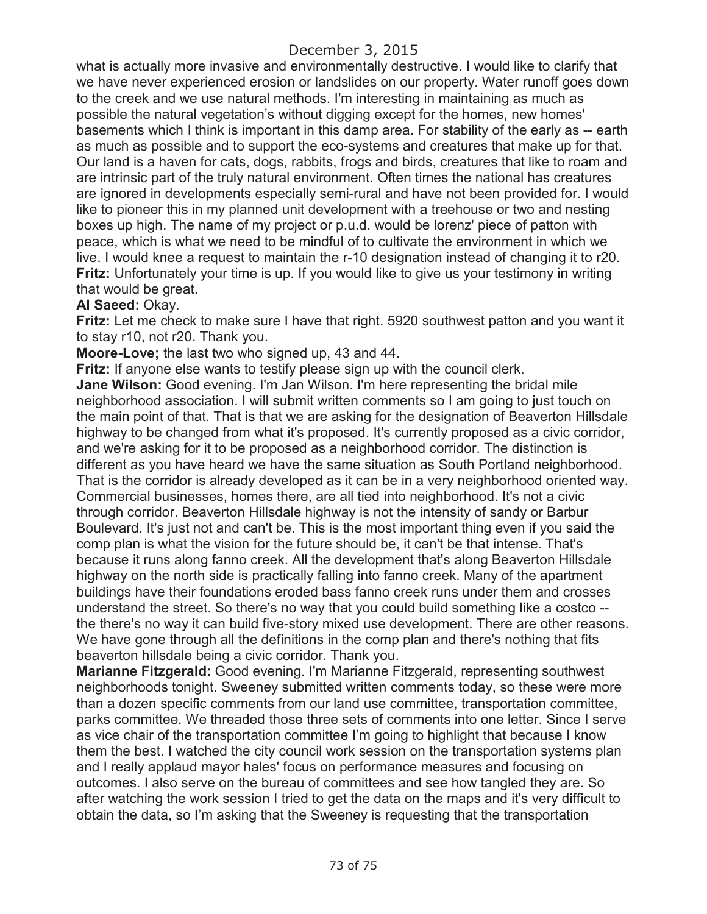## December 3, 2015

what is actually more invasive and environmentally destructive. I would like to clarify that we have never experienced erosion or landslides on our property. Water runoff goes down to the creek and we use natural methods. I'm interesting in maintaining as much as possible the natural vegetation's without digging except for the homes, new homes' basements which I think is important in this damp area. For stability of the early as -- earth as much as possible and to support the eco-systems and creatures that make up for that. Our land is a haven for cats, dogs, rabbits, frogs and birds, creatures that like to roam and are intrinsic part of the truly natural environment. Often times the national has creatures are ignored in developments especially semi-rural and have not been provided for. I would like to pioneer this in my planned unit development with a treehouse or two and nesting boxes up high. The name of my project or p.u.d. would be lorenz' piece of patton with peace, which is what we need to be mindful of to cultivate the environment in which we live. I would knee a request to maintain the r-10 designation instead of changing it to r20. **Fritz:** Unfortunately your time is up. If you would like to give us your testimony in writing that would be great.

## **Al Saeed:** Okay.

**Fritz:** Let me check to make sure I have that right. 5920 southwest patton and you want it to stay r10, not r20. Thank you.

**Moore-Love;** the last two who signed up, 43 and 44.

**Fritz:** If anyone else wants to testify please sign up with the council clerk. **Jane Wilson:** Good evening. I'm Jan Wilson. I'm here representing the bridal mile neighborhood association. I will submit written comments so I am going to just touch on the main point of that. That is that we are asking for the designation of Beaverton Hillsdale highway to be changed from what it's proposed. It's currently proposed as a civic corridor, and we're asking for it to be proposed as a neighborhood corridor. The distinction is different as you have heard we have the same situation as South Portland neighborhood. That is the corridor is already developed as it can be in a very neighborhood oriented way. Commercial businesses, homes there, are all tied into neighborhood. It's not a civic through corridor. Beaverton Hillsdale highway is not the intensity of sandy or Barbur Boulevard. It's just not and can't be. This is the most important thing even if you said the comp plan is what the vision for the future should be, it can't be that intense. That's because it runs along fanno creek. All the development that's along Beaverton Hillsdale highway on the north side is practically falling into fanno creek. Many of the apartment buildings have their foundations eroded bass fanno creek runs under them and crosses understand the street. So there's no way that you could build something like a costco - the there's no way it can build five-story mixed use development. There are other reasons. We have gone through all the definitions in the comp plan and there's nothing that fits beaverton hillsdale being a civic corridor. Thank you.

**Marianne Fitzgerald:** Good evening. I'm Marianne Fitzgerald, representing southwest neighborhoods tonight. Sweeney submitted written comments today, so these were more than a dozen specific comments from our land use committee, transportation committee, parks committee. We threaded those three sets of comments into one letter. Since I serve as vice chair of the transportation committee I'm going to highlight that because I know them the best. I watched the city council work session on the transportation systems plan and I really applaud mayor hales' focus on performance measures and focusing on outcomes. I also serve on the bureau of committees and see how tangled they are. So after watching the work session I tried to get the data on the maps and it's very difficult to obtain the data, so I'm asking that the Sweeney is requesting that the transportation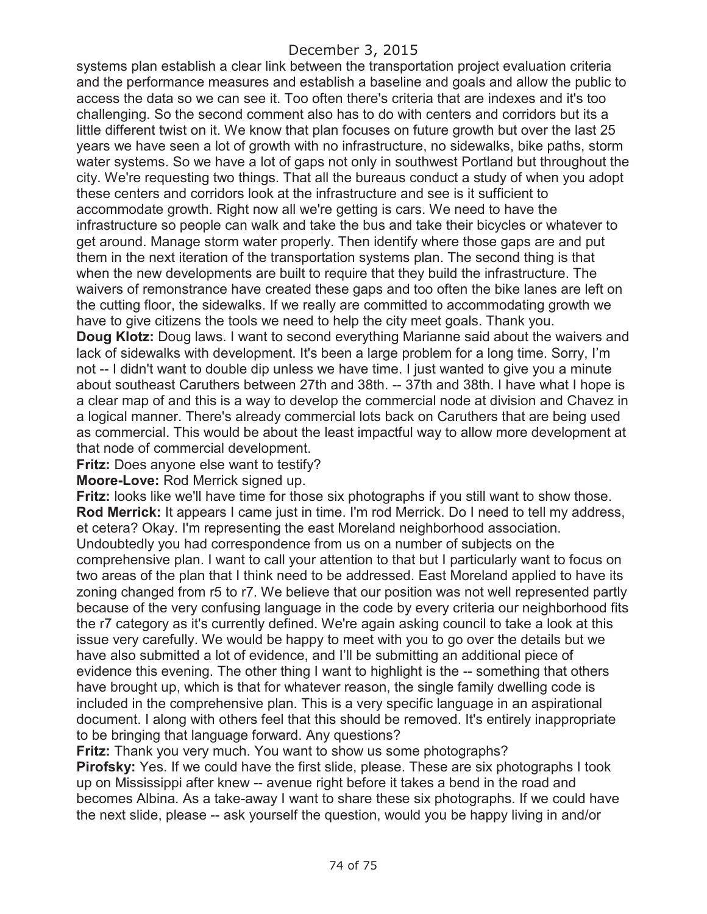## December 3, 2015

systems plan establish a clear link between the transportation project evaluation criteria and the performance measures and establish a baseline and goals and allow the public to access the data so we can see it. Too often there's criteria that are indexes and it's too challenging. So the second comment also has to do with centers and corridors but its a little different twist on it. We know that plan focuses on future growth but over the last 25 years we have seen a lot of growth with no infrastructure, no sidewalks, bike paths, storm water systems. So we have a lot of gaps not only in southwest Portland but throughout the city. We're requesting two things. That all the bureaus conduct a study of when you adopt these centers and corridors look at the infrastructure and see is it sufficient to accommodate growth. Right now all we're getting is cars. We need to have the infrastructure so people can walk and take the bus and take their bicycles or whatever to get around. Manage storm water properly. Then identify where those gaps are and put them in the next iteration of the transportation systems plan. The second thing is that when the new developments are built to require that they build the infrastructure. The waivers of remonstrance have created these gaps and too often the bike lanes are left on the cutting floor, the sidewalks. If we really are committed to accommodating growth we have to give citizens the tools we need to help the city meet goals. Thank you.

**Doug Klotz:** Doug laws. I want to second everything Marianne said about the waivers and lack of sidewalks with development. It's been a large problem for a long time. Sorry, I'm not -- I didn't want to double dip unless we have time. I just wanted to give you a minute about southeast Caruthers between 27th and 38th. -- 37th and 38th. I have what I hope is a clear map of and this is a way to develop the commercial node at division and Chavez in a logical manner. There's already commercial lots back on Caruthers that are being used as commercial. This would be about the least impactful way to allow more development at that node of commercial development.

**Fritz:** Does anyone else want to testify?

**Moore-Love:** Rod Merrick signed up.

**Fritz:** looks like we'll have time for those six photographs if you still want to show those. **Rod Merrick:** It appears I came just in time. I'm rod Merrick. Do I need to tell my address, et cetera? Okay. I'm representing the east Moreland neighborhood association. Undoubtedly you had correspondence from us on a number of subjects on the comprehensive plan. I want to call your attention to that but I particularly want to focus on two areas of the plan that I think need to be addressed. East Moreland applied to have its zoning changed from r5 to r7. We believe that our position was not well represented partly because of the very confusing language in the code by every criteria our neighborhood fits the r7 category as it's currently defined. We're again asking council to take a look at this issue very carefully. We would be happy to meet with you to go over the details but we have also submitted a lot of evidence, and I'll be submitting an additional piece of evidence this evening. The other thing I want to highlight is the -- something that others have brought up, which is that for whatever reason, the single family dwelling code is included in the comprehensive plan. This is a very specific language in an aspirational document. I along with others feel that this should be removed. It's entirely inappropriate to be bringing that language forward. Any questions?

**Fritz:** Thank you very much. You want to show us some photographs?

**Pirofsky:** Yes. If we could have the first slide, please. These are six photographs I took up on Mississippi after knew -- avenue right before it takes a bend in the road and becomes Albina. As a take-away I want to share these six photographs. If we could have the next slide, please -- ask yourself the question, would you be happy living in and/or